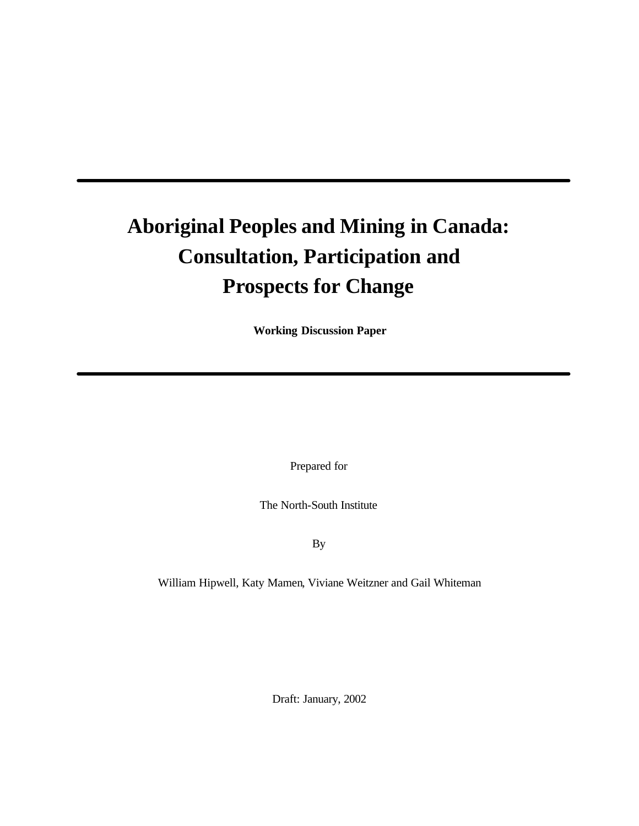# **Aboriginal Peoples and Mining in Canada: Consultation, Participation and Prospects for Change**

**Working Discussion Paper**

Prepared for

The North-South Institute

By

William Hipwell, Katy Mamen, Viviane Weitzner and Gail Whiteman

Draft: January, 2002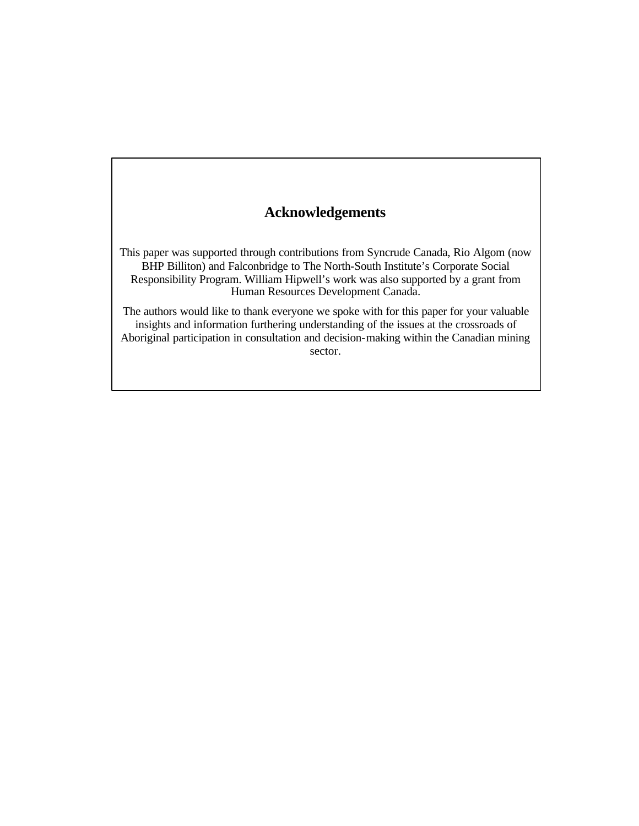# **Acknowledgements**

This paper was supported through contributions from Syncrude Canada, Rio Algom (now BHP Billiton) and Falconbridge to The North-South Institute's Corporate Social Responsibility Program. William Hipwell's work was also supported by a grant from Human Resources Development Canada.

The authors would like to thank everyone we spoke with for this paper for your valuable insights and information furthering understanding of the issues at the crossroads of Aboriginal participation in consultation and decision-making within the Canadian mining sector.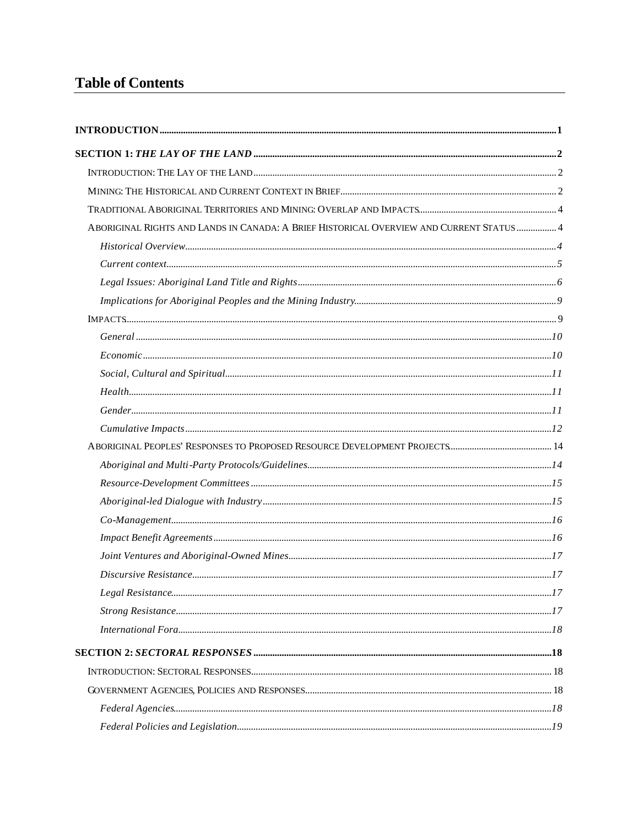# **Table of Contents**

| ABORIGINAL RIGHTS AND LANDS IN CANADA: A BRIEF HISTORICAL OVERVIEW AND CURRENT STATUS  4 |  |
|------------------------------------------------------------------------------------------|--|
|                                                                                          |  |
|                                                                                          |  |
|                                                                                          |  |
|                                                                                          |  |
|                                                                                          |  |
|                                                                                          |  |
|                                                                                          |  |
|                                                                                          |  |
|                                                                                          |  |
|                                                                                          |  |
|                                                                                          |  |
|                                                                                          |  |
|                                                                                          |  |
|                                                                                          |  |
|                                                                                          |  |
|                                                                                          |  |
|                                                                                          |  |
|                                                                                          |  |
|                                                                                          |  |
|                                                                                          |  |
|                                                                                          |  |
|                                                                                          |  |
|                                                                                          |  |
|                                                                                          |  |
|                                                                                          |  |
|                                                                                          |  |
|                                                                                          |  |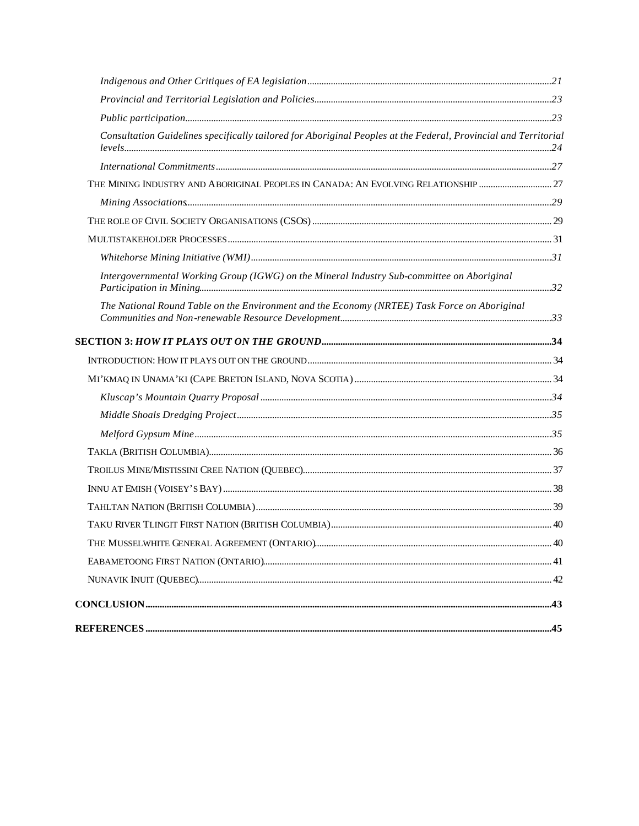| Consultation Guidelines specifically tailored for Aboriginal Peoples at the Federal, Provincial and Territorial |  |
|-----------------------------------------------------------------------------------------------------------------|--|
|                                                                                                                 |  |
| THE MINING INDUSTRY AND ABORIGINAL PEOPLES IN CANADA: AN EVOLVING RELATIONSHIP                                  |  |
|                                                                                                                 |  |
|                                                                                                                 |  |
|                                                                                                                 |  |
|                                                                                                                 |  |
| Intergovernmental Working Group (IGWG) on the Mineral Industry Sub-committee on Aboriginal                      |  |
| The National Round Table on the Environment and the Economy (NRTEE) Task Force on Aboriginal                    |  |
|                                                                                                                 |  |
|                                                                                                                 |  |
|                                                                                                                 |  |
|                                                                                                                 |  |
|                                                                                                                 |  |
|                                                                                                                 |  |
|                                                                                                                 |  |
|                                                                                                                 |  |
|                                                                                                                 |  |
|                                                                                                                 |  |
|                                                                                                                 |  |
|                                                                                                                 |  |
|                                                                                                                 |  |
|                                                                                                                 |  |
|                                                                                                                 |  |
|                                                                                                                 |  |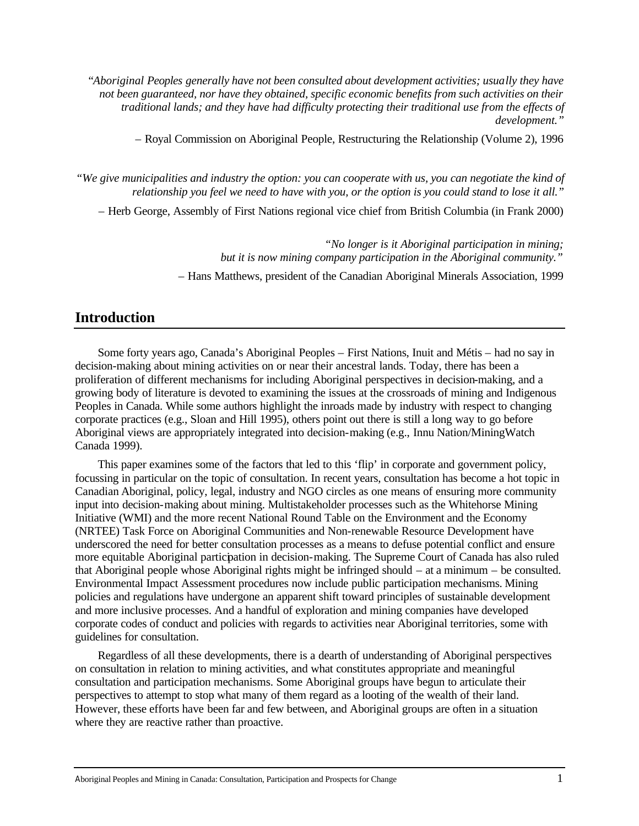"*Aboriginal Peoples generally have not been consulted about development activities; usually they have not been guaranteed, nor have they obtained, specific economic benefits from such activities on their traditional lands; and they have had difficulty protecting their traditional use from the effects of development."*

– Royal Commission on Aboriginal People, Restructuring the Relationship (Volume 2), 1996

*"We give municipalities and industry the option: you can cooperate with us, you can negotiate the kind of relationship you feel we need to have with you, or the option is you could stand to lose it all."*

– Herb George, Assembly of First Nations regional vice chief from British Columbia (in Frank 2000)

*"No longer is it Aboriginal participation in mining; but it is now mining company participation in the Aboriginal community."* 

– Hans Matthews, president of the Canadian Aboriginal Minerals Association, 1999

# **Introduction**

Some forty years ago, Canada's Aboriginal Peoples – First Nations, Inuit and Métis – had no say in decision-making about mining activities on or near their ancestral lands. Today, there has been a proliferation of different mechanisms for including Aboriginal perspectives in decision-making, and a growing body of literature is devoted to examining the issues at the crossroads of mining and Indigenous Peoples in Canada. While some authors highlight the inroads made by industry with respect to changing corporate practices (e.g., Sloan and Hill 1995), others point out there is still a long way to go before Aboriginal views are appropriately integrated into decision-making (e.g., Innu Nation/MiningWatch Canada 1999).

This paper examines some of the factors that led to this 'flip' in corporate and government policy, focussing in particular on the topic of consultation. In recent years, consultation has become a hot topic in Canadian Aboriginal, policy, legal, industry and NGO circles as one means of ensuring more community input into decision-making about mining. Multistakeholder processes such as the Whitehorse Mining Initiative (WMI) and the more recent National Round Table on the Environment and the Economy (NRTEE) Task Force on Aboriginal Communities and Non-renewable Resource Development have underscored the need for better consultation processes as a means to defuse potential conflict and ensure more equitable Aboriginal participation in decision-making. The Supreme Court of Canada has also ruled that Aboriginal people whose Aboriginal rights might be infringed should – at a minimum – be consulted. Environmental Impact Assessment procedures now include public participation mechanisms. Mining policies and regulations have undergone an apparent shift toward principles of sustainable development and more inclusive processes. And a handful of exploration and mining companies have developed corporate codes of conduct and policies with regards to activities near Aboriginal territories, some with guidelines for consultation.

Regardless of all these developments, there is a dearth of understanding of Aboriginal perspectives on consultation in relation to mining activities, and what constitutes appropriate and meaningful consultation and participation mechanisms. Some Aboriginal groups have begun to articulate their perspectives to attempt to stop what many of them regard as a looting of the wealth of their land. However, these efforts have been far and few between, and Aboriginal groups are often in a situation where they are reactive rather than proactive.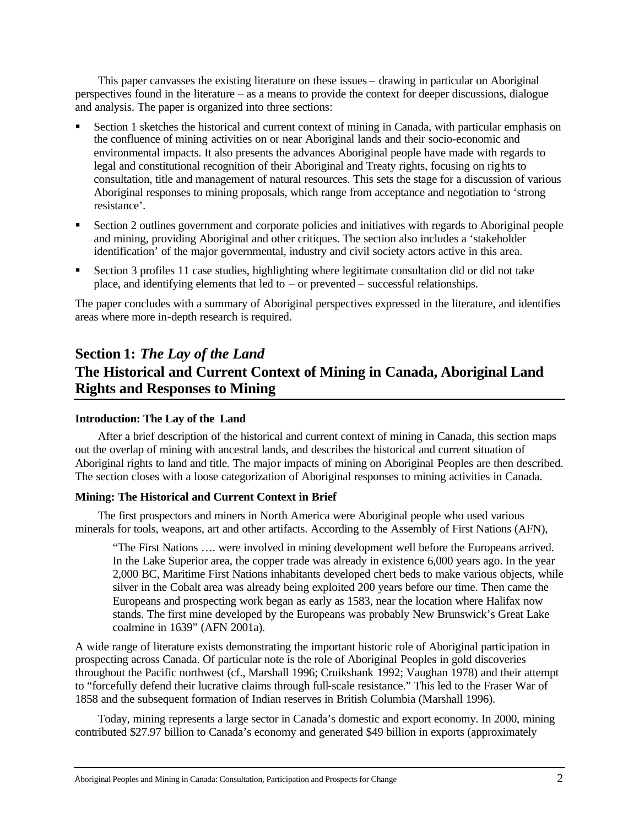This paper canvasses the existing literature on these issues – drawing in particular on Aboriginal perspectives found in the literature – as a means to provide the context for deeper discussions, dialogue and analysis. The paper is organized into three sections:

- ß Section 1 sketches the historical and current context of mining in Canada, with particular emphasis on the confluence of mining activities on or near Aboriginal lands and their socio-economic and environmental impacts. It also presents the advances Aboriginal people have made with regards to legal and constitutional recognition of their Aboriginal and Treaty rights, focusing on rights to consultation, title and management of natural resources. This sets the stage for a discussion of various Aboriginal responses to mining proposals, which range from acceptance and negotiation to 'strong resistance'.
- ß Section 2 outlines government and corporate policies and initiatives with regards to Aboriginal people and mining, providing Aboriginal and other critiques. The section also includes a 'stakeholder identification' of the major governmental, industry and civil society actors active in this area.
- ß Section 3 profiles 11 case studies, highlighting where legitimate consultation did or did not take place, and identifying elements that led to – or prevented – successful relationships.

The paper concludes with a summary of Aboriginal perspectives expressed in the literature, and identifies areas where more in-depth research is required.

# **Section 1:** *The Lay of the Land* **The Historical and Current Context of Mining in Canada, Aboriginal Land Rights and Responses to Mining**

# **Introduction: The Lay of the Land**

After a brief description of the historical and current context of mining in Canada, this section maps out the overlap of mining with ancestral lands, and describes the historical and current situation of Aboriginal rights to land and title. The major impacts of mining on Aboriginal Peoples are then described. The section closes with a loose categorization of Aboriginal responses to mining activities in Canada.

# **Mining: The Historical and Current Context in Brief**

The first prospectors and miners in North America were Aboriginal people who used various minerals for tools, weapons, art and other artifacts. According to the Assembly of First Nations (AFN),

"The First Nations …. were involved in mining development well before the Europeans arrived. In the Lake Superior area, the copper trade was already in existence 6,000 years ago. In the year 2,000 BC, Maritime First Nations inhabitants developed chert beds to make various objects, while silver in the Cobalt area was already being exploited 200 years before our time. Then came the Europeans and prospecting work began as early as 1583, near the location where Halifax now stands. The first mine developed by the Europeans was probably New Brunswick's Great Lake coalmine in 1639" (AFN 2001a).

A wide range of literature exists demonstrating the important historic role of Aboriginal participation in prospecting across Canada. Of particular note is the role of Aboriginal Peoples in gold discoveries throughout the Pacific northwest (cf., Marshall 1996; Cruikshank 1992; Vaughan 1978) and their attempt to "forcefully defend their lucrative claims through full-scale resistance." This led to the Fraser War of 1858 and the subsequent formation of Indian reserves in British Columbia (Marshall 1996).

Today, mining represents a large sector in Canada's domestic and export economy. In 2000, mining contributed \$27.97 billion to Canada's economy and generated \$49 billion in exports (approximately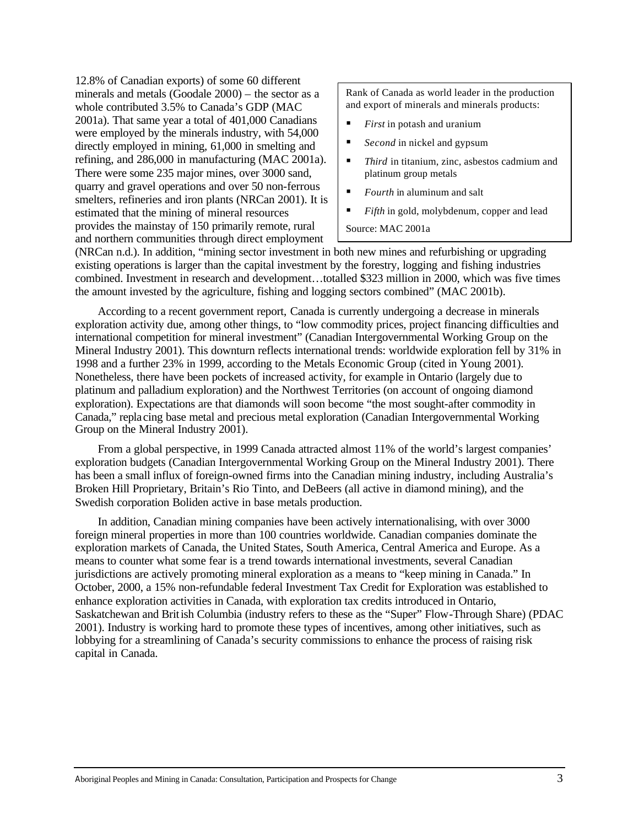12.8% of Canadian exports) of some 60 different minerals and metals (Goodale 2000) – the sector as a whole contributed 3.5% to Canada's GDP (MAC 2001a). That same year a total of 401,000 Canadians were employed by the minerals industry, with 54,000 directly employed in mining, 61,000 in smelting and refining, and 286,000 in manufacturing (MAC 2001a). There were some 235 major mines, over 3000 sand, quarry and gravel operations and over 50 non-ferrous smelters, refineries and iron plants (NRCan 2001). It is estimated that the mining of mineral resources provides the mainstay of 150 primarily remote, rural and northern communities through direct employment

Rank of Canada as world leader in the production and export of minerals and minerals products:

- ß *First* in potash and uranium
- *Second* in nickel and gypsum
- ß *Third* in titanium, zinc, asbestos cadmium and platinum group metals
- ß *Fourth* in aluminum and salt
- ß *Fifth* in gold, molybdenum, copper and lead

Source: MAC 2001a

(NRCan n.d.). In addition, "mining sector investment in both new mines and refurbishing or upgrading existing operations is larger than the capital investment by the forestry, logging and fishing industries combined. Investment in research and development…totalled \$323 million in 2000, which was five times the amount invested by the agriculture, fishing and logging sectors combined" (MAC 2001b).

According to a recent government report, Canada is currently undergoing a decrease in minerals exploration activity due, among other things, to "low commodity prices, project financing difficulties and international competition for mineral investment" (Canadian Intergovernmental Working Group on the Mineral Industry 2001). This downturn reflects international trends: worldwide exploration fell by 31% in 1998 and a further 23% in 1999, according to the Metals Economic Group (cited in Young 2001). Nonetheless, there have been pockets of increased activity, for example in Ontario (largely due to platinum and palladium exploration) and the Northwest Territories (on account of ongoing diamond exploration). Expectations are that diamonds will soon become "the most sought-after commodity in Canada," replacing base metal and precious metal exploration (Canadian Intergovernmental Working Group on the Mineral Industry 2001).

From a global perspective, in 1999 Canada attracted almost 11% of the world's largest companies' exploration budgets (Canadian Intergovernmental Working Group on the Mineral Industry 2001). There has been a small influx of foreign-owned firms into the Canadian mining industry, including Australia's Broken Hill Proprietary, Britain's Rio Tinto, and DeBeers (all active in diamond mining), and the Swedish corporation Boliden active in base metals production.

In addition, Canadian mining companies have been actively internationalising, with over 3000 foreign mineral properties in more than 100 countries worldwide. Canadian companies dominate the exploration markets of Canada, the United States, South America, Central America and Europe. As a means to counter what some fear is a trend towards international investments, several Canadian jurisdictions are actively promoting mineral exploration as a means to "keep mining in Canada." In October, 2000, a 15% non-refundable federal Investment Tax Credit for Exploration was established to enhance exploration activities in Canada, with exploration tax credits introduced in Ontario, Saskatchewan and British Columbia (industry refers to these as the "Super" Flow-Through Share) (PDAC 2001). Industry is working hard to promote these types of incentives, among other initiatives, such as lobbying for a streamlining of Canada's security commissions to enhance the process of raising risk capital in Canada.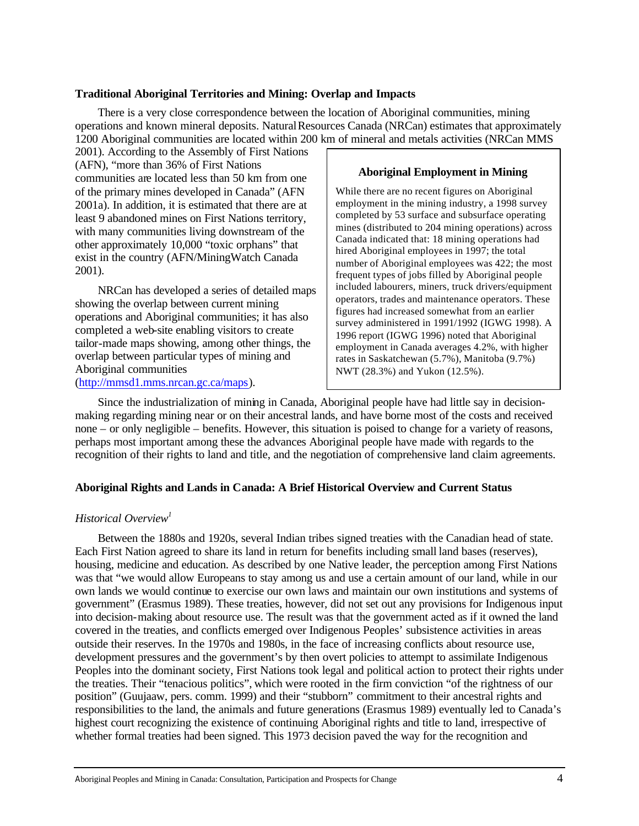### **Traditional Aboriginal Territories and Mining: Overlap and Impacts**

There is a very close correspondence between the location of Aboriginal communities, mining operations and known mineral deposits. Natural Resources Canada (NRCan) estimates that approximately 1200 Aboriginal communities are located within 200 km of mineral and metals activities (NRCan MMS

2001). According to the Assembly of First Nations (AFN), "more than 36% of First Nations communities are located less than 50 km from one of the primary mines developed in Canada" (AFN 2001a). In addition, it is estimated that there are at least 9 abandoned mines on First Nations territory, with many communities living downstream of the other approximately 10,000 "toxic orphans" that exist in the country (AFN/MiningWatch Canada 2001).

NRCan has developed a series of detailed maps showing the overlap between current mining operations and Aboriginal communities; it has also completed a web-site enabling visitors to create tailor-made maps showing, among other things, the overlap between particular types of mining and Aboriginal communities (http://mmsd1.mms.nrcan.gc.ca/maps).

# **Aboriginal Employment in Mining**

While there are no recent figures on Aboriginal employment in the mining industry, a 1998 survey completed by 53 surface and subsurface operating mines (distributed to 204 mining operations) across Canada indicated that: 18 mining operations had hired Aboriginal employees in 1997; the total number of Aboriginal employees was 422; the most frequent types of jobs filled by Aboriginal people included labourers, miners, truck drivers/equipment operators, trades and maintenance operators. These figures had increased somewhat from an earlier survey administered in 1991/1992 (IGWG 1998). A 1996 report (IGWG 1996) noted that Aboriginal employment in Canada averages 4.2%, with higher rates in Saskatchewan (5.7%), Manitoba (9.7%) NWT (28.3%) and Yukon (12.5%).

Since the industrialization of mining in Canada, Aboriginal people have had little say in decisionmaking regarding mining near or on their ancestral lands, and have borne most of the costs and received none – or only negligible – benefits. However, this situation is poised to change for a variety of reasons, perhaps most important among these the advances Aboriginal people have made with regards to the recognition of their rights to land and title, and the negotiation of comprehensive land claim agreements.

# **Aboriginal Rights and Lands in Canada: A Brief Historical Overview and Current Status**

# *Historical Overview<sup>1</sup>*

Between the 1880s and 1920s, several Indian tribes signed treaties with the Canadian head of state. Each First Nation agreed to share its land in return for benefits including small land bases (reserves), housing, medicine and education. As described by one Native leader, the perception among First Nations was that "we would allow Europeans to stay among us and use a certain amount of our land, while in our own lands we would continue to exercise our own laws and maintain our own institutions and systems of government" (Erasmus 1989). These treaties, however, did not set out any provisions for Indigenous input into decision-making about resource use. The result was that the government acted as if it owned the land covered in the treaties, and conflicts emerged over Indigenous Peoples' subsistence activities in areas outside their reserves. In the 1970s and 1980s, in the face of increasing conflicts about resource use, development pressures and the government's by then overt policies to attempt to assimilate Indigenous Peoples into the dominant society, First Nations took legal and political action to protect their rights under the treaties. Their "tenacious politics", which were rooted in the firm conviction "of the rightness of our position" (Guujaaw, pers. comm. 1999) and their "stubborn" commitment to their ancestral rights and responsibilities to the land, the animals and future generations (Erasmus 1989) eventually led to Canada's highest court recognizing the existence of continuing Aboriginal rights and title to land, irrespective of whether formal treaties had been signed. This 1973 decision paved the way for the recognition and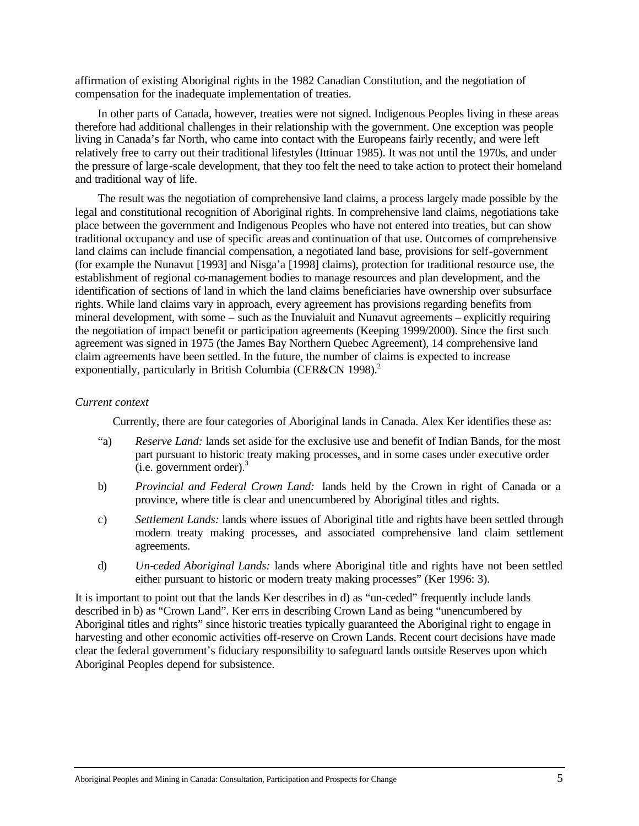affirmation of existing Aboriginal rights in the 1982 Canadian Constitution, and the negotiation of compensation for the inadequate implementation of treaties.

In other parts of Canada, however, treaties were not signed. Indigenous Peoples living in these areas therefore had additional challenges in their relationship with the government. One exception was people living in Canada's far North, who came into contact with the Europeans fairly recently, and were left relatively free to carry out their traditional lifestyles (Ittinuar 1985). It was not until the 1970s, and under the pressure of large-scale development, that they too felt the need to take action to protect their homeland and traditional way of life.

The result was the negotiation of comprehensive land claims, a process largely made possible by the legal and constitutional recognition of Aboriginal rights. In comprehensive land claims, negotiations take place between the government and Indigenous Peoples who have not entered into treaties, but can show traditional occupancy and use of specific areas and continuation of that use. Outcomes of comprehensive land claims can include financial compensation, a negotiated land base, provisions for self-government (for example the Nunavut [1993] and Nisga'a [1998] claims), protection for traditional resource use, the establishment of regional co-management bodies to manage resources and plan development, and the identification of sections of land in which the land claims beneficiaries have ownership over subsurface rights. While land claims vary in approach, every agreement has provisions regarding benefits from mineral development, with some – such as the Inuvialuit and Nunavut agreements – explicitly requiring the negotiation of impact benefit or participation agreements (Keeping 1999/2000). Since the first such agreement was signed in 1975 (the James Bay Northern Quebec Agreement), 14 comprehensive land claim agreements have been settled. In the future, the number of claims is expected to increase exponentially, particularly in British Columbia (CER&CN 1998).<sup>2</sup>

### *Current context*

Currently, there are four categories of Aboriginal lands in Canada. Alex Ker identifies these as:

- "a) *Reserve Land:* lands set aside for the exclusive use and benefit of Indian Bands, for the most part pursuant to historic treaty making processes, and in some cases under executive order  $(i.e. government order)<sup>3</sup>$
- b) *Provincial and Federal Crown Land:* lands held by the Crown in right of Canada or a province, where title is clear and unencumbered by Aboriginal titles and rights.
- c) *Settlement Lands:* lands where issues of Aboriginal title and rights have been settled through modern treaty making processes, and associated comprehensive land claim settlement agreements.
- d) *Un-ceded Aboriginal Lands:* lands where Aboriginal title and rights have not been settled either pursuant to historic or modern treaty making processes" (Ker 1996: 3).

It is important to point out that the lands Ker describes in d) as "un-ceded" frequently include lands described in b) as "Crown Land". Ker errs in describing Crown Land as being "unencumbered by Aboriginal titles and rights" since historic treaties typically guaranteed the Aboriginal right to engage in harvesting and other economic activities off-reserve on Crown Lands. Recent court decisions have made clear the federal government's fiduciary responsibility to safeguard lands outside Reserves upon which Aboriginal Peoples depend for subsistence.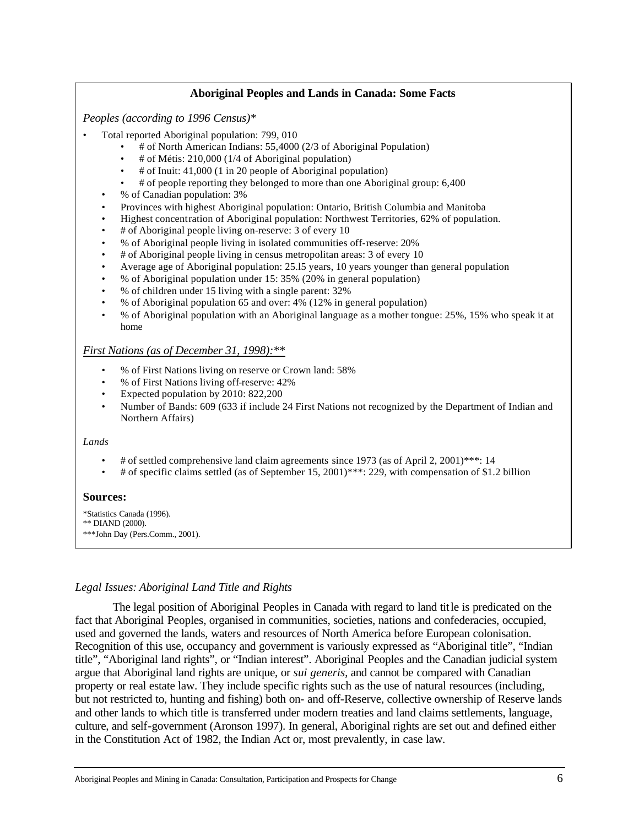### **Aboriginal Peoples and Lands in Canada: Some Facts**

*Peoples (according to 1996 Census)\**

- Total reported Aboriginal population: 799, 010
	- # of North American Indians: 55,4000 (2/3 of Aboriginal Population)
	- # of Métis: 210,000 (1/4 of Aboriginal population)
	- # of Inuit: 41,000 (1 in 20 people of Aboriginal population)
	- # of people reporting they belonged to more than one Aboriginal group: 6,400
	- % of Canadian population: 3%
	- Provinces with highest Aboriginal population: Ontario, British Columbia and Manitoba
	- Highest concentration of Aboriginal population: Northwest Territories, 62% of population.
	- # of Aboriginal people living on-reserve: 3 of every 10
	- % of Aboriginal people living in isolated communities off-reserve: 20%
	- # of Aboriginal people living in census metropolitan areas: 3 of every 10
	- Average age of Aboriginal population: 25.l5 years, 10 years younger than general population
	- % of Aboriginal population under 15: 35% (20% in general population)
	- % of children under 15 living with a single parent: 32%
	- % of Aboriginal population 65 and over: 4% (12% in general population)
	- % of Aboriginal population with an Aboriginal language as a mother tongue: 25%, 15% who speak it at home

### *First Nations (as of December 31, 1998):\*\**

- % of First Nations living on reserve or Crown land: 58%
- % of First Nations living off-reserve: 42%
- Expected population by 2010: 822,200
- Number of Bands: 609 (633 if include 24 First Nations not recognized by the Department of Indian and Northern Affairs)

#### *Lands*

- # of settled comprehensive land claim agreements since 1973 (as of April 2, 2001)\*\*\*: 14
- # of specific claims settled (as of September 15, 2001)\*\*\*: 229, with compensation of \$1.2 billion

### **Sources:**

- \*Statistics Canada (1996).
- \*\* DIAND (2000).

\*\*\*John Day (Pers.Comm., 2001).

### *Legal Issues: Aboriginal Land Title and Rights*

The legal position of Aboriginal Peoples in Canada with regard to land title is predicated on the fact that Aboriginal Peoples, organised in communities, societies, nations and confederacies, occupied, used and governed the lands, waters and resources of North America before European colonisation. Recognition of this use, occupancy and government is variously expressed as "Aboriginal title", "Indian title", "Aboriginal land rights", or "Indian interest". Aboriginal Peoples and the Canadian judicial system argue that Aboriginal land rights are unique, or *sui generis*, and cannot be compared with Canadian property or real estate law. They include specific rights such as the use of natural resources (including, but not restricted to, hunting and fishing) both on- and off-Reserve, collective ownership of Reserve lands and other lands to which title is transferred under modern treaties and land claims settlements, language, culture, and self-government (Aronson 1997). In general, Aboriginal rights are set out and defined either in the Constitution Act of 1982, the Indian Act or, most prevalently, in case law.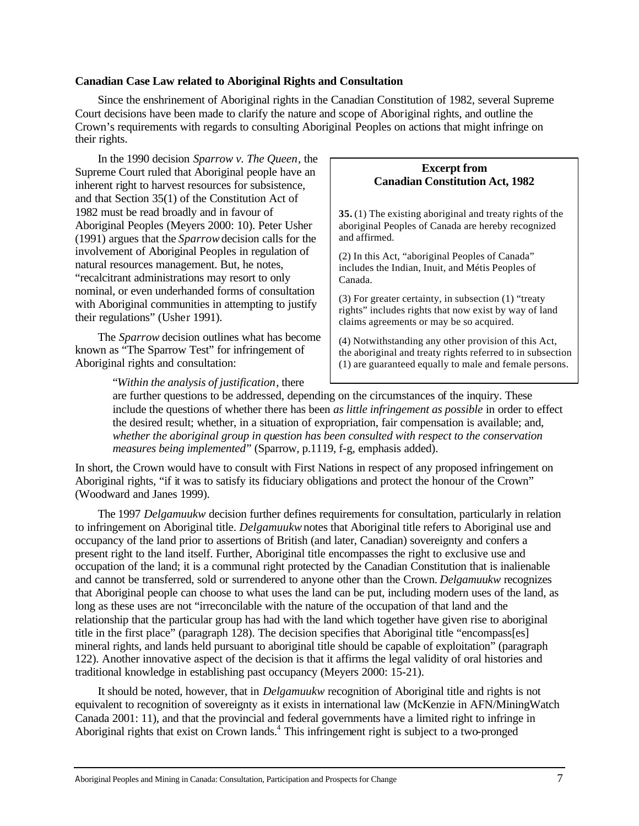### **Canadian Case Law related to Aboriginal Rights and Consultation**

Since the enshrinement of Aboriginal rights in the Canadian Constitution of 1982, several Supreme Court decisions have been made to clarify the nature and scope of Aboriginal rights, and outline the Crown's requirements with regards to consulting Aboriginal Peoples on actions that might infringe on their rights.

In the 1990 decision *Sparrow v. The Queen*, the Supreme Court ruled that Aboriginal people have an inherent right to harvest resources for subsistence, and that Section 35(1) of the Constitution Act of 1982 must be read broadly and in favour of Aboriginal Peoples (Meyers 2000: 10). Peter Usher (1991) argues that the *Sparrow* decision calls for the involvement of Aboriginal Peoples in regulation of natural resources management. But, he notes, "recalcitrant administrations may resort to only nominal, or even underhanded forms of consultation with Aboriginal communities in attempting to justify their regulations" (Usher 1991).

The *Sparrow* decision outlines what has become known as "The Sparrow Test" for infringement of Aboriginal rights and consultation:

# **Excerpt from Canadian Constitution Act, 1982**

**35.** (1) The existing aboriginal and treaty rights of the aboriginal Peoples of Canada are hereby recognized and affirmed.

(2) In this Act, "aboriginal Peoples of Canada" includes the Indian, Inuit, and Métis Peoples of Canada.

(3) For greater certainty, in subsection (1) "treaty rights" includes rights that now exist by way of land claims agreements or may be so acquired.

(4) Notwithstanding any other provision of this Act, the aboriginal and treaty rights referred to in subsection (1) are guaranteed equally to male and female persons.

"*Within the analysis of justification*, there

are further questions to be addressed, depending on the circumstances of the inquiry. These include the questions of whether there has been *as little infringement as possible* in order to effect the desired result; whether, in a situation of expropriation, fair compensation is available; and, *whether the aboriginal group in question has been consulted with respect to the conservation measures being implemented*" (Sparrow, p.1119, f-g, emphasis added).

In short, the Crown would have to consult with First Nations in respect of any proposed infringement on Aboriginal rights, "if it was to satisfy its fiduciary obligations and protect the honour of the Crown" (Woodward and Janes 1999).

The 1997 *Delgamuukw* decision further defines requirements for consultation, particularly in relation to infringement on Aboriginal title. *Delgamuukw*notes that Aboriginal title refers to Aboriginal use and occupancy of the land prior to assertions of British (and later, Canadian) sovereignty and confers a present right to the land itself. Further, Aboriginal title encompasses the right to exclusive use and occupation of the land; it is a communal right protected by the Canadian Constitution that is inalienable and cannot be transferred, sold or surrendered to anyone other than the Crown. *Delgamuukw* recognizes that Aboriginal people can choose to what uses the land can be put, including modern uses of the land, as long as these uses are not "irreconcilable with the nature of the occupation of that land and the relationship that the particular group has had with the land which together have given rise to aboriginal title in the first place" (paragraph 128). The decision specifies that Aboriginal title "encompass[es] mineral rights, and lands held pursuant to aboriginal title should be capable of exploitation" (paragraph 122). Another innovative aspect of the decision is that it affirms the legal validity of oral histories and traditional knowledge in establishing past occupancy (Meyers 2000: 15-21).

It should be noted, however, that in *Delgamuukw* recognition of Aboriginal title and rights is not equivalent to recognition of sovereignty as it exists in international law (McKenzie in AFN/MiningWatch Canada 2001: 11), and that the provincial and federal governments have a limited right to infringe in Aboriginal rights that exist on  $\tilde{C}$ rown lands.<sup>4</sup> This infringement right is subject to a two-pronged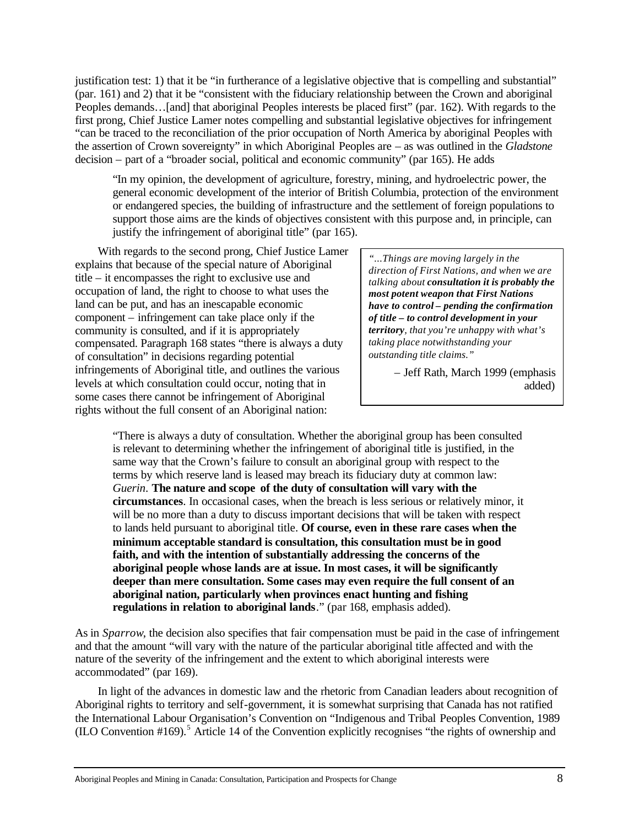justification test: 1) that it be "in furtherance of a legislative objective that is compelling and substantial" (par. 161) and 2) that it be "consistent with the fiduciary relationship between the Crown and aboriginal Peoples demands…[and] that aboriginal Peoples interests be placed first" (par. 162). With regards to the first prong, Chief Justice Lamer notes compelling and substantial legislative objectives for infringement "can be traced to the reconciliation of the prior occupation of North America by aboriginal Peoples with the assertion of Crown sovereignty" in which Aboriginal Peoples are – as was outlined in the *Gladstone* decision – part of a "broader social, political and economic community" (par 165). He adds

"In my opinion, the development of agriculture, forestry, mining, and hydroelectric power, the general economic development of the interior of British Columbia, protection of the environment or endangered species, the building of infrastructure and the settlement of foreign populations to support those aims are the kinds of objectives consistent with this purpose and, in principle, can justify the infringement of aboriginal title" (par 165).

With regards to the second prong, Chief Justice Lamer explains that because of the special nature of Aboriginal title – it encompasses the right to exclusive use and occupation of land, the right to choose to what uses the land can be put, and has an inescapable economic component – infringement can take place only if the community is consulted, and if it is appropriately compensated. Paragraph 168 states "there is always a duty of consultation" in decisions regarding potential infringements of Aboriginal title, and outlines the various levels at which consultation could occur, noting that in some cases there cannot be infringement of Aboriginal rights without the full consent of an Aboriginal nation:

*"...Things are moving largely in the direction of First Nations, and when we are talking about consultation it is probably the most potent weapon that First Nations have to control – pending the confirmation of title – to control development in your territory, that you're unhappy with what's taking place notwithstanding your outstanding title claims."*

> – Jeff Rath, March 1999 (emphasis added)

"There is always a duty of consultation. Whether the aboriginal group has been consulted is relevant to determining whether the infringement of aboriginal title is justified, in the same way that the Crown's failure to consult an aboriginal group with respect to the terms by which reserve land is leased may breach its fiduciary duty at common law: *Guerin*. **The nature and scope of the duty of consultation will vary with the circumstances**. In occasional cases, when the breach is less serious or relatively minor, it will be no more than a duty to discuss important decisions that will be taken with respect to lands held pursuant to aboriginal title. **Of course, even in these rare cases when the minimum acceptable standard is consultation, this consultation must be in good faith, and with the intention of substantially addressing the concerns of the aboriginal people whose lands are at issue. In most cases, it will be significantly deeper than mere consultation. Some cases may even require the full consent of an aboriginal nation, particularly when provinces enact hunting and fishing regulations in relation to aboriginal lands**." (par 168, emphasis added).

As in *Sparrow*, the decision also specifies that fair compensation must be paid in the case of infringement and that the amount "will vary with the nature of the particular aboriginal title affected and with the nature of the severity of the infringement and the extent to which aboriginal interests were accommodated" (par 169).

In light of the advances in domestic law and the rhetoric from Canadian leaders about recognition of Aboriginal rights to territory and self-government, it is somewhat surprising that Canada has not ratified the International Labour Organisation's Convention on "Indigenous and Tribal Peoples Convention, 1989 (ILO Convention #169).<sup>5</sup> Article 14 of the Convention explicitly recognises "the rights of ownership and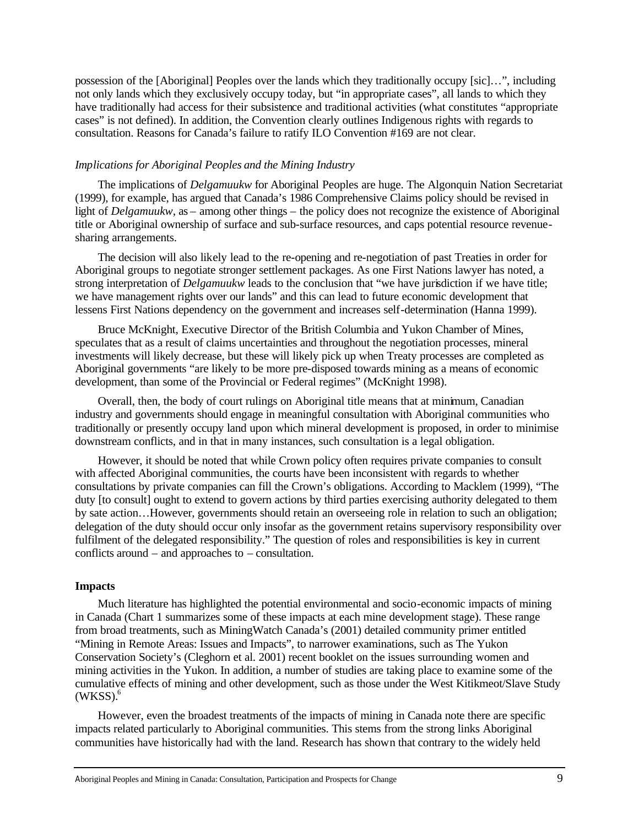possession of the [Aboriginal] Peoples over the lands which they traditionally occupy [sic]…", including not only lands which they exclusively occupy today, but "in appropriate cases", all lands to which they have traditionally had access for their subsistence and traditional activities (what constitutes "appropriate cases" is not defined). In addition, the Convention clearly outlines Indigenous rights with regards to consultation. Reasons for Canada's failure to ratify ILO Convention #169 are not clear.

### *Implications for Aboriginal Peoples and the Mining Industry*

The implications of *Delgamuukw* for Aboriginal Peoples are huge. The Algonquin Nation Secretariat (1999), for example, has argued that Canada's 1986 Comprehensive Claims policy should be revised in light of *Delgamuukw*, as – among other things – the policy does not recognize the existence of Aboriginal title or Aboriginal ownership of surface and sub-surface resources, and caps potential resource revenuesharing arrangements.

The decision will also likely lead to the re-opening and re-negotiation of past Treaties in order for Aboriginal groups to negotiate stronger settlement packages. As one First Nations lawyer has noted, a strong interpretation of *Delgamuukw* leads to the conclusion that "we have jurisdiction if we have title; we have management rights over our lands" and this can lead to future economic development that lessens First Nations dependency on the government and increases self-determination (Hanna 1999).

Bruce McKnight, Executive Director of the British Columbia and Yukon Chamber of Mines, speculates that as a result of claims uncertainties and throughout the negotiation processes, mineral investments will likely decrease, but these will likely pick up when Treaty processes are completed as Aboriginal governments "are likely to be more pre-disposed towards mining as a means of economic development, than some of the Provincial or Federal regimes" (McKnight 1998).

Overall, then, the body of court rulings on Aboriginal title means that at minimum, Canadian industry and governments should engage in meaningful consultation with Aboriginal communities who traditionally or presently occupy land upon which mineral development is proposed, in order to minimise downstream conflicts, and in that in many instances, such consultation is a legal obligation.

However, it should be noted that while Crown policy often requires private companies to consult with affected Aboriginal communities, the courts have been inconsistent with regards to whether consultations by private companies can fill the Crown's obligations. According to Macklem (1999), "The duty [to consult] ought to extend to govern actions by third parties exercising authority delegated to them by sate action…However, governments should retain an overseeing role in relation to such an obligation; delegation of the duty should occur only insofar as the government retains supervisory responsibility over fulfilment of the delegated responsibility." The question of roles and responsibilities is key in current conflicts around – and approaches to – consultation.

#### **Impacts**

Much literature has highlighted the potential environmental and socio-economic impacts of mining in Canada (Chart 1 summarizes some of these impacts at each mine development stage). These range from broad treatments, such as MiningWatch Canada's (2001) detailed community primer entitled "Mining in Remote Areas: Issues and Impacts", to narrower examinations, such as The Yukon Conservation Society's (Cleghorn et al. 2001) recent booklet on the issues surrounding women and mining activities in the Yukon. In addition, a number of studies are taking place to examine some of the cumulative effects of mining and other development, such as those under the West Kitikmeot/Slave Study  $(WKSS)^6$ 

However, even the broadest treatments of the impacts of mining in Canada note there are specific impacts related particularly to Aboriginal communities. This stems from the strong links Aboriginal communities have historically had with the land. Research has shown that contrary to the widely held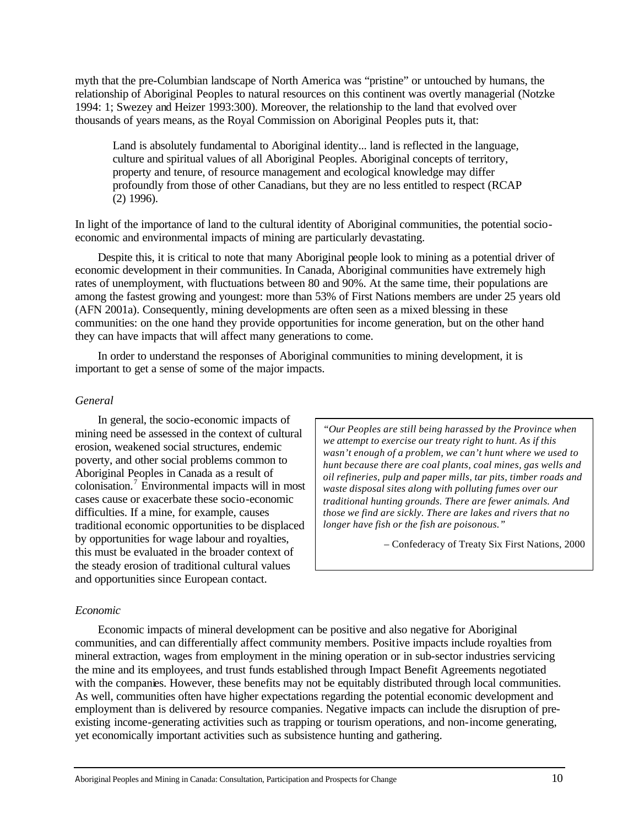myth that the pre-Columbian landscape of North America was "pristine" or untouched by humans, the relationship of Aboriginal Peoples to natural resources on this continent was overtly managerial (Notzke 1994: 1; Swezey and Heizer 1993:300). Moreover, the relationship to the land that evolved over thousands of years means, as the Royal Commission on Aboriginal Peoples puts it, that:

Land is absolutely fundamental to Aboriginal identity... land is reflected in the language, culture and spiritual values of all Aboriginal Peoples. Aboriginal concepts of territory, property and tenure, of resource management and ecological knowledge may differ profoundly from those of other Canadians, but they are no less entitled to respect (RCAP (2) 1996).

In light of the importance of land to the cultural identity of Aboriginal communities, the potential socioeconomic and environmental impacts of mining are particularly devastating.

Despite this, it is critical to note that many Aboriginal people look to mining as a potential driver of economic development in their communities. In Canada, Aboriginal communities have extremely high rates of unemployment, with fluctuations between 80 and 90%. At the same time, their populations are among the fastest growing and youngest: more than 53% of First Nations members are under 25 years old (AFN 2001a). Consequently, mining developments are often seen as a mixed blessing in these communities: on the one hand they provide opportunities for income generation, but on the other hand they can have impacts that will affect many generations to come.

In order to understand the responses of Aboriginal communities to mining development, it is important to get a sense of some of the major impacts.

### *General*

In general, the socio-economic impacts of mining need be assessed in the context of cultural erosion, weakened social structures, endemic poverty, and other social problems common to Aboriginal Peoples in Canada as a result of colonisation.<sup>7</sup> Environmental impacts will in most cases cause or exacerbate these socio-economic difficulties. If a mine, for example, causes traditional economic opportunities to be displaced by opportunities for wage labour and royalties, this must be evaluated in the broader context of the steady erosion of traditional cultural values and opportunities since European contact.

*"Our Peoples are still being harassed by the Province when we attempt to exercise our treaty right to hunt. As if this wasn't enough of a problem, we can't hunt where we used to hunt because there are coal plants, coal mines, gas wells and oil refineries, pulp and paper mills, tar pits, timber roads and waste disposal sites along with polluting fumes over our traditional hunting grounds. There are fewer animals. And those we find are sickly. There are lakes and rivers that no longer have fish or the fish are poisonous."*

– Confederacy of Treaty Six First Nations, 2000

# *Economic*

Economic impacts of mineral development can be positive and also negative for Aboriginal communities, and can differentially affect community members. Positive impacts include royalties from mineral extraction, wages from employment in the mining operation or in sub-sector industries servicing the mine and its employees, and trust funds established through Impact Benefit Agreements negotiated with the companies. However, these benefits may not be equitably distributed through local communities. As well, communities often have higher expectations regarding the potential economic development and employment than is delivered by resource companies. Negative impacts can include the disruption of preexisting income-generating activities such as trapping or tourism operations, and non-income generating, yet economically important activities such as subsistence hunting and gathering.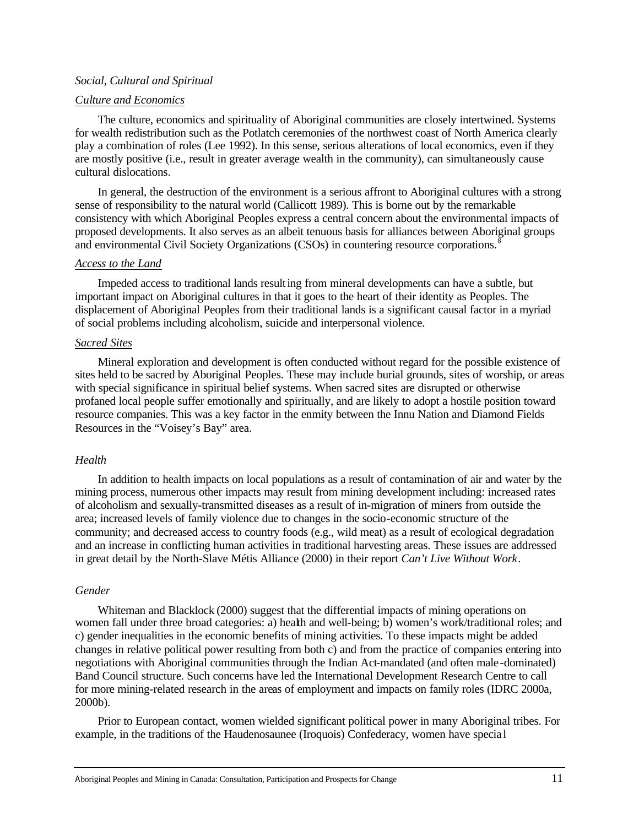### *Social, Cultural and Spiritual*

#### *Culture and Economics*

The culture, economics and spirituality of Aboriginal communities are closely intertwined. Systems for wealth redistribution such as the Potlatch ceremonies of the northwest coast of North America clearly play a combination of roles (Lee 1992). In this sense, serious alterations of local economics, even if they are mostly positive (i.e., result in greater average wealth in the community), can simultaneously cause cultural dislocations.

In general, the destruction of the environment is a serious affront to Aboriginal cultures with a strong sense of responsibility to the natural world (Callicott 1989). This is borne out by the remarkable consistency with which Aboriginal Peoples express a central concern about the environmental impacts of proposed developments. It also serves as an albeit tenuous basis for alliances between Aboriginal groups and environmental Civil Society Organizations (CSOs) in countering resource corporations.<sup>8</sup>

### *Access to the Land*

Impeded access to traditional lands resulting from mineral developments can have a subtle, but important impact on Aboriginal cultures in that it goes to the heart of their identity as Peoples. The displacement of Aboriginal Peoples from their traditional lands is a significant causal factor in a myriad of social problems including alcoholism, suicide and interpersonal violence.

### *Sacred Sites*

Mineral exploration and development is often conducted without regard for the possible existence of sites held to be sacred by Aboriginal Peoples. These may include burial grounds, sites of worship, or areas with special significance in spiritual belief systems. When sacred sites are disrupted or otherwise profaned local people suffer emotionally and spiritually, and are likely to adopt a hostile position toward resource companies. This was a key factor in the enmity between the Innu Nation and Diamond Fields Resources in the "Voisey's Bay" area.

### *Health*

In addition to health impacts on local populations as a result of contamination of air and water by the mining process, numerous other impacts may result from mining development including: increased rates of alcoholism and sexually-transmitted diseases as a result of in-migration of miners from outside the area; increased levels of family violence due to changes in the socio-economic structure of the community; and decreased access to country foods (e.g., wild meat) as a result of ecological degradation and an increase in conflicting human activities in traditional harvesting areas. These issues are addressed in great detail by the North-Slave Métis Alliance (2000) in their report *Can't Live Without Work*.

### *Gender*

Whiteman and Blacklock (2000) suggest that the differential impacts of mining operations on women fall under three broad categories: a) health and well-being; b) women's work/traditional roles; and c) gender inequalities in the economic benefits of mining activities. To these impacts might be added changes in relative political power resulting from both c) and from the practice of companies entering into negotiations with Aboriginal communities through the Indian Act-mandated (and often male -dominated) Band Council structure. Such concerns have led the International Development Research Centre to call for more mining-related research in the areas of employment and impacts on family roles (IDRC 2000a, 2000b).

Prior to European contact, women wielded significant political power in many Aboriginal tribes. For example, in the traditions of the Haudenosaunee (Iroquois) Confederacy, women have specia l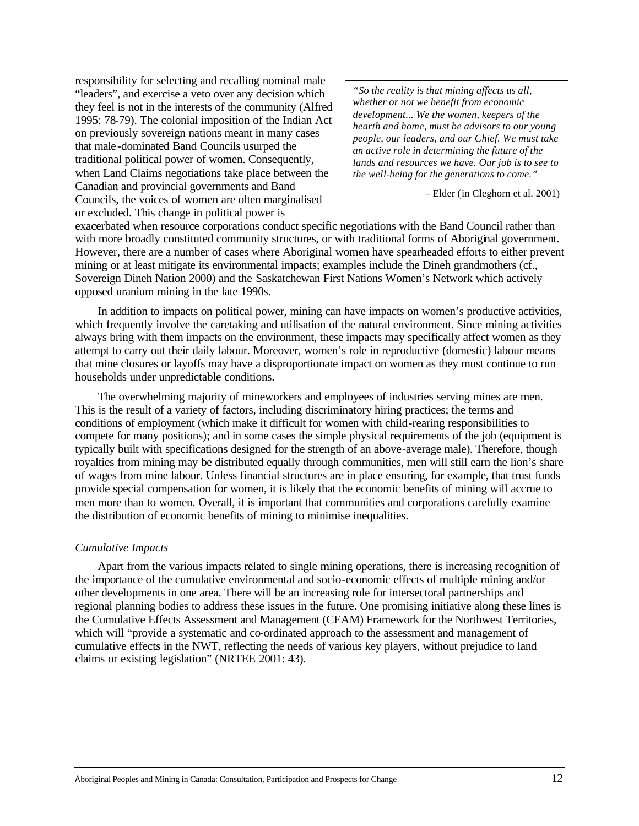responsibility for selecting and recalling nominal male "leaders", and exercise a veto over any decision which they feel is not in the interests of the community (Alfred 1995: 78-79). The colonial imposition of the Indian Act on previously sovereign nations meant in many cases that male-dominated Band Councils usurped the traditional political power of women. Consequently, when Land Claims negotiations take place between the Canadian and provincial governments and Band Councils, the voices of women are often marginalised or excluded. This change in political power is

*"So the reality is that mining affects us all, whether or not we benefit from economic development... We the women, keepers of the hearth and home, must be advisors to our young people, our leaders, and our Chief. We must take an active role in determining the future of the lands and resources we have. Our job is to see to the well-being for the generations to come."*

– Elder (in Cleghorn et al. 2001)

exacerbated when resource corporations conduct specific negotiations with the Band Council rather than with more broadly constituted community structures, or with traditional forms of Aboriginal government. However, there are a number of cases where Aboriginal women have spearheaded efforts to either prevent mining or at least mitigate its environmental impacts; examples include the Dineh grandmothers (cf., Sovereign Dineh Nation 2000) and the Saskatchewan First Nations Women's Network which actively opposed uranium mining in the late 1990s.

In addition to impacts on political power, mining can have impacts on women's productive activities, which frequently involve the caretaking and utilisation of the natural environment. Since mining activities always bring with them impacts on the environment, these impacts may specifically affect women as they attempt to carry out their daily labour. Moreover, women's role in reproductive (domestic) labour means that mine closures or layoffs may have a disproportionate impact on women as they must continue to run households under unpredictable conditions.

The overwhelming majority of mineworkers and employees of industries serving mines are men. This is the result of a variety of factors, including discriminatory hiring practices; the terms and conditions of employment (which make it difficult for women with child-rearing responsibilities to compete for many positions); and in some cases the simple physical requirements of the job (equipment is typically built with specifications designed for the strength of an above-average male). Therefore, though royalties from mining may be distributed equally through communities, men will still earn the lion's share of wages from mine labour. Unless financial structures are in place ensuring, for example, that trust funds provide special compensation for women, it is likely that the economic benefits of mining will accrue to men more than to women. Overall, it is important that communities and corporations carefully examine the distribution of economic benefits of mining to minimise inequalities.

# *Cumulative Impacts*

Apart from the various impacts related to single mining operations, there is increasing recognition of the importance of the cumulative environmental and socio-economic effects of multiple mining and/or other developments in one area. There will be an increasing role for intersectoral partnerships and regional planning bodies to address these issues in the future. One promising initiative along these lines is the Cumulative Effects Assessment and Management (CEAM) Framework for the Northwest Territories, which will "provide a systematic and co-ordinated approach to the assessment and management of cumulative effects in the NWT, reflecting the needs of various key players, without prejudice to land claims or existing legislation" (NRTEE 2001: 43).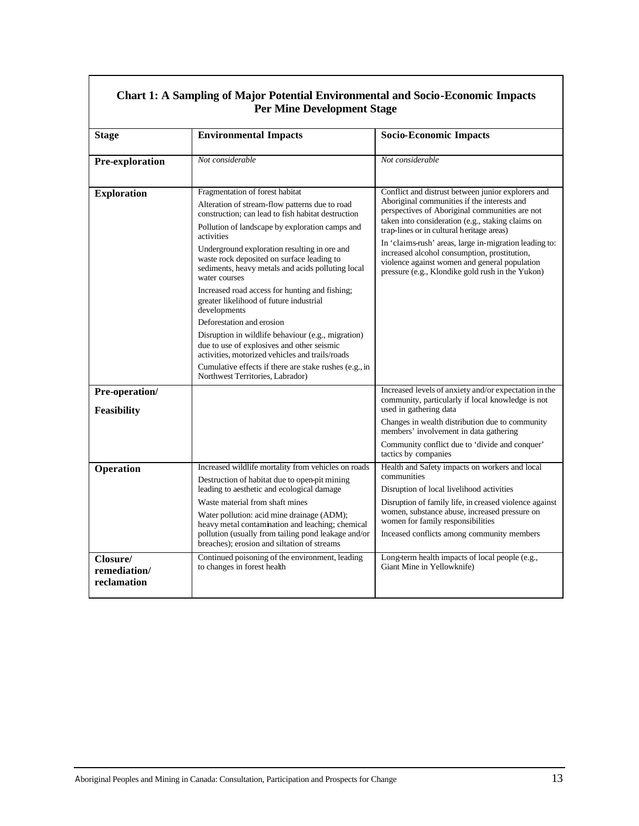| <b>Per Mine Development Stage</b>       |                                                                                                                                                                                                                                                                                                                                                                                                                                                                                                                                                                                                                                                                                                                                                                             |                                                                                                                                                                                                                                                                                                                                                                                                                                                                      |  |
|-----------------------------------------|-----------------------------------------------------------------------------------------------------------------------------------------------------------------------------------------------------------------------------------------------------------------------------------------------------------------------------------------------------------------------------------------------------------------------------------------------------------------------------------------------------------------------------------------------------------------------------------------------------------------------------------------------------------------------------------------------------------------------------------------------------------------------------|----------------------------------------------------------------------------------------------------------------------------------------------------------------------------------------------------------------------------------------------------------------------------------------------------------------------------------------------------------------------------------------------------------------------------------------------------------------------|--|
| <b>Stage</b>                            | <b>Environmental Impacts</b>                                                                                                                                                                                                                                                                                                                                                                                                                                                                                                                                                                                                                                                                                                                                                | <b>Socio-Economic Impacts</b>                                                                                                                                                                                                                                                                                                                                                                                                                                        |  |
| Pre-exploration                         | Not considerable                                                                                                                                                                                                                                                                                                                                                                                                                                                                                                                                                                                                                                                                                                                                                            | Not considerable                                                                                                                                                                                                                                                                                                                                                                                                                                                     |  |
| <b>Exploration</b>                      | Fragmentation of forest habitat<br>Alteration of stream-flow patterns due to road<br>construction; can lead to fish habitat destruction<br>Pollution of landscape by exploration camps and<br>activities<br>Underground exploration resulting in ore and<br>waste rock deposited on surface leading to<br>sediments, heavy metals and acids polluting local<br>water courses<br>Increased road access for hunting and fishing;<br>greater likelihood of future industrial<br>developments<br>Deforestation and erosion<br>Disruption in wildlife behaviour (e.g., migration)<br>due to use of explosives and other seismic<br>activities, motorized vehicles and trails/roads<br>Cumulative effects if there are stake rushes (e.g., in<br>Northwest Territories, Labrador) | Conflict and distrust between junior explorers and<br>Aboriginal communities if the interests and<br>perspectives of Aboriginal communities are not<br>taken into consideration (e.g., staking claims on<br>trap-lines or in cultural heritage areas)<br>In 'claims-rush' areas, large in-migration leading to:<br>increased alcohol consumption, prostitution,<br>violence against women and general population<br>pressure (e.g., Klondike gold rush in the Yukon) |  |
| Pre-operation/<br>Feasibility           |                                                                                                                                                                                                                                                                                                                                                                                                                                                                                                                                                                                                                                                                                                                                                                             | Increased levels of anxiety and/or expectation in the<br>community, particularly if local knowledge is not<br>used in gathering data<br>Changes in wealth distribution due to community                                                                                                                                                                                                                                                                              |  |
|                                         |                                                                                                                                                                                                                                                                                                                                                                                                                                                                                                                                                                                                                                                                                                                                                                             | members' involvement in data gathering<br>Community conflict due to 'divide and conquer'<br>tactics by companies                                                                                                                                                                                                                                                                                                                                                     |  |
| Operation                               | Increased wildlife mortality from vehicles on roads<br>Destruction of habitat due to open-pit mining<br>leading to aesthetic and ecological damage<br>Waste material from shaft mines<br>Water pollution: acid mine drainage (ADM);<br>heavy metal contamination and leaching; chemical<br>pollution (usually from tailing pond leakage and/or<br>breaches); erosion and siltation of streams                                                                                                                                                                                                                                                                                                                                                                               | Health and Safety impacts on workers and local<br>communities<br>Disruption of local livelihood activities<br>Disruption of family life, in creased violence against<br>women, substance abuse, increased pressure on<br>women for family responsibilities<br>Inceased conflicts among community members                                                                                                                                                             |  |
| Closure/<br>remediation/<br>reclamation | Continued poisoning of the environment, leading<br>to changes in forest health                                                                                                                                                                                                                                                                                                                                                                                                                                                                                                                                                                                                                                                                                              | Long-term health impacts of local people (e.g.,<br>Giant Mine in Yellowknife)                                                                                                                                                                                                                                                                                                                                                                                        |  |

# **Chart 1: A Sampling of Major Potential Environmental and Socio-Economic Impacts**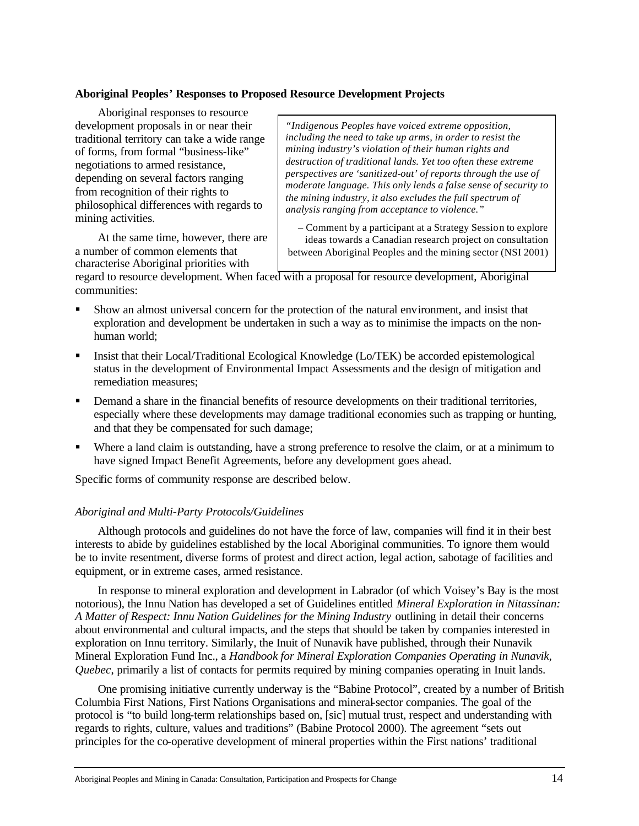# **Aboriginal Peoples' Responses to Proposed Resource Development Projects**

Aboriginal responses to resource development proposals in or near their traditional territory can take a wide range of forms, from formal "business-like" negotiations to armed resistance, depending on several factors ranging from recognition of their rights to philosophical differences with regards to mining activities.

At the same time, however, there are a number of common elements that characterise Aboriginal priorities with

*"Indigenous Peoples have voiced extreme opposition, including the need to take up arms, in order to resist the mining industry's violation of their human rights and destruction of traditional lands. Yet too often these extreme perspectives are 'sanitized-out' of reports through the use of moderate language. This only lends a false sense of security to the mining industry, it also excludes the full spectrum of analysis ranging from acceptance to violence."*

– Comment by a participant at a Strategy Session to explore ideas towards a Canadian research project on consultation between Aboriginal Peoples and the mining sector (NSI 2001)

regard to resource development. When faced with a proposal for resource development, Aboriginal communities:

- ß Show an almost universal concern for the protection of the natural environment, and insist that exploration and development be undertaken in such a way as to minimise the impacts on the nonhuman world;
- ß Insist that their Local/Traditional Ecological Knowledge (Lo/TEK) be accorded epistemological status in the development of Environmental Impact Assessments and the design of mitigation and remediation measures;
- ß Demand a share in the financial benefits of resource developments on their traditional territories, especially where these developments may damage traditional economies such as trapping or hunting, and that they be compensated for such damage;
- Where a land claim is outstanding, have a strong preference to resolve the claim, or at a minimum to have signed Impact Benefit Agreements, before any development goes ahead.

Specific forms of community response are described below.

### *Aboriginal and Multi-Party Protocols/Guidelines*

Although protocols and guidelines do not have the force of law, companies will find it in their best interests to abide by guidelines established by the local Aboriginal communities. To ignore them would be to invite resentment, diverse forms of protest and direct action, legal action, sabotage of facilities and equipment, or in extreme cases, armed resistance.

In response to mineral exploration and development in Labrador (of which Voisey's Bay is the most notorious), the Innu Nation has developed a set of Guidelines entitled *Mineral Exploration in Nitassinan: A Matter of Respect: Innu Nation Guidelines for the Mining Industry* outlining in detail their concerns about environmental and cultural impacts, and the steps that should be taken by companies interested in exploration on Innu territory. Similarly, the Inuit of Nunavik have published, through their Nunavik Mineral Exploration Fund Inc., a *Handbook for Mineral Exploration Companies Operating in Nunavik, Quebec*, primarily a list of contacts for permits required by mining companies operating in Inuit lands.

One promising initiative currently underway is the "Babine Protocol", created by a number of British Columbia First Nations, First Nations Organisations and mineral-sector companies. The goal of the protocol is "to build long-term relationships based on, [sic] mutual trust, respect and understanding with regards to rights, culture, values and traditions" (Babine Protocol 2000). The agreement "sets out principles for the co-operative development of mineral properties within the First nations' traditional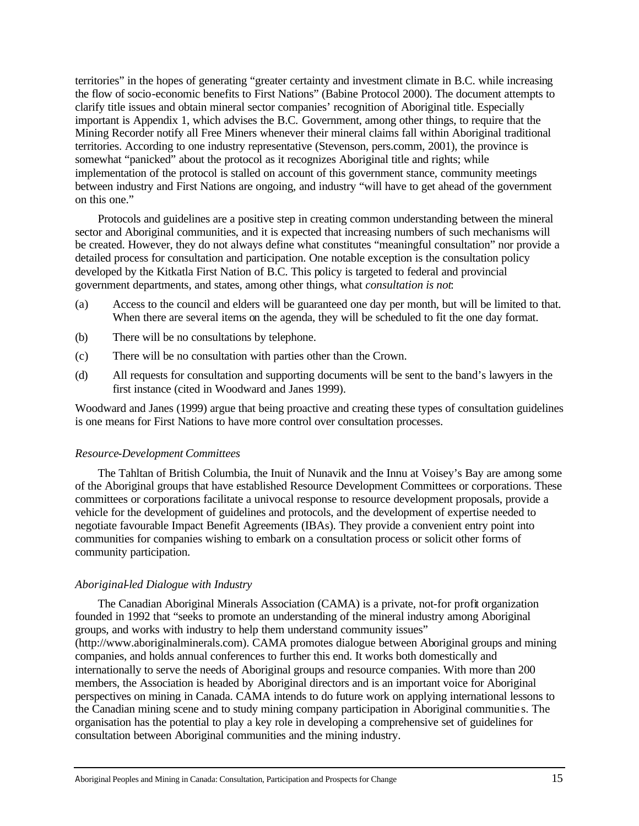territories" in the hopes of generating "greater certainty and investment climate in B.C. while increasing the flow of socio-economic benefits to First Nations" (Babine Protocol 2000). The document attempts to clarify title issues and obtain mineral sector companies' recognition of Aboriginal title. Especially important is Appendix 1, which advises the B.C. Government, among other things, to require that the Mining Recorder notify all Free Miners whenever their mineral claims fall within Aboriginal traditional territories. According to one industry representative (Stevenson, pers.comm, 2001), the province is somewhat "panicked" about the protocol as it recognizes Aboriginal title and rights; while implementation of the protocol is stalled on account of this government stance, community meetings between industry and First Nations are ongoing, and industry "will have to get ahead of the government on this one."

Protocols and guidelines are a positive step in creating common understanding between the mineral sector and Aboriginal communities, and it is expected that increasing numbers of such mechanisms will be created. However, they do not always define what constitutes "meaningful consultation" nor provide a detailed process for consultation and participation. One notable exception is the consultation policy developed by the Kitkatla First Nation of B.C. This policy is targeted to federal and provincial government departments, and states, among other things, what *consultation is not*:

- (a) Access to the council and elders will be guaranteed one day per month, but will be limited to that. When there are several items on the agenda, they will be scheduled to fit the one day format.
- (b) There will be no consultations by telephone.
- (c) There will be no consultation with parties other than the Crown.
- (d) All requests for consultation and supporting documents will be sent to the band's lawyers in the first instance (cited in Woodward and Janes 1999).

Woodward and Janes (1999) argue that being proactive and creating these types of consultation guidelines is one means for First Nations to have more control over consultation processes.

### *Resource-Development Committees*

The Tahltan of British Columbia, the Inuit of Nunavik and the Innu at Voisey's Bay are among some of the Aboriginal groups that have established Resource Development Committees or corporations. These committees or corporations facilitate a univocal response to resource development proposals, provide a vehicle for the development of guidelines and protocols, and the development of expertise needed to negotiate favourable Impact Benefit Agreements (IBAs). They provide a convenient entry point into communities for companies wishing to embark on a consultation process or solicit other forms of community participation.

### *Aboriginal-led Dialogue with Industry*

The Canadian Aboriginal Minerals Association (CAMA) is a private, not-for profit organization founded in 1992 that "seeks to promote an understanding of the mineral industry among Aboriginal groups, and works with industry to help them understand community issues" (http://www.aboriginalminerals.com). CAMA promotes dialogue between Aboriginal groups and mining companies, and holds annual conferences to further this end. It works both domestically and internationally to serve the needs of Aboriginal groups and resource companies. With more than 200 members, the Association is headed by Aboriginal directors and is an important voice for Aboriginal perspectives on mining in Canada. CAMA intends to do future work on applying international lessons to the Canadian mining scene and to study mining company participation in Aboriginal communitie s. The organisation has the potential to play a key role in developing a comprehensive set of guidelines for consultation between Aboriginal communities and the mining industry.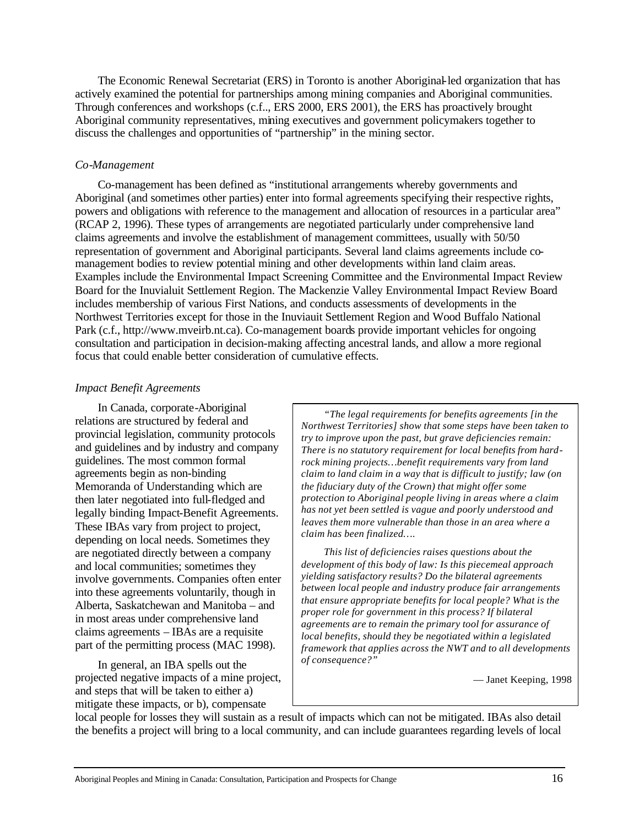The Economic Renewal Secretariat (ERS) in Toronto is another Aboriginal-led organization that has actively examined the potential for partnerships among mining companies and Aboriginal communities. Through conferences and workshops (c.f.., ERS 2000, ERS 2001), the ERS has proactively brought Aboriginal community representatives, mining executives and government policymakers together to discuss the challenges and opportunities of "partnership" in the mining sector.

# *Co-Management*

Co-management has been defined as "institutional arrangements whereby governments and Aboriginal (and sometimes other parties) enter into formal agreements specifying their respective rights, powers and obligations with reference to the management and allocation of resources in a particular area" (RCAP 2, 1996). These types of arrangements are negotiated particularly under comprehensive land claims agreements and involve the establishment of management committees, usually with 50/50 representation of government and Aboriginal participants. Several land claims agreements include comanagement bodies to review potential mining and other developments within land claim areas. Examples include the Environmental Impact Screening Committee and the Environmental Impact Review Board for the Inuvialuit Settlement Region. The Mackenzie Valley Environmental Impact Review Board includes membership of various First Nations, and conducts assessments of developments in the Northwest Territories except for those in the Inuviauit Settlement Region and Wood Buffalo National Park (c.f., http://www.mveirb.nt.ca). Co-management boards provide important vehicles for ongoing consultation and participation in decision-making affecting ancestral lands, and allow a more regional focus that could enable better consideration of cumulative effects.

# *Impact Benefit Agreements*

In Canada, corporate-Aboriginal relations are structured by federal and provincial legislation, community protocols and guidelines and by industry and company guidelines. The most common formal agreements begin as non-binding Memoranda of Understanding which are then later negotiated into full-fledged and legally binding Impact-Benefit Agreements. These IBAs vary from project to project, depending on local needs. Sometimes they are negotiated directly between a company and local communities; sometimes they involve governments. Companies often enter into these agreements voluntarily, though in Alberta, Saskatchewan and Manitoba – and in most areas under comprehensive land claims agreements – IBAs are a requisite part of the permitting process (MAC 1998).

In general, an IBA spells out the projected negative impacts of a mine project, and steps that will be taken to either a) mitigate these impacts, or b), compensate

*"The legal requirements for benefits agreements [in the Northwest Territories] show that some steps have been taken to try to improve upon the past, but grave deficiencies remain: There is no statutory requirement for local benefits from hardrock mining projects…benefit requirements vary from land claim to land claim in a way that is difficult to justify; law (on the fiduciary duty of the Crown) that might offer some protection to Aboriginal people living in areas where a claim has not yet been settled is vague and poorly understood and leaves them more vulnerable than those in an area where a claim has been finalized….*

*This list of deficiencies raises questions about the development of this body of law: Is this piecemeal approach yielding satisfactory results? Do the bilateral agreements between local people and industry produce fair arrangements that ensure appropriate benefits for local people? What is the proper role for government in this process? If bilateral agreements are to remain the primary tool for assurance of local benefits, should they be negotiated within a legislated framework that applies across the NWT and to all developments of consequence?"*

— Janet Keeping, 1998

local people for losses they will sustain as a result of impacts which can not be mitigated. IBAs also detail the benefits a project will bring to a local community, and can include guarantees regarding levels of local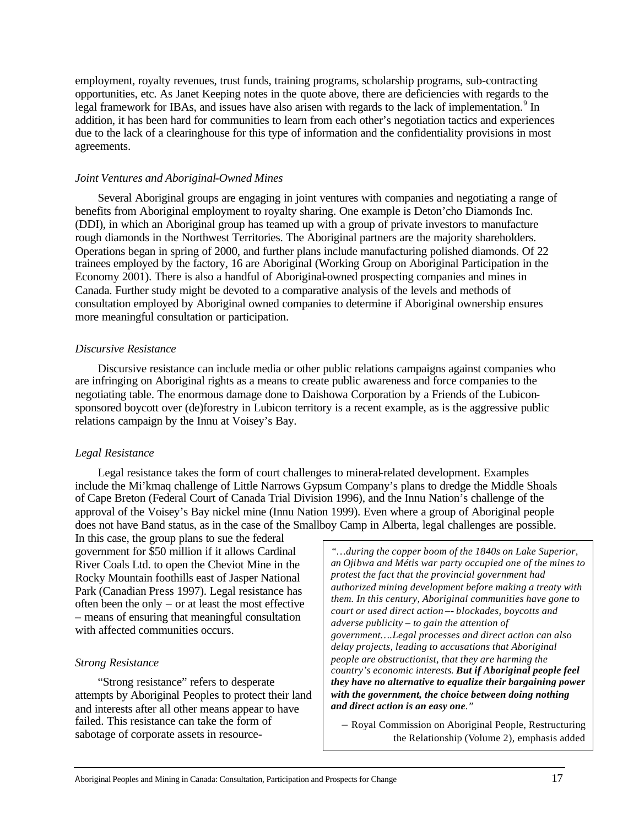employment, royalty revenues, trust funds, training programs, scholarship programs, sub-contracting opportunities, etc. As Janet Keeping notes in the quote above, there are deficiencies with regards to the legal framework for IBAs, and issues have also arisen with regards to the lack of implementation.<sup>9</sup> In addition, it has been hard for communities to learn from each other's negotiation tactics and experiences due to the lack of a clearinghouse for this type of information and the confidentiality provisions in most agreements.

# *Joint Ventures and Aboriginal-Owned Mines*

Several Aboriginal groups are engaging in joint ventures with companies and negotiating a range of benefits from Aboriginal employment to royalty sharing. One example is Deton'cho Diamonds Inc. (DDI), in which an Aboriginal group has teamed up with a group of private investors to manufacture rough diamonds in the Northwest Territories. The Aboriginal partners are the majority shareholders. Operations began in spring of 2000, and further plans include manufacturing polished diamonds. Of 22 trainees employed by the factory, 16 are Aboriginal (Working Group on Aboriginal Participation in the Economy 2001). There is also a handful of Aboriginal-owned prospecting companies and mines in Canada. Further study might be devoted to a comparative analysis of the levels and methods of consultation employed by Aboriginal owned companies to determine if Aboriginal ownership ensures more meaningful consultation or participation.

# *Discursive Resistance*

Discursive resistance can include media or other public relations campaigns against companies who are infringing on Aboriginal rights as a means to create public awareness and force companies to the negotiating table. The enormous damage done to Daishowa Corporation by a Friends of the Lubiconsponsored boycott over (de)forestry in Lubicon territory is a recent example, as is the aggressive public relations campaign by the Innu at Voisey's Bay.

# *Legal Resistance*

Legal resistance takes the form of court challenges to mineral-related development. Examples include the Mi'kmaq challenge of Little Narrows Gypsum Company's plans to dredge the Middle Shoals of Cape Breton (Federal Court of Canada Trial Division 1996), and the Innu Nation's challenge of the approval of the Voisey's Bay nickel mine (Innu Nation 1999). Even where a group of Aboriginal people does not have Band status, as in the case of the Smallboy Camp in Alberta, legal challenges are possible.

In this case, the group plans to sue the federal government for \$50 million if it allows Cardinal River Coals Ltd. to open the Cheviot Mine in the Rocky Mountain foothills east of Jasper National Park (Canadian Press 1997). Legal resistance has often been the only – or at least the most effective – means of ensuring that meaningful consultation with affected communities occurs.

# *Strong Resistance*

"Strong resistance" refers to desperate attempts by Aboriginal Peoples to protect their land and interests after all other means appear to have failed. This resistance can take the form of sabotage of corporate assets in resource-

*"…during the copper boom of the 1840s on Lake Superior, an Ojibwa and Métis war party occupied one of the mines to protest the fact that the provincial government had authorized mining development before making a treaty with them. In this century, Aboriginal communities have gone to court or used direct action –- blockades, boycotts and adverse publicity – to gain the attention of government….Legal processes and direct action can also delay projects, leading to accusations that Aboriginal people are obstructionist, that they are harming the country's economic interests. But if Aboriginal people feel they have no alternative to equalize their bargaining power with the government, the choice between doing nothing and direct action is an easy one."*

– Royal Commission on Aboriginal People, Restructuring the Relationship (Volume 2), emphasis added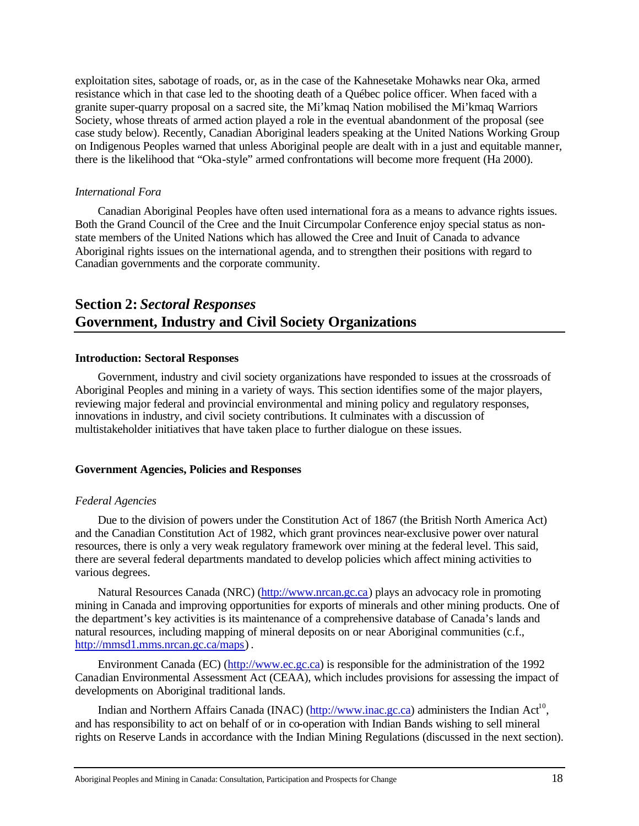exploitation sites, sabotage of roads, or, as in the case of the Kahnesetake Mohawks near Oka, armed resistance which in that case led to the shooting death of a Québec police officer. When faced with a granite super-quarry proposal on a sacred site, the Mi'kmaq Nation mobilised the Mi'kmaq Warriors Society, whose threats of armed action played a role in the eventual abandonment of the proposal (see case study below). Recently, Canadian Aboriginal leaders speaking at the United Nations Working Group on Indigenous Peoples warned that unless Aboriginal people are dealt with in a just and equitable manner, there is the likelihood that "Oka-style" armed confrontations will become more frequent (Ha 2000).

# *International Fora*

Canadian Aboriginal Peoples have often used international fora as a means to advance rights issues. Both the Grand Council of the Cree and the Inuit Circumpolar Conference enjoy special status as nonstate members of the United Nations which has allowed the Cree and Inuit of Canada to advance Aboriginal rights issues on the international agenda, and to strengthen their positions with regard to Canadian governments and the corporate community.

# **Section 2:** *Sectoral Responses* **Government, Industry and Civil Society Organizations**

### **Introduction: Sectoral Responses**

Government, industry and civil society organizations have responded to issues at the crossroads of Aboriginal Peoples and mining in a variety of ways. This section identifies some of the major players, reviewing major federal and provincial environmental and mining policy and regulatory responses, innovations in industry, and civil society contributions. It culminates with a discussion of multistakeholder initiatives that have taken place to further dialogue on these issues.

# **Government Agencies, Policies and Responses**

### *Federal Agencies*

Due to the division of powers under the Constitution Act of 1867 (the British North America Act) and the Canadian Constitution Act of 1982, which grant provinces near-exclusive power over natural resources, there is only a very weak regulatory framework over mining at the federal level. This said, there are several federal departments mandated to develop policies which affect mining activities to various degrees.

Natural Resources Canada (NRC) (http://www.nrcan.gc.ca) plays an advocacy role in promoting mining in Canada and improving opportunities for exports of minerals and other mining products. One of the department's key activities is its maintenance of a comprehensive database of Canada's lands and natural resources, including mapping of mineral deposits on or near Aboriginal communities (c.f., http://mmsd1.mms.nrcan.gc.ca/maps) .

Environment Canada (EC) (http://www.ec.gc.ca) is responsible for the administration of the 1992 Canadian Environmental Assessment Act (CEAA), which includes provisions for assessing the impact of developments on Aboriginal traditional lands.

Indian and Northern Affairs Canada (INAC) (http://www.inac.gc.ca) administers the Indian Act<sup>10</sup>, and has responsibility to act on behalf of or in co-operation with Indian Bands wishing to sell mineral rights on Reserve Lands in accordance with the Indian Mining Regulations (discussed in the next section).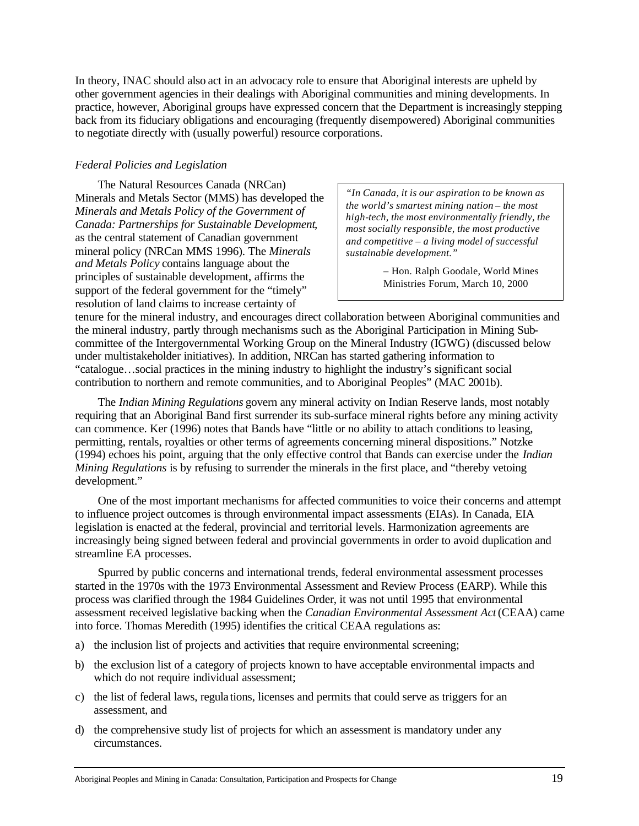In theory, INAC should also act in an advocacy role to ensure that Aboriginal interests are upheld by other government agencies in their dealings with Aboriginal communities and mining developments. In practice, however, Aboriginal groups have expressed concern that the Department is increasingly stepping back from its fiduciary obligations and encouraging (frequently disempowered) Aboriginal communities to negotiate directly with (usually powerful) resource corporations.

# *Federal Policies and Legislation*

The Natural Resources Canada (NRCan) Minerals and Metals Sector (MMS) has developed the *Minerals and Metals Policy of the Government of Canada: Partnerships for Sustainable Development*, as the central statement of Canadian government mineral policy (NRCan MMS 1996). The *Minerals and Metals Policy* contains language about the principles of sustainable development, affirms the support of the federal government for the "timely" resolution of land claims to increase certainty of

*"In Canada, it is our aspiration to be known as the world's smartest mining nation – the most high-tech, the most environmentally friendly, the most socially responsible, the most productive and competitive – a living model of successful sustainable development."* 

> – Hon. Ralph Goodale, World Mines Ministries Forum, March 10, 2000

tenure for the mineral industry, and encourages direct collaboration between Aboriginal communities and the mineral industry, partly through mechanisms such as the Aboriginal Participation in Mining Subcommittee of the Intergovernmental Working Group on the Mineral Industry (IGWG) (discussed below under multistakeholder initiatives). In addition, NRCan has started gathering information to "catalogue…social practices in the mining industry to highlight the industry's significant social contribution to northern and remote communities, and to Aboriginal Peoples" (MAC 2001b).

The *Indian Mining Regulations* govern any mineral activity on Indian Reserve lands, most notably requiring that an Aboriginal Band first surrender its sub-surface mineral rights before any mining activity can commence. Ker (1996) notes that Bands have "little or no ability to attach conditions to leasing, permitting, rentals, royalties or other terms of agreements concerning mineral dispositions." Notzke (1994) echoes his point, arguing that the only effective control that Bands can exercise under the *Indian Mining Regulations* is by refusing to surrender the minerals in the first place, and "thereby vetoing development."

One of the most important mechanisms for affected communities to voice their concerns and attempt to influence project outcomes is through environmental impact assessments (EIAs). In Canada, EIA legislation is enacted at the federal, provincial and territorial levels. Harmonization agreements are increasingly being signed between federal and provincial governments in order to avoid duplication and streamline EA processes.

Spurred by public concerns and international trends, federal environmental assessment processes started in the 1970s with the 1973 Environmental Assessment and Review Process (EARP). While this process was clarified through the 1984 Guidelines Order, it was not until 1995 that environmental assessment received legislative backing when the *Canadian Environmental Assessment Act* (CEAA) came into force. Thomas Meredith (1995) identifies the critical CEAA regulations as:

- a) the inclusion list of projects and activities that require environmental screening;
- b) the exclusion list of a category of projects known to have acceptable environmental impacts and which do not require individual assessment;
- c) the list of federal laws, regula tions, licenses and permits that could serve as triggers for an assessment, and
- d) the comprehensive study list of projects for which an assessment is mandatory under any circumstances.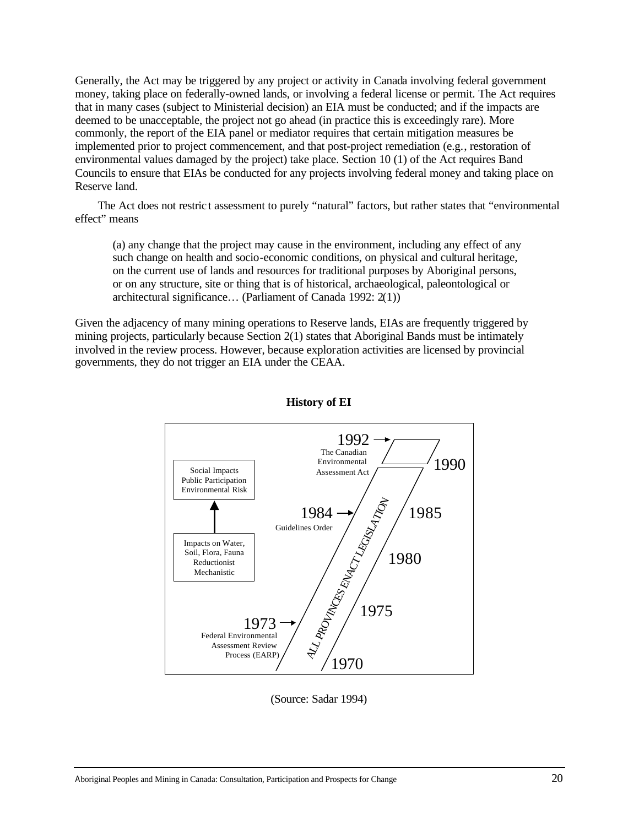Generally, the Act may be triggered by any project or activity in Canada involving federal government money, taking place on federally-owned lands, or involving a federal license or permit. The Act requires that in many cases (subject to Ministerial decision) an EIA must be conducted; and if the impacts are deemed to be unacceptable, the project not go ahead (in practice this is exceedingly rare). More commonly, the report of the EIA panel or mediator requires that certain mitigation measures be implemented prior to project commencement, and that post-project remediation (e.g., restoration of environmental values damaged by the project) take place. Section 10 (1) of the Act requires Band Councils to ensure that EIAs be conducted for any projects involving federal money and taking place on Reserve land.

The Act does not restric t assessment to purely "natural" factors, but rather states that "environmental effect" means

(a) any change that the project may cause in the environment, including any effect of any such change on health and socio-economic conditions, on physical and cultural heritage, on the current use of lands and resources for traditional purposes by Aboriginal persons, or on any structure, site or thing that is of historical, archaeological, paleontological or architectural significance… (Parliament of Canada 1992: 2(1))

Given the adjacency of many mining operations to Reserve lands, EIAs are frequently triggered by mining projects, particularly because Section 2(1) states that Aboriginal Bands must be intimately involved in the review process. However, because exploration activities are licensed by provincial governments, they do not trigger an EIA under the CEAA.



# **History of EI**

(Source: Sadar 1994)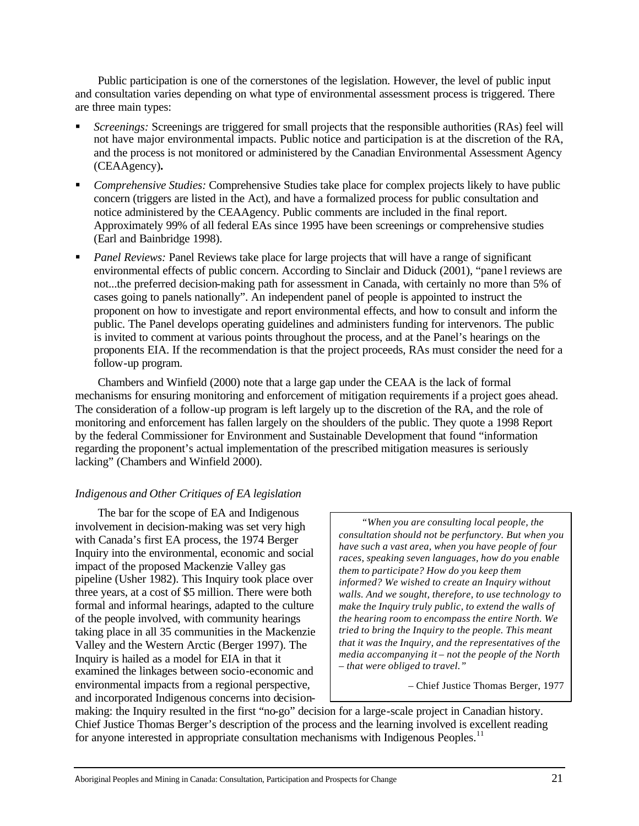Public participation is one of the cornerstones of the legislation. However, the level of public input and consultation varies depending on what type of environmental assessment process is triggered. There are three main types:

- ß *Screenings:* Screenings are triggered for small projects that the responsible authorities (RAs) feel will not have major environmental impacts. Public notice and participation is at the discretion of the RA, and the process is not monitored or administered by the Canadian Environmental Assessment Agency (CEAAgency)**.**
- ß *Comprehensive Studies:* Comprehensive Studies take place for complex projects likely to have public concern (triggers are listed in the Act), and have a formalized process for public consultation and notice administered by the CEAAgency. Public comments are included in the final report. Approximately 99% of all federal EAs since 1995 have been screenings or comprehensive studies (Earl and Bainbridge 1998).
- ß *Panel Reviews:* Panel Reviews take place for large projects that will have a range of significant environmental effects of public concern. According to Sinclair and Diduck (2001), "pane l reviews are not...the preferred decision-making path for assessment in Canada, with certainly no more than 5% of cases going to panels nationally". An independent panel of people is appointed to instruct the proponent on how to investigate and report environmental effects, and how to consult and inform the public. The Panel develops operating guidelines and administers funding for intervenors. The public is invited to comment at various points throughout the process, and at the Panel's hearings on the proponents EIA. If the recommendation is that the project proceeds, RAs must consider the need for a follow-up program.

Chambers and Winfield (2000) note that a large gap under the CEAA is the lack of formal mechanisms for ensuring monitoring and enforcement of mitigation requirements if a project goes ahead. The consideration of a follow-up program is left largely up to the discretion of the RA, and the role of monitoring and enforcement has fallen largely on the shoulders of the public. They quote a 1998 Report by the federal Commissioner for Environment and Sustainable Development that found "information regarding the proponent's actual implementation of the prescribed mitigation measures is seriously lacking" (Chambers and Winfield 2000).

# *Indigenous and Other Critiques of EA legislation*

The bar for the scope of EA and Indigenous involvement in decision-making was set very high with Canada's first EA process, the 1974 Berger Inquiry into the environmental, economic and social impact of the proposed Mackenzie Valley gas pipeline (Usher 1982). This Inquiry took place over three years, at a cost of \$5 million. There were both formal and informal hearings, adapted to the culture of the people involved, with community hearings taking place in all 35 communities in the Mackenzie Valley and the Western Arctic (Berger 1997). The Inquiry is hailed as a model for EIA in that it examined the linkages between socio-economic and environmental impacts from a regional perspective, and incorporated Indigenous concerns into decision-

*"When you are consulting local people, the consultation should not be perfunctory. But when you have such a vast area, when you have people of four races, speaking seven languages, how do you enable them to participate? How do you keep them informed? We wished to create an Inquiry without walls. And we sought, therefore, to use technology to make the Inquiry truly public, to extend the walls of the hearing room to encompass the entire North. We tried to bring the Inquiry to the people. This meant that it was the Inquiry, and the representatives of the media accompanying it – not the people of the North – that were obliged to travel."*

– Chief Justice Thomas Berger, 1977

making: the Inquiry resulted in the first "no-go" decision for a large-scale project in Canadian history. Chief Justice Thomas Berger's description of the process and the learning involved is excellent reading for anyone interested in appropriate consultation mechanisms with Indigenous Peoples.<sup>11</sup>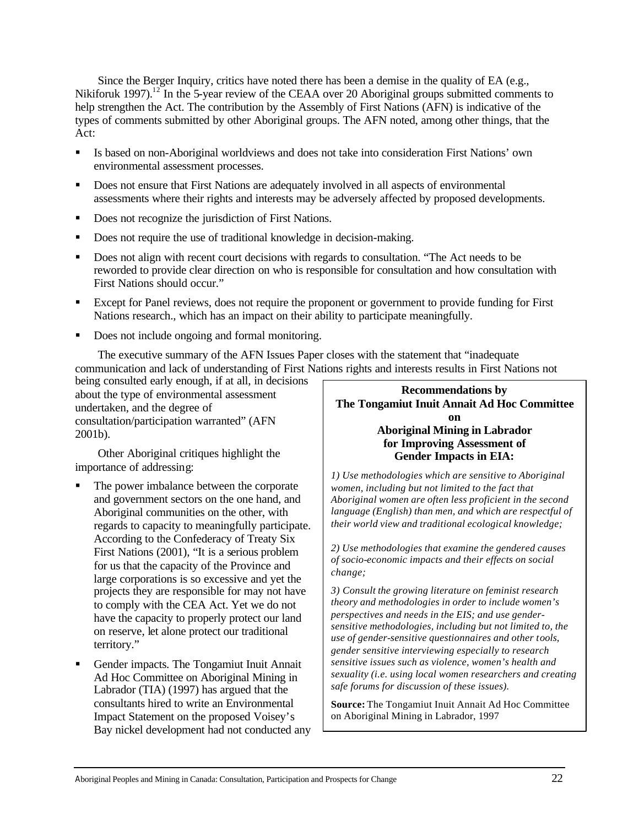Since the Berger Inquiry, critics have noted there has been a demise in the quality of EA (e.g., Nikiforuk 1997).<sup>12</sup> In the 5-year review of the CEAA over 20 Aboriginal groups submitted comments to help strengthen the Act. The contribution by the Assembly of First Nations (AFN) is indicative of the types of comments submitted by other Aboriginal groups. The AFN noted, among other things, that the Act:

- **Example 1** Is based on non-Aboriginal worldviews and does not take into consideration First Nations' own environmental assessment processes.
- ß Does not ensure that First Nations are adequately involved in all aspects of environmental assessments where their rights and interests may be adversely affected by proposed developments.
- Does not recognize the jurisdiction of First Nations.
- Does not require the use of traditional knowledge in decision-making.
- ß Does not align with recent court decisions with regards to consultation. "The Act needs to be reworded to provide clear direction on who is responsible for consultation and how consultation with First Nations should occur."
- ß Except for Panel reviews, does not require the proponent or government to provide funding for First Nations research., which has an impact on their ability to participate meaningfully.
- Does not include ongoing and formal monitoring.

The executive summary of the AFN Issues Paper closes with the statement that "inadequate communication and lack of understanding of First Nations rights and interests results in First Nations not

being consulted early enough, if at all, in decisions about the type of environmental assessment undertaken, and the degree of consultation/participation warranted" (AFN 2001b).

Other Aboriginal critiques highlight the importance of addressing:

- The power imbalance between the corporate and government sectors on the one hand, and Aboriginal communities on the other, with regards to capacity to meaningfully participate. According to the Confederacy of Treaty Six First Nations (2001), "It is a serious problem for us that the capacity of the Province and large corporations is so excessive and yet the projects they are responsible for may not have to comply with the CEA Act. Yet we do not have the capacity to properly protect our land on reserve, let alone protect our traditional territory."
- ß Gender impacts*.* The Tongamiut Inuit Annait Ad Hoc Committee on Aboriginal Mining in Labrador (TIA) (1997) has argued that the consultants hired to write an Environmental Impact Statement on the proposed Voisey's Bay nickel development had not conducted any

**Recommendations by The Tongamiut Inuit Annait Ad Hoc Committee on Aboriginal Mining in Labrador for Improving Assessment of Gender Impacts in EIA:**

*1) Use methodologies which are sensitive to Aboriginal women, including but not limited to the fact that Aboriginal women are often less proficient in the second language (English) than men, and which are respectful of their world view and traditional ecological knowledge;*

*2) Use methodologies that examine the gendered causes of socio-economic impacts and their effects on social change;*

*3) Consult the growing literature on feminist research theory and methodologies in order to include women's perspectives and needs in the EIS; and use gendersensitive methodologies, including but not limited to, the use of gender-sensitive questionnaires and other tools, gender sensitive interviewing especially to research sensitive issues such as violence, women's health and sexuality (i.e. using local women researchers and creating safe forums for discussion of these issues).*

**Source:** The Tongamiut Inuit Annait Ad Hoc Committee on Aboriginal Mining in Labrador, 1997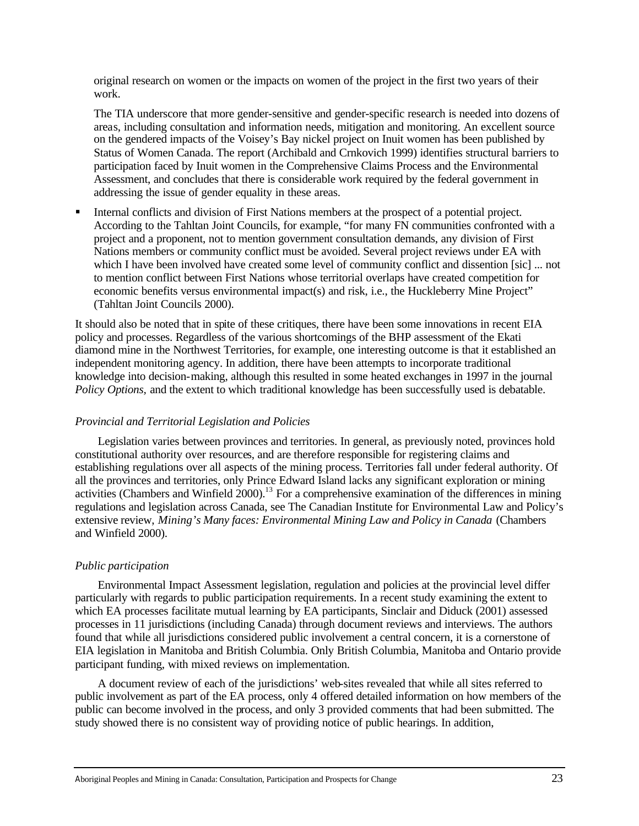original research on women or the impacts on women of the project in the first two years of their work.

The TIA underscore that more gender-sensitive and gender-specific research is needed into dozens of areas, including consultation and information needs, mitigation and monitoring. An excellent source on the gendered impacts of the Voisey's Bay nickel project on Inuit women has been published by Status of Women Canada. The report (Archibald and Crnkovich 1999) identifies structural barriers to participation faced by Inuit women in the Comprehensive Claims Process and the Environmental Assessment, and concludes that there is considerable work required by the federal government in addressing the issue of gender equality in these areas.

ß Internal conflicts and division of First Nations members at the prospect of a potential project. According to the Tahltan Joint Councils, for example, "for many FN communities confronted with a project and a proponent, not to mention government consultation demands, any division of First Nations members or community conflict must be avoided. Several project reviews under EA with which I have been involved have created some level of community conflict and dissention [sic] ... not to mention conflict between First Nations whose territorial overlaps have created competition for economic benefits versus environmental impact(s) and risk, i.e., the Huckleberry Mine Project" (Tahltan Joint Councils 2000).

It should also be noted that in spite of these critiques, there have been some innovations in recent EIA policy and processes. Regardless of the various shortcomings of the BHP assessment of the Ekati diamond mine in the Northwest Territories, for example, one interesting outcome is that it established an independent monitoring agency. In addition, there have been attempts to incorporate traditional knowledge into decision-making, although this resulted in some heated exchanges in 1997 in the journal *Policy Options,* and the extent to which traditional knowledge has been successfully used is debatable.

# *Provincial and Territorial Legislation and Policies*

Legislation varies between provinces and territories. In general, as previously noted, provinces hold constitutional authority over resources, and are therefore responsible for registering claims and establishing regulations over all aspects of the mining process. Territories fall under federal authority. Of all the provinces and territories, only Prince Edward Island lacks any significant exploration or mining activities (Chambers and Winfield 2000).<sup>13</sup> For a comprehensive examination of the differences in mining regulations and legislation across Canada, see The Canadian Institute for Environmental Law and Policy's extensive review, *Mining's Many faces: Environmental Mining Law and Policy in Canada* (Chambers and Winfield 2000).

# *Public participation*

Environmental Impact Assessment legislation, regulation and policies at the provincial level differ particularly with regards to public participation requirements. In a recent study examining the extent to which EA processes facilitate mutual learning by EA participants, Sinclair and Diduck (2001) assessed processes in 11 jurisdictions (including Canada) through document reviews and interviews. The authors found that while all jurisdictions considered public involvement a central concern, it is a cornerstone of EIA legislation in Manitoba and British Columbia. Only British Columbia, Manitoba and Ontario provide participant funding, with mixed reviews on implementation.

A document review of each of the jurisdictions' web-sites revealed that while all sites referred to public involvement as part of the EA process, only 4 offered detailed information on how members of the public can become involved in the process, and only 3 provided comments that had been submitted. The study showed there is no consistent way of providing notice of public hearings. In addition,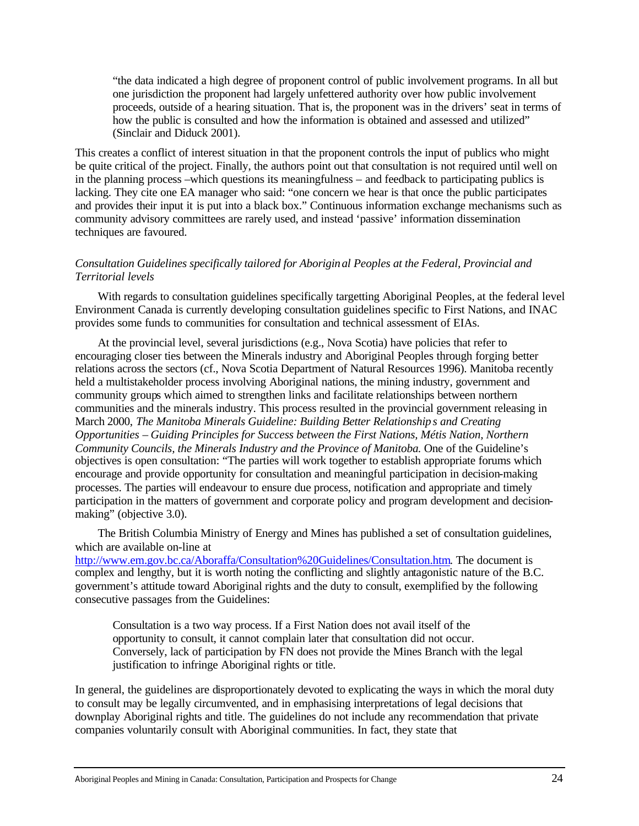"the data indicated a high degree of proponent control of public involvement programs. In all but one jurisdiction the proponent had largely unfettered authority over how public involvement proceeds, outside of a hearing situation. That is, the proponent was in the drivers' seat in terms of how the public is consulted and how the information is obtained and assessed and utilized" (Sinclair and Diduck 2001).

This creates a conflict of interest situation in that the proponent controls the input of publics who might be quite critical of the project. Finally, the authors point out that consultation is not required until well on in the planning process –which questions its meaningfulness – and feedback to participating publics is lacking. They cite one EA manager who said: "one concern we hear is that once the public participates and provides their input it is put into a black box." Continuous information exchange mechanisms such as community advisory committees are rarely used, and instead 'passive' information dissemination techniques are favoured.

# *Consultation Guidelines specifically tailored for Aboriginal Peoples at the Federal, Provincial and Territorial levels*

With regards to consultation guidelines specifically targetting Aboriginal Peoples, at the federal level Environment Canada is currently developing consultation guidelines specific to First Nations, and INAC provides some funds to communities for consultation and technical assessment of EIAs.

At the provincial level, several jurisdictions (e.g., Nova Scotia) have policies that refer to encouraging closer ties between the Minerals industry and Aboriginal Peoples through forging better relations across the sectors (cf., Nova Scotia Department of Natural Resources 1996). Manitoba recently held a multistakeholder process involving Aboriginal nations, the mining industry, government and community groups which aimed to strengthen links and facilitate relationships between northern communities and the minerals industry. This process resulted in the provincial government releasing in March 2000, *The Manitoba Minerals Guideline: Building Better Relationships and Creating Opportunities – Guiding Principles for Success between the First Nations, Métis Nation, Northern Community Councils, the Minerals Industry and the Province of Manitoba.* One of the Guideline's objectives is open consultation: "The parties will work together to establish appropriate forums which encourage and provide opportunity for consultation and meaningful participation in decision-making processes. The parties will endeavour to ensure due process, notification and appropriate and timely participation in the matters of government and corporate policy and program development and decisionmaking" (objective 3.0).

The British Columbia Ministry of Energy and Mines has published a set of consultation guidelines, which are available on-line at

http://www.em.gov.bc.ca/Aboraffa/Consultation%20Guidelines/Consultation.htm. The document is complex and lengthy, but it is worth noting the conflicting and slightly antagonistic nature of the B.C. government's attitude toward Aboriginal rights and the duty to consult, exemplified by the following consecutive passages from the Guidelines:

Consultation is a two way process. If a First Nation does not avail itself of the opportunity to consult, it cannot complain later that consultation did not occur. Conversely, lack of participation by FN does not provide the Mines Branch with the legal justification to infringe Aboriginal rights or title.

In general, the guidelines are disproportionately devoted to explicating the ways in which the moral duty to consult may be legally circumvented, and in emphasising interpretations of legal decisions that downplay Aboriginal rights and title. The guidelines do not include any recommendation that private companies voluntarily consult with Aboriginal communities. In fact, they state that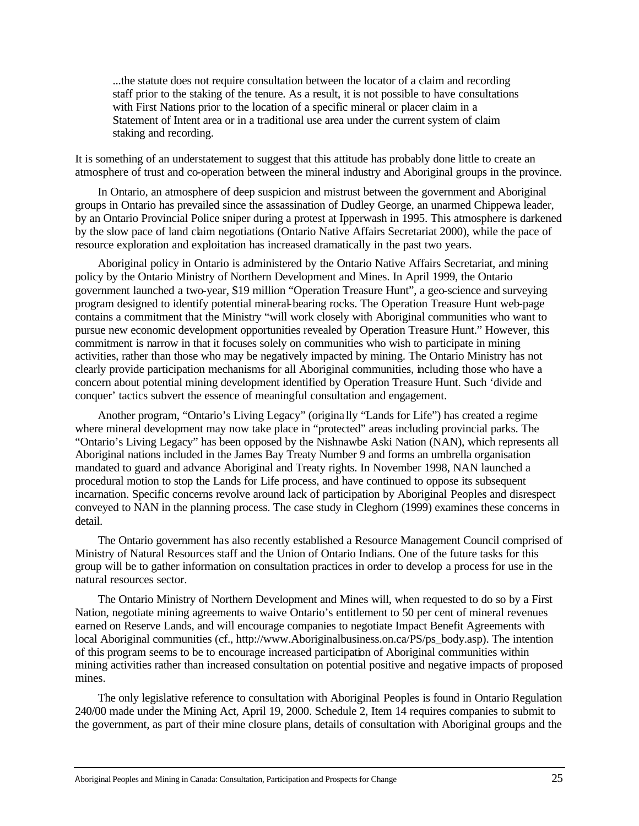...the statute does not require consultation between the locator of a claim and recording staff prior to the staking of the tenure. As a result, it is not possible to have consultations with First Nations prior to the location of a specific mineral or placer claim in a Statement of Intent area or in a traditional use area under the current system of claim staking and recording.

It is something of an understatement to suggest that this attitude has probably done little to create an atmosphere of trust and co-operation between the mineral industry and Aboriginal groups in the province.

In Ontario, an atmosphere of deep suspicion and mistrust between the government and Aboriginal groups in Ontario has prevailed since the assassination of Dudley George, an unarmed Chippewa leader, by an Ontario Provincial Police sniper during a protest at Ipperwash in 1995. This atmosphere is darkened by the slow pace of land claim negotiations (Ontario Native Affairs Secretariat 2000), while the pace of resource exploration and exploitation has increased dramatically in the past two years.

Aboriginal policy in Ontario is administered by the Ontario Native Affairs Secretariat, and mining policy by the Ontario Ministry of Northern Development and Mines. In April 1999, the Ontario government launched a two-year, \$19 million "Operation Treasure Hunt", a geo-science and surveying program designed to identify potential mineral-bearing rocks. The Operation Treasure Hunt web-page contains a commitment that the Ministry "will work closely with Aboriginal communities who want to pursue new economic development opportunities revealed by Operation Treasure Hunt." However, this commitment is narrow in that it focuses solely on communities who wish to participate in mining activities, rather than those who may be negatively impacted by mining. The Ontario Ministry has not clearly provide participation mechanisms for all Aboriginal communities, including those who have a concern about potential mining development identified by Operation Treasure Hunt. Such 'divide and conquer' tactics subvert the essence of meaningful consultation and engagement.

Another program, "Ontario's Living Legacy" (origina lly "Lands for Life") has created a regime where mineral development may now take place in "protected" areas including provincial parks. The "Ontario's Living Legacy" has been opposed by the Nishnawbe Aski Nation (NAN), which represents all Aboriginal nations included in the James Bay Treaty Number 9 and forms an umbrella organisation mandated to guard and advance Aboriginal and Treaty rights. In November 1998, NAN launched a procedural motion to stop the Lands for Life process, and have continued to oppose its subsequent incarnation. Specific concerns revolve around lack of participation by Aboriginal Peoples and disrespect conveyed to NAN in the planning process. The case study in Cleghorn (1999) examines these concerns in detail.

The Ontario government has also recently established a Resource Management Council comprised of Ministry of Natural Resources staff and the Union of Ontario Indians. One of the future tasks for this group will be to gather information on consultation practices in order to develop a process for use in the natural resources sector.

The Ontario Ministry of Northern Development and Mines will, when requested to do so by a First Nation, negotiate mining agreements to waive Ontario's entitlement to 50 per cent of mineral revenues earned on Reserve Lands, and will encourage companies to negotiate Impact Benefit Agreements with local Aboriginal communities (cf., http://www.Aboriginalbusiness.on.ca/PS/ps\_body.asp). The intention of this program seems to be to encourage increased participation of Aboriginal communities within mining activities rather than increased consultation on potential positive and negative impacts of proposed mines.

The only legislative reference to consultation with Aboriginal Peoples is found in Ontario Regulation 240/00 made under the Mining Act, April 19, 2000. Schedule 2, Item 14 requires companies to submit to the government, as part of their mine closure plans, details of consultation with Aboriginal groups and the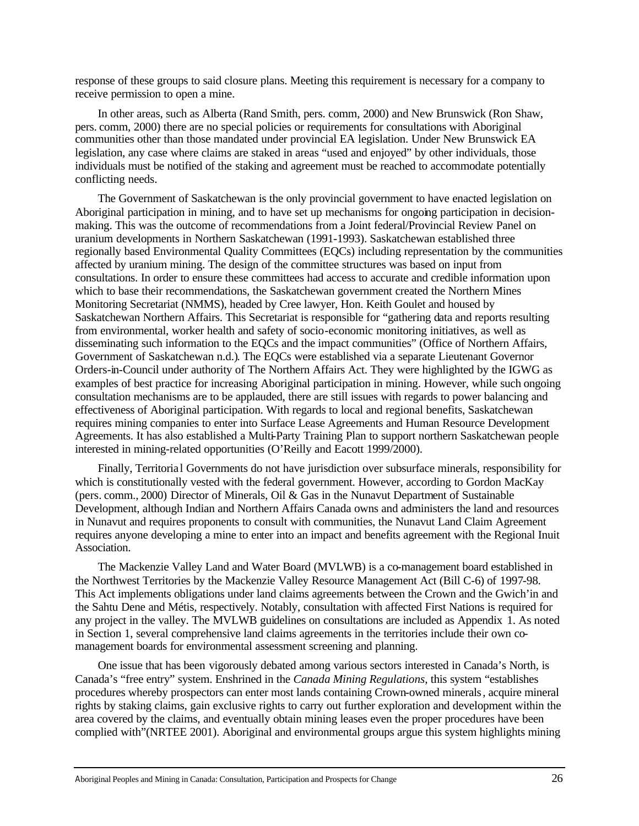response of these groups to said closure plans. Meeting this requirement is necessary for a company to receive permission to open a mine.

In other areas, such as Alberta (Rand Smith, pers. comm, 2000) and New Brunswick (Ron Shaw, pers. comm, 2000) there are no special policies or requirements for consultations with Aboriginal communities other than those mandated under provincial EA legislation. Under New Brunswick EA legislation, any case where claims are staked in areas "used and enjoyed" by other individuals, those individuals must be notified of the staking and agreement must be reached to accommodate potentially conflicting needs.

The Government of Saskatchewan is the only provincial government to have enacted legislation on Aboriginal participation in mining, and to have set up mechanisms for ongoing participation in decisionmaking. This was the outcome of recommendations from a Joint federal/Provincial Review Panel on uranium developments in Northern Saskatchewan (1991-1993). Saskatchewan established three regionally based Environmental Quality Committees (EQCs) including representation by the communities affected by uranium mining. The design of the committee structures was based on input from consultations. In order to ensure these committees had access to accurate and credible information upon which to base their recommendations, the Saskatchewan government created the Northern Mines Monitoring Secretariat (NMMS), headed by Cree lawyer, Hon. Keith Goulet and housed by Saskatchewan Northern Affairs. This Secretariat is responsible for "gathering data and reports resulting from environmental, worker health and safety of socio-economic monitoring initiatives, as well as disseminating such information to the EQCs and the impact communities" (Office of Northern Affairs, Government of Saskatchewan n.d.). The EQCs were established via a separate Lieutenant Governor Orders-in-Council under authority of The Northern Affairs Act. They were highlighted by the IGWG as examples of best practice for increasing Aboriginal participation in mining. However, while such ongoing consultation mechanisms are to be applauded, there are still issues with regards to power balancing and effectiveness of Aboriginal participation. With regards to local and regional benefits, Saskatchewan requires mining companies to enter into Surface Lease Agreements and Human Resource Development Agreements. It has also established a Multi-Party Training Plan to support northern Saskatchewan people interested in mining-related opportunities (O'Reilly and Eacott 1999/2000).

Finally, Territoria l Governments do not have jurisdiction over subsurface minerals, responsibility for which is constitutionally vested with the federal government. However, according to Gordon MacKay (pers. comm., 2000) Director of Minerals, Oil & Gas in the Nunavut Department of Sustainable Development, although Indian and Northern Affairs Canada owns and administers the land and resources in Nunavut and requires proponents to consult with communities, the Nunavut Land Claim Agreement requires anyone developing a mine to enter into an impact and benefits agreement with the Regional Inuit Association.

The Mackenzie Valley Land and Water Board (MVLWB) is a co-management board established in the Northwest Territories by the Mackenzie Valley Resource Management Act (Bill C-6) of 1997-98. This Act implements obligations under land claims agreements between the Crown and the Gwich'in and the Sahtu Dene and Métis, respectively. Notably, consultation with affected First Nations is required for any project in the valley. The MVLWB guidelines on consultations are included as Appendix 1. As noted in Section 1, several comprehensive land claims agreements in the territories include their own comanagement boards for environmental assessment screening and planning.

One issue that has been vigorously debated among various sectors interested in Canada's North, is Canada's "free entry" system. Enshrined in the *Canada Mining Regulations*, this system "establishes procedures whereby prospectors can enter most lands containing Crown-owned minerals, acquire mineral rights by staking claims, gain exclusive rights to carry out further exploration and development within the area covered by the claims, and eventually obtain mining leases even the proper procedures have been complied with"(NRTEE 2001). Aboriginal and environmental groups argue this system highlights mining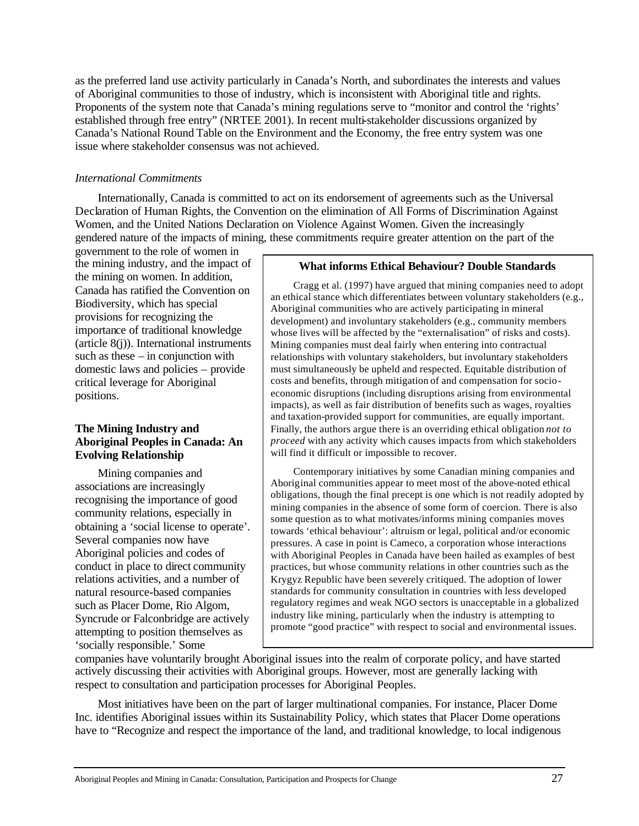as the preferred land use activity particularly in Canada's North, and subordinates the interests and values of Aboriginal communities to those of industry, which is inconsistent with Aboriginal title and rights. Proponents of the system note that Canada's mining regulations serve to "monitor and control the 'rights' established through free entry" (NRTEE 2001). In recent multi-stakeholder discussions organized by Canada's National Round Table on the Environment and the Economy, the free entry system was one issue where stakeholder consensus was not achieved.

# *International Commitments*

Internationally, Canada is committed to act on its endorsement of agreements such as the Universal Declaration of Human Rights, the Convention on the elimination of All Forms of Discrimination Against Women, and the United Nations Declaration on Violence Against Women. Given the increasingly gendered nature of the impacts of mining, these commitments require greater attention on the part of the

government to the role of women in the mining industry, and the impact of the mining on women. In addition, Canada has ratified the Convention on Biodiversity, which has special provisions for recognizing the importance of traditional knowledge (article 8(j)). International instruments such as these  $-$  in conjunction with domestic laws and policies – provide critical leverage for Aboriginal positions.

# **The Mining Industry and Aboriginal Peoples in Canada: An Evolving Relationship**

Mining companies and associations are increasingly recognising the importance of good community relations, especially in obtaining a 'social license to operate'. Several companies now have Aboriginal policies and codes of conduct in place to direct community relations activities, and a number of natural resource-based companies such as Placer Dome, Rio Algom, Syncrude or Falconbridge are actively attempting to position themselves as 'socially responsible.' Some

### **What informs Ethical Behaviour? Double Standards**

Cragg et al. (1997) have argued that mining companies need to adopt an ethical stance which differentiates between voluntary stakeholders (e.g., Aboriginal communities who are actively participating in mineral development) and involuntary stakeholders (e.g., community members whose lives will be affected by the "externalisation" of risks and costs). Mining companies must deal fairly when entering into contractual relationships with voluntary stakeholders, but involuntary stakeholders must simultaneously be upheld and respected. Equitable distribution of costs and benefits, through mitigation of and compensation for socioeconomic disruptions (including disruptions arising from environmental impacts), as well as fair distribution of benefits such as wages, royalties and taxation-provided support for communities, are equally important. Finally, the authors argue there is an overriding ethical obligation *not to proceed* with any activity which causes impacts from which stakeholders will find it difficult or impossible to recover.

Contemporary initiatives by some Canadian mining companies and Aboriginal communities appear to meet most of the above-noted ethical obligations, though the final precept is one which is not readily adopted by mining companies in the absence of some form of coercion. There is also some question as to what motivates/informs mining companies moves towards 'ethical behaviour': altruism or legal, political and/or economic pressures. A case in point is Cameco, a corporation whose interactions with Aboriginal Peoples in Canada have been hailed as examples of best practices, but whose community relations in other countries such as the Krygyz Republic have been severely critiqued. The adoption of lower standards for community consultation in countries with less developed regulatory regimes and weak NGO sectors is unacceptable in a globalized industry like mining, particularly when the industry is attempting to promote "good practice" with respect to social and environmental issues.

companies have voluntarily brought Aboriginal issues into the realm of corporate policy, and have started actively discussing their activities with Aboriginal groups. However, most are generally lacking with respect to consultation and participation processes for Aboriginal Peoples.

Most initiatives have been on the part of larger multinational companies. For instance, Placer Dome Inc. identifies Aboriginal issues within its Sustainability Policy, which states that Placer Dome operations have to "Recognize and respect the importance of the land, and traditional knowledge, to local indigenous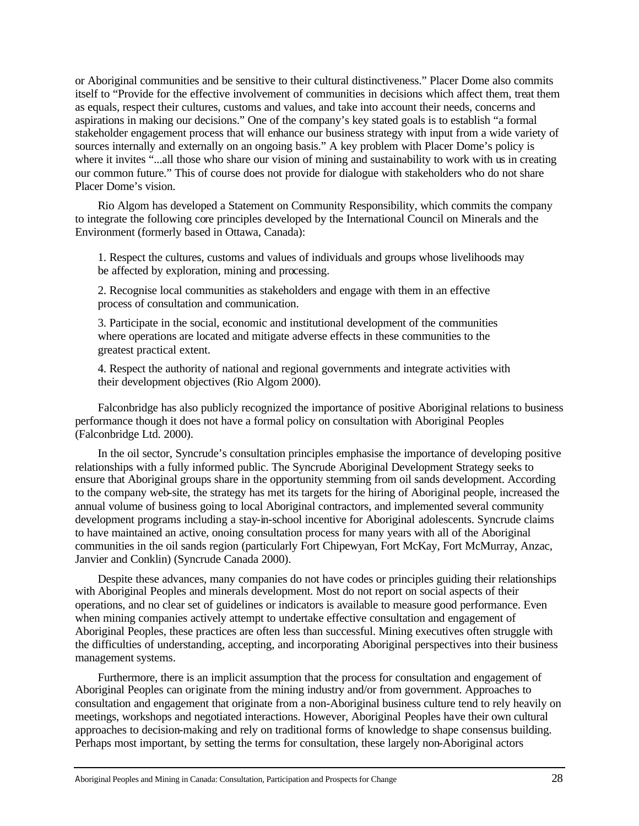or Aboriginal communities and be sensitive to their cultural distinctiveness." Placer Dome also commits itself to "Provide for the effective involvement of communities in decisions which affect them, treat them as equals, respect their cultures, customs and values, and take into account their needs, concerns and aspirations in making our decisions." One of the company's key stated goals is to establish "a formal stakeholder engagement process that will enhance our business strategy with input from a wide variety of sources internally and externally on an ongoing basis." A key problem with Placer Dome's policy is where it invites "...all those who share our vision of mining and sustainability to work with us in creating our common future." This of course does not provide for dialogue with stakeholders who do not share Placer Dome's vision.

Rio Algom has developed a Statement on Community Responsibility, which commits the company to integrate the following core principles developed by the International Council on Minerals and the Environment (formerly based in Ottawa, Canada):

1. Respect the cultures, customs and values of individuals and groups whose livelihoods may be affected by exploration, mining and processing.

2. Recognise local communities as stakeholders and engage with them in an effective process of consultation and communication.

3. Participate in the social, economic and institutional development of the communities where operations are located and mitigate adverse effects in these communities to the greatest practical extent.

4. Respect the authority of national and regional governments and integrate activities with their development objectives (Rio Algom 2000).

Falconbridge has also publicly recognized the importance of positive Aboriginal relations to business performance though it does not have a formal policy on consultation with Aboriginal Peoples (Falconbridge Ltd. 2000).

In the oil sector, Syncrude's consultation principles emphasise the importance of developing positive relationships with a fully informed public. The Syncrude Aboriginal Development Strategy seeks to ensure that Aboriginal groups share in the opportunity stemming from oil sands development. According to the company web-site, the strategy has met its targets for the hiring of Aboriginal people, increased the annual volume of business going to local Aboriginal contractors, and implemented several community development programs including a stay-in-school incentive for Aboriginal adolescents. Syncrude claims to have maintained an active, onoing consultation process for many years with all of the Aboriginal communities in the oil sands region (particularly Fort Chipewyan, Fort McKay, Fort McMurray, Anzac, Janvier and Conklin) (Syncrude Canada 2000).

Despite these advances, many companies do not have codes or principles guiding their relationships with Aboriginal Peoples and minerals development. Most do not report on social aspects of their operations, and no clear set of guidelines or indicators is available to measure good performance. Even when mining companies actively attempt to undertake effective consultation and engagement of Aboriginal Peoples, these practices are often less than successful. Mining executives often struggle with the difficulties of understanding, accepting, and incorporating Aboriginal perspectives into their business management systems.

Furthermore, there is an implicit assumption that the process for consultation and engagement of Aboriginal Peoples can originate from the mining industry and/or from government. Approaches to consultation and engagement that originate from a non-Aboriginal business culture tend to rely heavily on meetings, workshops and negotiated interactions. However, Aboriginal Peoples have their own cultural approaches to decision-making and rely on traditional forms of knowledge to shape consensus building. Perhaps most important, by setting the terms for consultation, these largely non-Aboriginal actors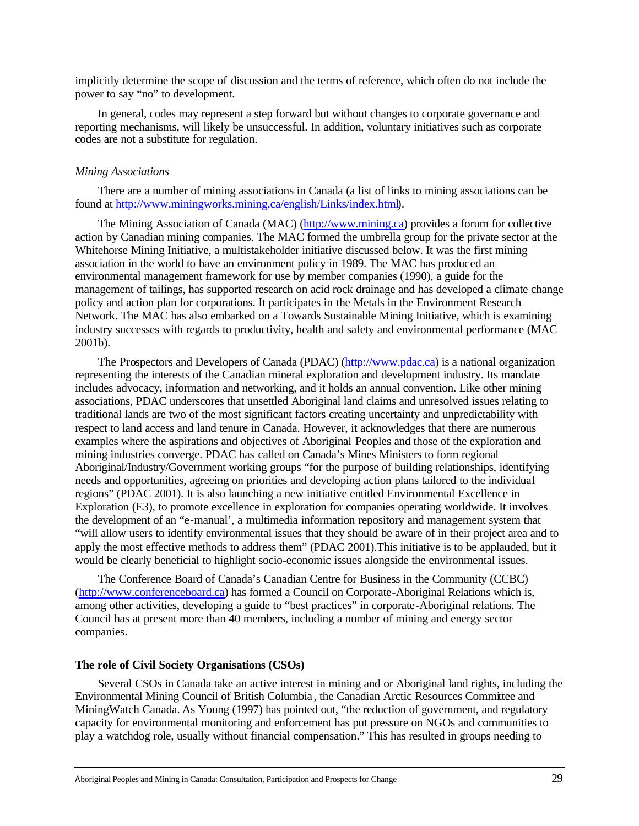implicitly determine the scope of discussion and the terms of reference, which often do not include the power to say "no" to development.

In general, codes may represent a step forward but without changes to corporate governance and reporting mechanisms, will likely be unsuccessful. In addition, voluntary initiatives such as corporate codes are not a substitute for regulation.

### *Mining Associations*

There are a number of mining associations in Canada (a list of links to mining associations can be found at http://www.miningworks.mining.ca/english/Links/index.html).

The Mining Association of Canada (MAC) (http://www.mining.ca) provides a forum for collective action by Canadian mining companies. The MAC formed the umbrella group for the private sector at the Whitehorse Mining Initiative, a multistakeholder initiative discussed below. It was the first mining association in the world to have an environment policy in 1989. The MAC has produced an environmental management framework for use by member companies (1990), a guide for the management of tailings, has supported research on acid rock drainage and has developed a climate change policy and action plan for corporations. It participates in the Metals in the Environment Research Network. The MAC has also embarked on a Towards Sustainable Mining Initiative, which is examining industry successes with regards to productivity, health and safety and environmental performance (MAC 2001b).

The Prospectors and Developers of Canada (PDAC) (http://www.pdac.ca) is a national organization representing the interests of the Canadian mineral exploration and development industry. Its mandate includes advocacy, information and networking, and it holds an annual convention. Like other mining associations, PDAC underscores that unsettled Aboriginal land claims and unresolved issues relating to traditional lands are two of the most significant factors creating uncertainty and unpredictability with respect to land access and land tenure in Canada. However, it acknowledges that there are numerous examples where the aspirations and objectives of Aboriginal Peoples and those of the exploration and mining industries converge. PDAC has called on Canada's Mines Ministers to form regional Aboriginal/Industry/Government working groups "for the purpose of building relationships, identifying needs and opportunities, agreeing on priorities and developing action plans tailored to the individual regions" (PDAC 2001). It is also launching a new initiative entitled Environmental Excellence in Exploration (E3), to promote excellence in exploration for companies operating worldwide. It involves the development of an "e-manual', a multimedia information repository and management system that "will allow users to identify environmental issues that they should be aware of in their project area and to apply the most effective methods to address them" (PDAC 2001).This initiative is to be applauded, but it would be clearly beneficial to highlight socio-economic issues alongside the environmental issues.

The Conference Board of Canada's Canadian Centre for Business in the Community (CCBC) (http://www.conferenceboard.ca) has formed a Council on Corporate-Aboriginal Relations which is, among other activities, developing a guide to "best practices" in corporate-Aboriginal relations. The Council has at present more than 40 members, including a number of mining and energy sector companies.

# **The role of Civil Society Organisations (CSOs)**

Several CSOs in Canada take an active interest in mining and or Aboriginal land rights, including the Environmental Mining Council of British Columbia , the Canadian Arctic Resources Committee and MiningWatch Canada. As Young (1997) has pointed out, "the reduction of government, and regulatory capacity for environmental monitoring and enforcement has put pressure on NGOs and communities to play a watchdog role, usually without financial compensation." This has resulted in groups needing to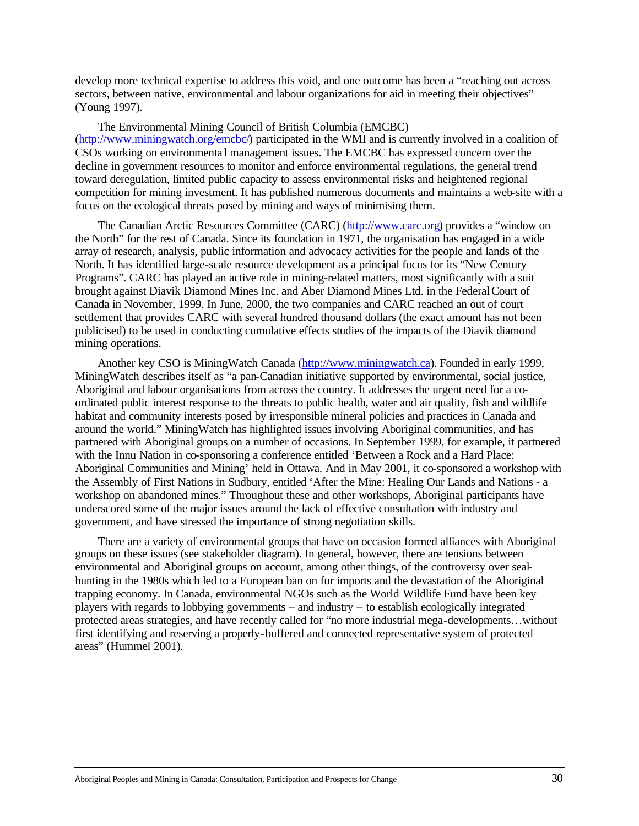develop more technical expertise to address this void, and one outcome has been a "reaching out across sectors, between native, environmental and labour organizations for aid in meeting their objectives" (Young 1997).

The Environmental Mining Council of British Columbia (EMCBC) (http://www.miningwatch.org/emcbc/) participated in the WMI and is currently involved in a coalition of CSOs working on environmenta l management issues. The EMCBC has expressed concern over the decline in government resources to monitor and enforce environmental regulations, the general trend toward deregulation, limited public capacity to assess environmental risks and heightened regional competition for mining investment. It has published numerous documents and maintains a web-site with a focus on the ecological threats posed by mining and ways of minimising them.

The Canadian Arctic Resources Committee (CARC) (http://www.carc.org) provides a "window on the North" for the rest of Canada. Since its foundation in 1971, the organisation has engaged in a wide array of research, analysis, public information and advocacy activities for the people and lands of the North. It has identified large-scale resource development as a principal focus for its "New Century Programs". CARC has played an active role in mining-related matters, most significantly with a suit brought against Diavik Diamond Mines Inc. and Aber Diamond Mines Ltd. in the Federal Court of Canada in November, 1999. In June, 2000, the two companies and CARC reached an out of court settlement that provides CARC with several hundred thousand dollars (the exact amount has not been publicised) to be used in conducting cumulative effects studies of the impacts of the Diavik diamond mining operations.

Another key CSO is MiningWatch Canada (http://www.miningwatch.ca). Founded in early 1999, MiningWatch describes itself as "a pan-Canadian initiative supported by environmental, social justice, Aboriginal and labour organisations from across the country. It addresses the urgent need for a coordinated public interest response to the threats to public health, water and air quality, fish and wildlife habitat and community interests posed by irresponsible mineral policies and practices in Canada and around the world." MiningWatch has highlighted issues involving Aboriginal communities, and has partnered with Aboriginal groups on a number of occasions. In September 1999, for example, it partnered with the Innu Nation in co-sponsoring a conference entitled 'Between a Rock and a Hard Place: Aboriginal Communities and Mining' held in Ottawa. And in May 2001, it co-sponsored a workshop with the Assembly of First Nations in Sudbury, entitled 'After the Mine: Healing Our Lands and Nations - a workshop on abandoned mines." Throughout these and other workshops, Aboriginal participants have underscored some of the major issues around the lack of effective consultation with industry and government, and have stressed the importance of strong negotiation skills.

There are a variety of environmental groups that have on occasion formed alliances with Aboriginal groups on these issues (see stakeholder diagram). In general, however, there are tensions between environmental and Aboriginal groups on account, among other things, of the controversy over sealhunting in the 1980s which led to a European ban on fur imports and the devastation of the Aboriginal trapping economy. In Canada, environmental NGOs such as the World Wildlife Fund have been key players with regards to lobbying governments – and industry – to establish ecologically integrated protected areas strategies, and have recently called for "no more industrial mega-developments…without first identifying and reserving a properly-buffered and connected representative system of protected areas" (Hummel 2001).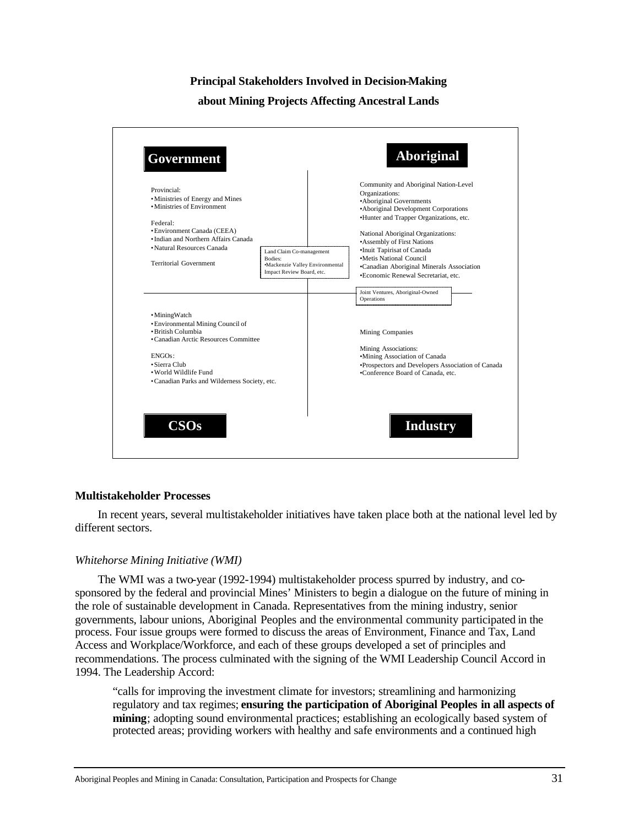# **Principal Stakeholders Involved in Decision-Making**

### **about Mining Projects Affecting Ancestral Lands**



### **Multistakeholder Processes**

In recent years, several multistakeholder initiatives have taken place both at the national level led by different sectors.

### *Whitehorse Mining Initiative (WMI)*

The WMI was a two-year (1992-1994) multistakeholder process spurred by industry, and cosponsored by the federal and provincial Mines' Ministers to begin a dialogue on the future of mining in the role of sustainable development in Canada. Representatives from the mining industry, senior governments, labour unions, Aboriginal Peoples and the environmental community participated in the process. Four issue groups were formed to discuss the areas of Environment, Finance and Tax, Land Access and Workplace/Workforce, and each of these groups developed a set of principles and recommendations. The process culminated with the signing of the WMI Leadership Council Accord in 1994. The Leadership Accord:

"calls for improving the investment climate for investors; streamlining and harmonizing regulatory and tax regimes; **ensuring the participation of Aboriginal Peoples in all aspects of mining**; adopting sound environmental practices; establishing an ecologically based system of protected areas; providing workers with healthy and safe environments and a continued high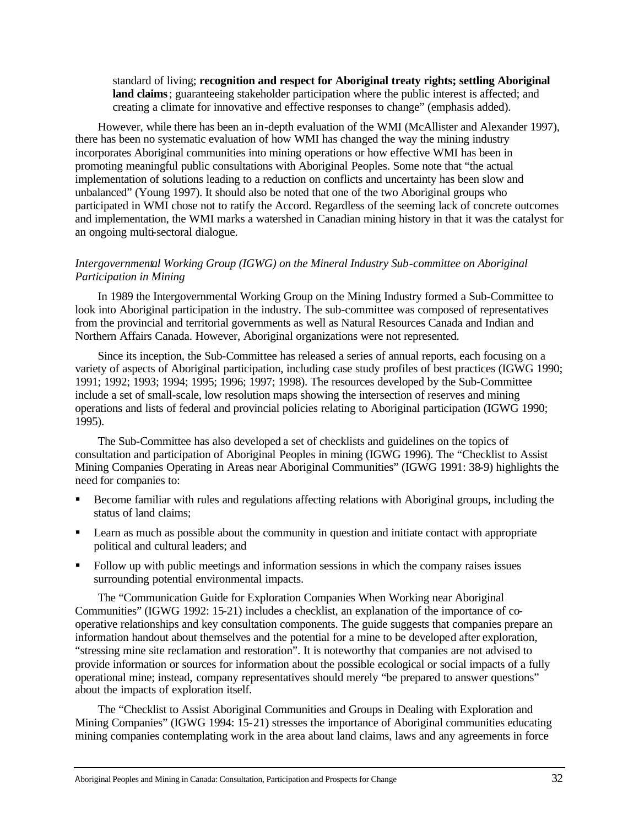standard of living; **recognition and respect for Aboriginal treaty rights; settling Aboriginal land claims**; guaranteeing stakeholder participation where the public interest is affected; and creating a climate for innovative and effective responses to change" (emphasis added).

However, while there has been an in-depth evaluation of the WMI (McAllister and Alexander 1997), there has been no systematic evaluation of how WMI has changed the way the mining industry incorporates Aboriginal communities into mining operations or how effective WMI has been in promoting meaningful public consultations with Aboriginal Peoples. Some note that "the actual implementation of solutions leading to a reduction on conflicts and uncertainty has been slow and unbalanced" (Young 1997). It should also be noted that one of the two Aboriginal groups who participated in WMI chose not to ratify the Accord. Regardless of the seeming lack of concrete outcomes and implementation, the WMI marks a watershed in Canadian mining history in that it was the catalyst for an ongoing multi-sectoral dialogue.

# *Intergovernmental Working Group (IGWG) on the Mineral Industry Sub-committee on Aboriginal Participation in Mining*

In 1989 the Intergovernmental Working Group on the Mining Industry formed a Sub-Committee to look into Aboriginal participation in the industry. The sub-committee was composed of representatives from the provincial and territorial governments as well as Natural Resources Canada and Indian and Northern Affairs Canada. However, Aboriginal organizations were not represented.

Since its inception, the Sub-Committee has released a series of annual reports, each focusing on a variety of aspects of Aboriginal participation, including case study profiles of best practices (IGWG 1990; 1991; 1992; 1993; 1994; 1995; 1996; 1997; 1998). The resources developed by the Sub-Committee include a set of small-scale, low resolution maps showing the intersection of reserves and mining operations and lists of federal and provincial policies relating to Aboriginal participation (IGWG 1990; 1995).

The Sub-Committee has also developed a set of checklists and guidelines on the topics of consultation and participation of Aboriginal Peoples in mining (IGWG 1996). The "Checklist to Assist Mining Companies Operating in Areas near Aboriginal Communities" (IGWG 1991: 38-9) highlights the need for companies to:

- ß Become familiar with rules and regulations affecting relations with Aboriginal groups, including the status of land claims;
- ß Learn as much as possible about the community in question and initiate contact with appropriate political and cultural leaders; and
- ß Follow up with public meetings and information sessions in which the company raises issues surrounding potential environmental impacts.

The "Communication Guide for Exploration Companies When Working near Aboriginal Communities" (IGWG 1992: 15-21) includes a checklist, an explanation of the importance of cooperative relationships and key consultation components. The guide suggests that companies prepare an information handout about themselves and the potential for a mine to be developed after exploration, "stressing mine site reclamation and restoration". It is noteworthy that companies are not advised to provide information or sources for information about the possible ecological or social impacts of a fully operational mine; instead, company representatives should merely "be prepared to answer questions" about the impacts of exploration itself.

The "Checklist to Assist Aboriginal Communities and Groups in Dealing with Exploration and Mining Companies" (IGWG 1994: 15-21) stresses the importance of Aboriginal communities educating mining companies contemplating work in the area about land claims, laws and any agreements in force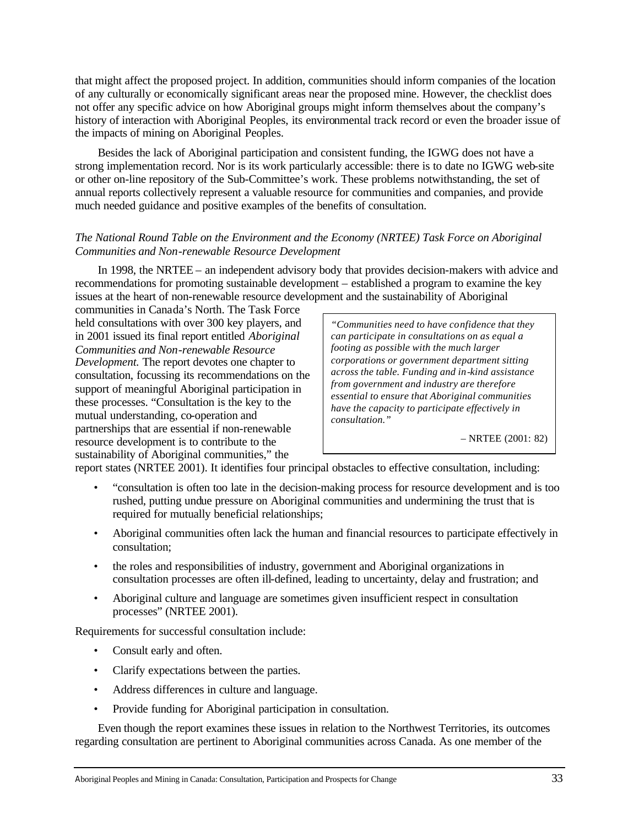that might affect the proposed project. In addition, communities should inform companies of the location of any culturally or economically significant areas near the proposed mine. However, the checklist does not offer any specific advice on how Aboriginal groups might inform themselves about the company's history of interaction with Aboriginal Peoples, its environmental track record or even the broader issue of the impacts of mining on Aboriginal Peoples.

Besides the lack of Aboriginal participation and consistent funding, the IGWG does not have a strong implementation record. Nor is its work particularly accessible: there is to date no IGWG web-site or other on-line repository of the Sub-Committee's work. These problems notwithstanding, the set of annual reports collectively represent a valuable resource for communities and companies, and provide much needed guidance and positive examples of the benefits of consultation.

# *The National Round Table on the Environment and the Economy (NRTEE) Task Force on Aboriginal Communities and Non-renewable Resource Development*

In 1998, the NRTEE – an independent advisory body that provides decision-makers with advice and recommendations for promoting sustainable development – established a program to examine the key issues at the heart of non-renewable resource development and the sustainability of Aboriginal

communities in Canada's North. The Task Force held consultations with over 300 key players, and in 2001 issued its final report entitled *Aboriginal Communities and Non-renewable Resource Development.* The report devotes one chapter to consultation, focussing its recommendations on the support of meaningful Aboriginal participation in these processes. "Consultation is the key to the mutual understanding, co-operation and partnerships that are essential if non-renewable resource development is to contribute to the sustainability of Aboriginal communities," the

*"Communities need to have confidence that they can participate in consultations on as equal a footing as possible with the much larger corporations or government department sitting across the table. Funding and in-kind assistance from government and industry are therefore essential to ensure that Aboriginal communities have the capacity to participate effectively in consultation."*

– NRTEE (2001: 82)

report states (NRTEE 2001). It identifies four principal obstacles to effective consultation, including:

- "consultation is often too late in the decision-making process for resource development and is too rushed, putting undue pressure on Aboriginal communities and undermining the trust that is required for mutually beneficial relationships;
- Aboriginal communities often lack the human and financial resources to participate effectively in consultation;
- the roles and responsibilities of industry, government and Aboriginal organizations in consultation processes are often ill-defined, leading to uncertainty, delay and frustration; and
- Aboriginal culture and language are sometimes given insufficient respect in consultation processes" (NRTEE 2001).

Requirements for successful consultation include:

- Consult early and often.
- Clarify expectations between the parties.
- Address differences in culture and language.
- Provide funding for Aboriginal participation in consultation.

Even though the report examines these issues in relation to the Northwest Territories, its outcomes regarding consultation are pertinent to Aboriginal communities across Canada. As one member of the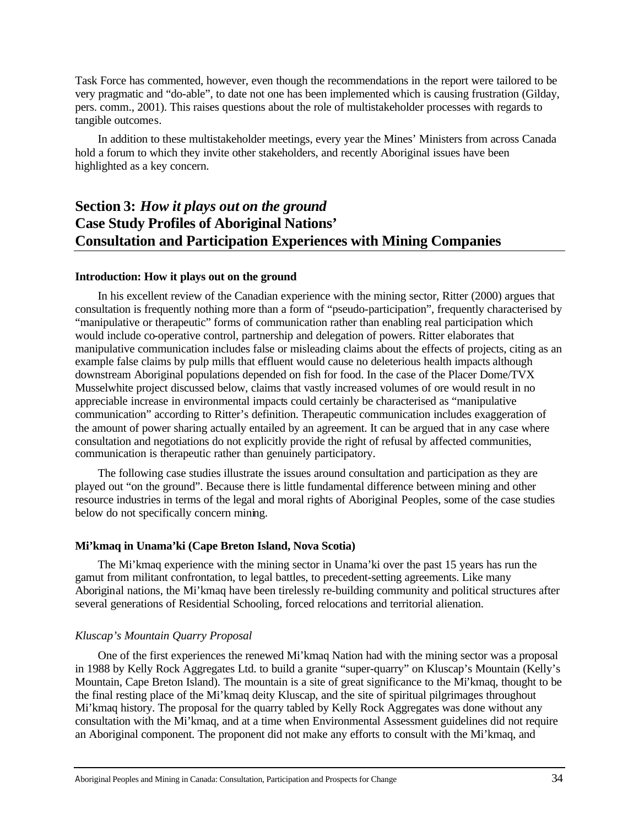Task Force has commented, however, even though the recommendations in the report were tailored to be very pragmatic and "do-able", to date not one has been implemented which is causing frustration (Gilday, pers. comm., 2001). This raises questions about the role of multistakeholder processes with regards to tangible outcomes.

In addition to these multistakeholder meetings, every year the Mines' Ministers from across Canada hold a forum to which they invite other stakeholders, and recently Aboriginal issues have been highlighted as a key concern.

# **Section 3:** *How it plays out on the ground* **Case Study Profiles of Aboriginal Nations' Consultation and Participation Experiences with Mining Companies**

### **Introduction: How it plays out on the ground**

In his excellent review of the Canadian experience with the mining sector, Ritter (2000) argues that consultation is frequently nothing more than a form of "pseudo-participation", frequently characterised by "manipulative or therapeutic" forms of communication rather than enabling real participation which would include co-operative control, partnership and delegation of powers. Ritter elaborates that manipulative communication includes false or misleading claims about the effects of projects, citing as an example false claims by pulp mills that effluent would cause no deleterious health impacts although downstream Aboriginal populations depended on fish for food. In the case of the Placer Dome/TVX Musselwhite project discussed below, claims that vastly increased volumes of ore would result in no appreciable increase in environmental impacts could certainly be characterised as "manipulative communication" according to Ritter's definition. Therapeutic communication includes exaggeration of the amount of power sharing actually entailed by an agreement. It can be argued that in any case where consultation and negotiations do not explicitly provide the right of refusal by affected communities, communication is therapeutic rather than genuinely participatory.

The following case studies illustrate the issues around consultation and participation as they are played out "on the ground". Because there is little fundamental difference between mining and other resource industries in terms of the legal and moral rights of Aboriginal Peoples, some of the case studies below do not specifically concern mining.

### **Mi'kmaq in Unama'ki (Cape Breton Island, Nova Scotia)**

The Mi'kmaq experience with the mining sector in Unama'ki over the past 15 years has run the gamut from militant confrontation, to legal battles, to precedent-setting agreements. Like many Aboriginal nations, the Mi'kmaq have been tirelessly re-building community and political structures after several generations of Residential Schooling, forced relocations and territorial alienation.

# *Kluscap's Mountain Quarry Proposal*

One of the first experiences the renewed Mi'kmaq Nation had with the mining sector was a proposal in 1988 by Kelly Rock Aggregates Ltd. to build a granite "super-quarry" on Kluscap's Mountain (Kelly's Mountain, Cape Breton Island). The mountain is a site of great significance to the Mi'kmaq, thought to be the final resting place of the Mi'kmaq deity Kluscap, and the site of spiritual pilgrimages throughout Mi'kmaq history. The proposal for the quarry tabled by Kelly Rock Aggregates was done without any consultation with the Mi'kmaq, and at a time when Environmental Assessment guidelines did not require an Aboriginal component. The proponent did not make any efforts to consult with the Mi'kmaq, and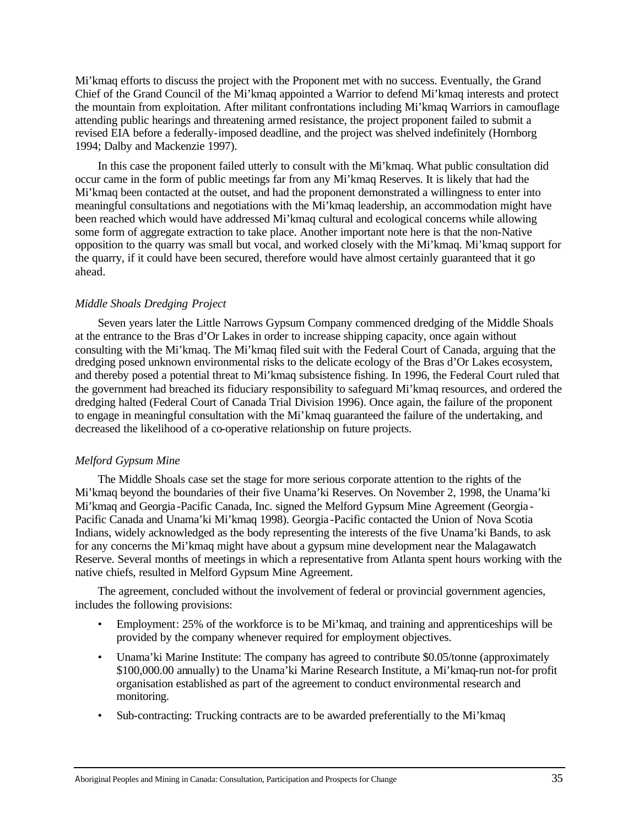Mi'kmaq efforts to discuss the project with the Proponent met with no success. Eventually, the Grand Chief of the Grand Council of the Mi'kmaq appointed a Warrior to defend Mi'kmaq interests and protect the mountain from exploitation. After militant confrontations including Mi'kmaq Warriors in camouflage attending public hearings and threatening armed resistance, the project proponent failed to submit a revised EIA before a federally-imposed deadline, and the project was shelved indefinitely (Hornborg 1994; Dalby and Mackenzie 1997).

In this case the proponent failed utterly to consult with the Mi'kmaq. What public consultation did occur came in the form of public meetings far from any Mi'kmaq Reserves. It is likely that had the Mi'kmaq been contacted at the outset, and had the proponent demonstrated a willingness to enter into meaningful consultations and negotiations with the Mi'kmaq leadership, an accommodation might have been reached which would have addressed Mi'kmaq cultural and ecological concerns while allowing some form of aggregate extraction to take place. Another important note here is that the non-Native opposition to the quarry was small but vocal, and worked closely with the Mi'kmaq. Mi'kmaq support for the quarry, if it could have been secured, therefore would have almost certainly guaranteed that it go ahead.

# *Middle Shoals Dredging Project*

Seven years later the Little Narrows Gypsum Company commenced dredging of the Middle Shoals at the entrance to the Bras d'Or Lakes in order to increase shipping capacity, once again without consulting with the Mi'kmaq. The Mi'kmaq filed suit with the Federal Court of Canada, arguing that the dredging posed unknown environmental risks to the delicate ecology of the Bras d'Or Lakes ecosystem, and thereby posed a potential threat to Mi'kmaq subsistence fishing. In 1996, the Federal Court ruled that the government had breached its fiduciary responsibility to safeguard Mi'kmaq resources, and ordered the dredging halted (Federal Court of Canada Trial Division 1996). Once again, the failure of the proponent to engage in meaningful consultation with the Mi'kmaq guaranteed the failure of the undertaking, and decreased the likelihood of a co-operative relationship on future projects.

### *Melford Gypsum Mine*

The Middle Shoals case set the stage for more serious corporate attention to the rights of the Mi'kmaq beyond the boundaries of their five Unama'ki Reserves. On November 2, 1998, the Unama'ki Mi'kmaq and Georgia-Pacific Canada, Inc. signed the Melford Gypsum Mine Agreement (Georgia - Pacific Canada and Unama'ki Mi'kmaq 1998). Georgia -Pacific contacted the Union of Nova Scotia Indians, widely acknowledged as the body representing the interests of the five Unama'ki Bands, to ask for any concerns the Mi'kmaq might have about a gypsum mine development near the Malagawatch Reserve. Several months of meetings in which a representative from Atlanta spent hours working with the native chiefs, resulted in Melford Gypsum Mine Agreement.

The agreement, concluded without the involvement of federal or provincial government agencies, includes the following provisions:

- Employment: 25% of the workforce is to be Mi'kmaq, and training and apprenticeships will be provided by the company whenever required for employment objectives.
- Unama'ki Marine Institute: The company has agreed to contribute \$0.05/tonne (approximately \$100,000.00 annually) to the Unama'ki Marine Research Institute, a Mi'kmaq-run not-for profit organisation established as part of the agreement to conduct environmental research and monitoring.
- Sub-contracting: Trucking contracts are to be awarded preferentially to the Mi'kmaq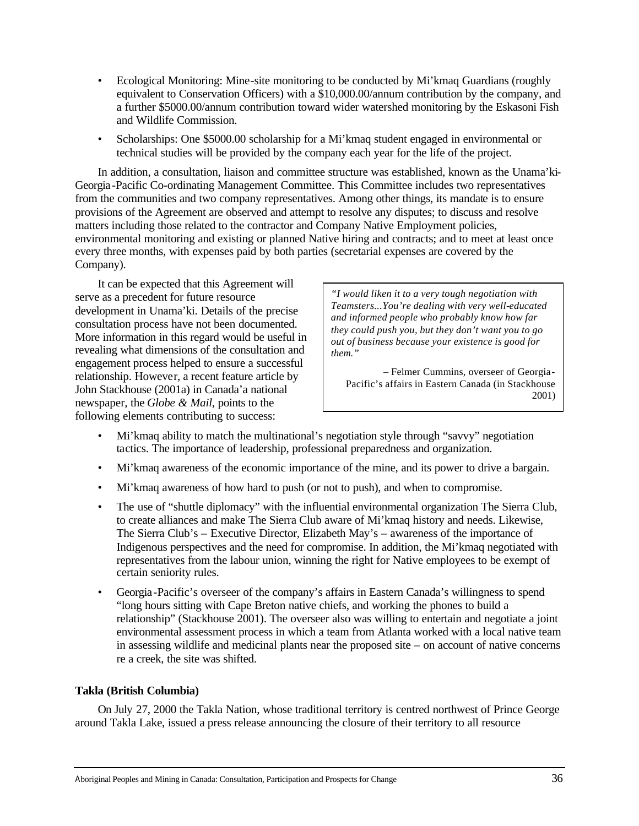- Ecological Monitoring: Mine-site monitoring to be conducted by Mi'kmaq Guardians (roughly equivalent to Conservation Officers) with a \$10,000.00/annum contribution by the company, and a further \$5000.00/annum contribution toward wider watershed monitoring by the Eskasoni Fish and Wildlife Commission.
- Scholarships: One \$5000.00 scholarship for a Mi'kmaq student engaged in environmental or technical studies will be provided by the company each year for the life of the project.

In addition, a consultation, liaison and committee structure was established, known as the Unama'ki-Georgia-Pacific Co-ordinating Management Committee. This Committee includes two representatives from the communities and two company representatives. Among other things, its mandate is to ensure provisions of the Agreement are observed and attempt to resolve any disputes; to discuss and resolve matters including those related to the contractor and Company Native Employment policies, environmental monitoring and existing or planned Native hiring and contracts; and to meet at least once every three months, with expenses paid by both parties (secretarial expenses are covered by the Company).

It can be expected that this Agreement will serve as a precedent for future resource development in Unama'ki. Details of the precise consultation process have not been documented. More information in this regard would be useful in revealing what dimensions of the consultation and engagement process helped to ensure a successful relationship. However, a recent feature article by John Stackhouse (2001a) in Canada'a national newspaper, the *Globe & Mail*, points to the following elements contributing to success:

*"I would liken it to a very tough negotiation with Teamsters...You're dealing with very well-educated and informed people who probably know how far they could push you, but they don't want you to go out of business because your existence is good for them."*

– Felmer Cummins, overseer of Georgia-Pacific's affairs in Eastern Canada (in Stackhouse 2001)

- Mi'kmaq ability to match the multinational's negotiation style through "savvy" negotiation tactics. The importance of leadership, professional preparedness and organization.
- Mi'kmaq awareness of the economic importance of the mine, and its power to drive a bargain.
- Mi'kmaq awareness of how hard to push (or not to push), and when to compromise.
- The use of "shuttle diplomacy" with the influential environmental organization The Sierra Club, to create alliances and make The Sierra Club aware of Mi'kmaq history and needs. Likewise, The Sierra Club's – Executive Director, Elizabeth May's – awareness of the importance of Indigenous perspectives and the need for compromise. In addition, the Mi'kmaq negotiated with representatives from the labour union, winning the right for Native employees to be exempt of certain seniority rules.
- Georgia-Pacific's overseer of the company's affairs in Eastern Canada's willingness to spend "long hours sitting with Cape Breton native chiefs, and working the phones to build a relationship" (Stackhouse 2001). The overseer also was willing to entertain and negotiate a joint environmental assessment process in which a team from Atlanta worked with a local native team in assessing wildlife and medicinal plants near the proposed site – on account of native concerns re a creek, the site was shifted.

# **Takla (British Columbia)**

On July 27, 2000 the Takla Nation, whose traditional territory is centred northwest of Prince George around Takla Lake, issued a press release announcing the closure of their territory to all resource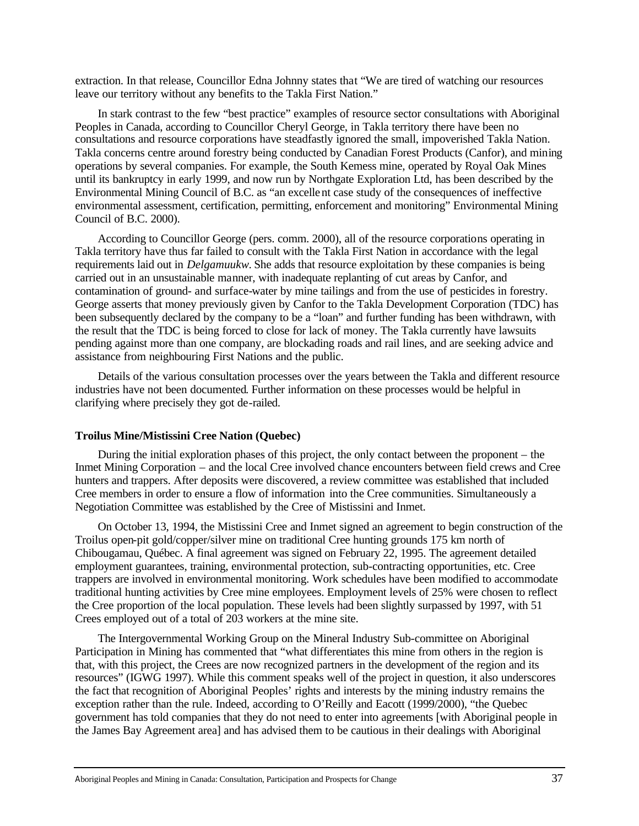extraction. In that release, Councillor Edna Johnny states that "We are tired of watching our resources leave our territory without any benefits to the Takla First Nation."

In stark contrast to the few "best practice" examples of resource sector consultations with Aboriginal Peoples in Canada, according to Councillor Cheryl George, in Takla territory there have been no consultations and resource corporations have steadfastly ignored the small, impoverished Takla Nation. Takla concerns centre around forestry being conducted by Canadian Forest Products (Canfor), and mining operations by several companies. For example, the South Kemess mine, operated by Royal Oak Mines until its bankruptcy in early 1999, and now run by Northgate Exploration Ltd, has been described by the Environmental Mining Council of B.C. as "an excellent case study of the consequences of ineffective environmental assessment, certification, permitting, enforcement and monitoring" Environmental Mining Council of B.C. 2000).

According to Councillor George (pers. comm. 2000), all of the resource corporations operating in Takla territory have thus far failed to consult with the Takla First Nation in accordance with the legal requirements laid out in *Delgamuukw.* She adds that resource exploitation by these companies is being carried out in an unsustainable manner, with inadequate replanting of cut areas by Canfor, and contamination of ground- and surface-water by mine tailings and from the use of pesticides in forestry. George asserts that money previously given by Canfor to the Takla Development Corporation (TDC) has been subsequently declared by the company to be a "loan" and further funding has been withdrawn, with the result that the TDC is being forced to close for lack of money. The Takla currently have lawsuits pending against more than one company, are blockading roads and rail lines, and are seeking advice and assistance from neighbouring First Nations and the public.

Details of the various consultation processes over the years between the Takla and different resource industries have not been documented. Further information on these processes would be helpful in clarifying where precisely they got de-railed.

### **Troilus Mine/Mistissini Cree Nation (Quebec)**

During the initial exploration phases of this project, the only contact between the proponent – the Inmet Mining Corporation – and the local Cree involved chance encounters between field crews and Cree hunters and trappers. After deposits were discovered, a review committee was established that included Cree members in order to ensure a flow of information into the Cree communities. Simultaneously a Negotiation Committee was established by the Cree of Mistissini and Inmet.

On October 13, 1994, the Mistissini Cree and Inmet signed an agreement to begin construction of the Troilus open-pit gold/copper/silver mine on traditional Cree hunting grounds 175 km north of Chibougamau, Québec. A final agreement was signed on February 22, 1995. The agreement detailed employment guarantees, training, environmental protection, sub-contracting opportunities, etc. Cree trappers are involved in environmental monitoring. Work schedules have been modified to accommodate traditional hunting activities by Cree mine employees. Employment levels of 25% were chosen to reflect the Cree proportion of the local population. These levels had been slightly surpassed by 1997, with 51 Crees employed out of a total of 203 workers at the mine site.

The Intergovernmental Working Group on the Mineral Industry Sub-committee on Aboriginal Participation in Mining has commented that "what differentiates this mine from others in the region is that, with this project, the Crees are now recognized partners in the development of the region and its resources" (IGWG 1997). While this comment speaks well of the project in question, it also underscores the fact that recognition of Aboriginal Peoples' rights and interests by the mining industry remains the exception rather than the rule. Indeed, according to O'Reilly and Eacott (1999/2000), "the Quebec government has told companies that they do not need to enter into agreements [with Aboriginal people in the James Bay Agreement area] and has advised them to be cautious in their dealings with Aboriginal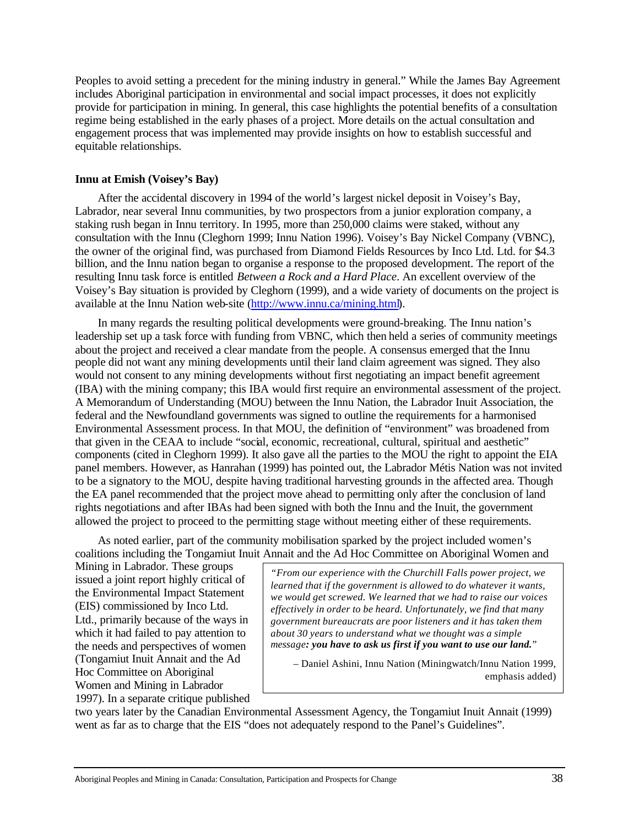Peoples to avoid setting a precedent for the mining industry in general." While the James Bay Agreement includes Aboriginal participation in environmental and social impact processes, it does not explicitly provide for participation in mining. In general, this case highlights the potential benefits of a consultation regime being established in the early phases of a project. More details on the actual consultation and engagement process that was implemented may provide insights on how to establish successful and equitable relationships.

### **Innu at Emish (Voisey's Bay)**

After the accidental discovery in 1994 of the world's largest nickel deposit in Voisey's Bay, Labrador, near several Innu communities, by two prospectors from a junior exploration company, a staking rush began in Innu territory. In 1995, more than 250,000 claims were staked, without any consultation with the Innu (Cleghorn 1999; Innu Nation 1996). Voisey's Bay Nickel Company (VBNC), the owner of the original find, was purchased from Diamond Fields Resources by Inco Ltd. Ltd. for \$4.3 billion, and the Innu nation began to organise a response to the proposed development. The report of the resulting Innu task force is entitled *Between a Rock and a Hard Place*. An excellent overview of the Voisey's Bay situation is provided by Cleghorn (1999), and a wide variety of documents on the project is available at the Innu Nation web-site (http://www.innu.ca/mining.html).

In many regards the resulting political developments were ground-breaking. The Innu nation's leadership set up a task force with funding from VBNC, which then held a series of community meetings about the project and received a clear mandate from the people. A consensus emerged that the Innu people did not want any mining developments until their land claim agreement was signed. They also would not consent to any mining developments without first negotiating an impact benefit agreement (IBA) with the mining company; this IBA would first require an environmental assessment of the project. A Memorandum of Understanding (MOU) between the Innu Nation, the Labrador Inuit Association, the federal and the Newfoundland governments was signed to outline the requirements for a harmonised Environmental Assessment process. In that MOU, the definition of "environment" was broadened from that given in the CEAA to include "social, economic, recreational, cultural, spiritual and aesthetic" components (cited in Cleghorn 1999). It also gave all the parties to the MOU the right to appoint the EIA panel members. However, as Hanrahan (1999) has pointed out, the Labrador Métis Nation was not invited to be a signatory to the MOU, despite having traditional harvesting grounds in the affected area. Though the EA panel recommended that the project move ahead to permitting only after the conclusion of land rights negotiations and after IBAs had been signed with both the Innu and the Inuit, the government allowed the project to proceed to the permitting stage without meeting either of these requirements.

As noted earlier, part of the community mobilisation sparked by the project included women's coalitions including the Tongamiut Inuit Annait and the Ad Hoc Committee on Aboriginal Women and

Mining in Labrador. These groups issued a joint report highly critical of the Environmental Impact Statement (EIS) commissioned by Inco Ltd. Ltd., primarily because of the ways in which it had failed to pay attention to the needs and perspectives of women (Tongamiut Inuit Annait and the Ad Hoc Committee on Aboriginal Women and Mining in Labrador 1997). In a separate critique published

*"From our experience with the Churchill Falls power project, we learned that if the government is allowed to do whatever it wants, we would get screwed. We learned that we had to raise our voices effectively in order to be heard. Unfortunately, we find that many government bureaucrats are poor listeners and it has taken them about 30 years to understand what we thought was a simple message: you have to ask us first if you want to use our land."*

– Daniel Ashini, Innu Nation (Miningwatch/Innu Nation 1999, emphasis added)

two years later by the Canadian Environmental Assessment Agency, the Tongamiut Inuit Annait (1999) went as far as to charge that the EIS "does not adequately respond to the Panel's Guidelines".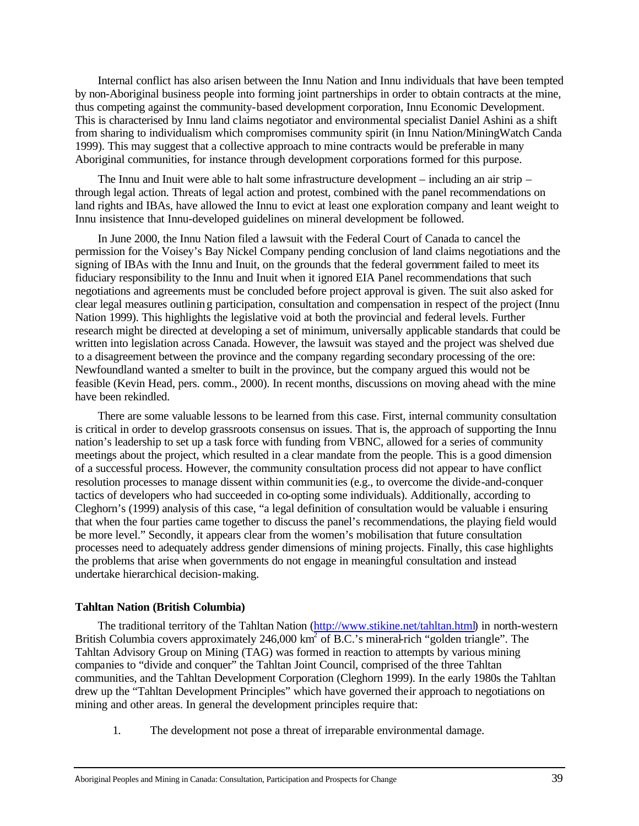Internal conflict has also arisen between the Innu Nation and Innu individuals that have been tempted by non-Aboriginal business people into forming joint partnerships in order to obtain contracts at the mine, thus competing against the community-based development corporation, Innu Economic Development. This is characterised by Innu land claims negotiator and environmental specialist Daniel Ashini as a shift from sharing to individualism which compromises community spirit (in Innu Nation/MiningWatch Canda 1999). This may suggest that a collective approach to mine contracts would be preferable in many Aboriginal communities, for instance through development corporations formed for this purpose.

The Innu and Inuit were able to halt some infrastructure development – including an air strip – through legal action. Threats of legal action and protest, combined with the panel recommendations on land rights and IBAs, have allowed the Innu to evict at least one exploration company and leant weight to Innu insistence that Innu-developed guidelines on mineral development be followed.

In June 2000, the Innu Nation filed a lawsuit with the Federal Court of Canada to cancel the permission for the Voisey's Bay Nickel Company pending conclusion of land claims negotiations and the signing of IBAs with the Innu and Inuit, on the grounds that the federal government failed to meet its fiduciary responsibility to the Innu and Inuit when it ignored EIA Panel recommendations that such negotiations and agreements must be concluded before project approval is given. The suit also asked for clear legal measures outlining participation, consultation and compensation in respect of the project (Innu Nation 1999). This highlights the legislative void at both the provincial and federal levels. Further research might be directed at developing a set of minimum, universally applicable standards that could be written into legislation across Canada. However, the lawsuit was stayed and the project was shelved due to a disagreement between the province and the company regarding secondary processing of the ore: Newfoundland wanted a smelter to built in the province, but the company argued this would not be feasible (Kevin Head, pers. comm., 2000). In recent months, discussions on moving ahead with the mine have been rekindled.

There are some valuable lessons to be learned from this case. First, internal community consultation is critical in order to develop grassroots consensus on issues. That is, the approach of supporting the Innu nation's leadership to set up a task force with funding from VBNC, allowed for a series of community meetings about the project, which resulted in a clear mandate from the people. This is a good dimension of a successful process. However, the community consultation process did not appear to have conflict resolution processes to manage dissent within communities (e.g., to overcome the divide-and-conquer tactics of developers who had succeeded in co-opting some individuals). Additionally, according to Cleghorn's (1999) analysis of this case, "a legal definition of consultation would be valuable i ensuring that when the four parties came together to discuss the panel's recommendations, the playing field would be more level." Secondly, it appears clear from the women's mobilisation that future consultation processes need to adequately address gender dimensions of mining projects. Finally, this case highlights the problems that arise when governments do not engage in meaningful consultation and instead undertake hierarchical decision-making.

### **Tahltan Nation (British Columbia)**

The traditional territory of the Tahltan Nation (http://www.stikine.net/tahltan.html) in north-western British Columbia covers approximately 246,000 km<sup>2</sup> of B.C.'s mineral-rich "golden triangle". The Tahltan Advisory Group on Mining (TAG) was formed in reaction to attempts by various mining companies to "divide and conquer" the Tahltan Joint Council, comprised of the three Tahltan communities, and the Tahltan Development Corporation (Cleghorn 1999). In the early 1980s the Tahltan drew up the "Tahltan Development Principles" which have governed their approach to negotiations on mining and other areas. In general the development principles require that:

1. The development not pose a threat of irreparable environmental damage.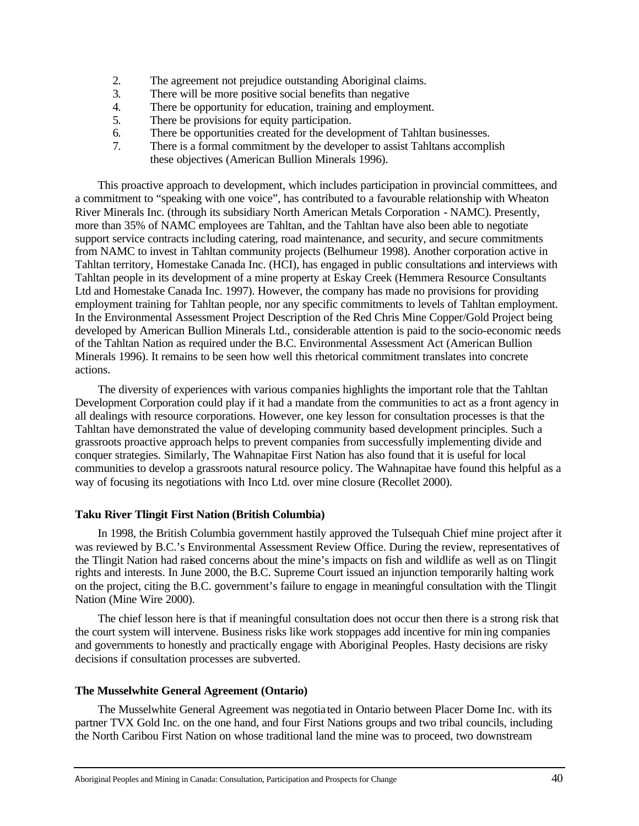- 2. The agreement not prejudice outstanding Aboriginal claims.
- 3. There will be more positive social benefits than negative
- 4. There be opportunity for education, training and employment.
- 5. There be provisions for equity participation.
- 6. There be opportunities created for the development of Tahltan businesses.
- 7. There is a formal commitment by the developer to assist Tahltans accomplish these objectives (American Bullion Minerals 1996).

This proactive approach to development, which includes participation in provincial committees, and a commitment to "speaking with one voice", has contributed to a favourable relationship with Wheaton River Minerals Inc. (through its subsidiary North American Metals Corporation - NAMC). Presently, more than 35% of NAMC employees are Tahltan, and the Tahltan have also been able to negotiate support service contracts including catering, road maintenance, and security, and secure commitments from NAMC to invest in Tahltan community projects (Belhumeur 1998). Another corporation active in Tahltan territory, Homestake Canada Inc. (HCI), has engaged in public consultations and interviews with Tahltan people in its development of a mine property at Eskay Creek (Hemmera Resource Consultants Ltd and Homestake Canada Inc. 1997). However, the company has made no provisions for providing employment training for Tahltan people, nor any specific commitments to levels of Tahltan employment. In the Environmental Assessment Project Description of the Red Chris Mine Copper/Gold Project being developed by American Bullion Minerals Ltd., considerable attention is paid to the socio-economic needs of the Tahltan Nation as required under the B.C. Environmental Assessment Act (American Bullion Minerals 1996). It remains to be seen how well this rhetorical commitment translates into concrete actions.

The diversity of experiences with various companies highlights the important role that the Tahltan Development Corporation could play if it had a mandate from the communities to act as a front agency in all dealings with resource corporations. However, one key lesson for consultation processes is that the Tahltan have demonstrated the value of developing community based development principles. Such a grassroots proactive approach helps to prevent companies from successfully implementing divide and conquer strategies. Similarly, The Wahnapitae First Nation has also found that it is useful for local communities to develop a grassroots natural resource policy. The Wahnapitae have found this helpful as a way of focusing its negotiations with Inco Ltd. over mine closure (Recollet 2000).

# **Taku River Tlingit First Nation (British Columbia)**

In 1998, the British Columbia government hastily approved the Tulsequah Chief mine project after it was reviewed by B.C.'s Environmental Assessment Review Office. During the review, representatives of the Tlingit Nation had raised concerns about the mine's impacts on fish and wildlife as well as on Tlingit rights and interests. In June 2000, the B.C. Supreme Court issued an injunction temporarily halting work on the project, citing the B.C. government's failure to engage in meaningful consultation with the Tlingit Nation (Mine Wire 2000).

The chief lesson here is that if meaningful consultation does not occur then there is a strong risk that the court system will intervene. Business risks like work stoppages add incentive for mining companies and governments to honestly and practically engage with Aboriginal Peoples. Hasty decisions are risky decisions if consultation processes are subverted.

### **The Musselwhite General Agreement (Ontario)**

The Musselwhite General Agreement was negotia ted in Ontario between Placer Dome Inc. with its partner TVX Gold Inc. on the one hand, and four First Nations groups and two tribal councils, including the North Caribou First Nation on whose traditional land the mine was to proceed, two downstream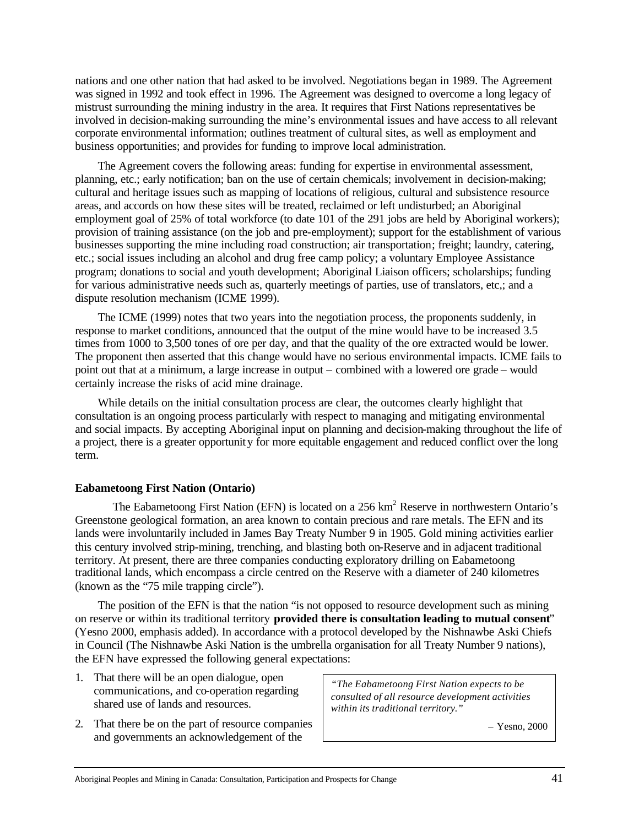nations and one other nation that had asked to be involved. Negotiations began in 1989. The Agreement was signed in 1992 and took effect in 1996. The Agreement was designed to overcome a long legacy of mistrust surrounding the mining industry in the area. It requires that First Nations representatives be involved in decision-making surrounding the mine's environmental issues and have access to all relevant corporate environmental information; outlines treatment of cultural sites, as well as employment and business opportunities; and provides for funding to improve local administration.

The Agreement covers the following areas: funding for expertise in environmental assessment, planning, etc.; early notification; ban on the use of certain chemicals; involvement in decision-making; cultural and heritage issues such as mapping of locations of religious, cultural and subsistence resource areas, and accords on how these sites will be treated, reclaimed or left undisturbed; an Aboriginal employment goal of 25% of total workforce (to date 101 of the 291 jobs are held by Aboriginal workers); provision of training assistance (on the job and pre-employment); support for the establishment of various businesses supporting the mine including road construction; air transportation; freight; laundry, catering, etc.; social issues including an alcohol and drug free camp policy; a voluntary Employee Assistance program; donations to social and youth development; Aboriginal Liaison officers; scholarships; funding for various administrative needs such as, quarterly meetings of parties, use of translators, etc,; and a dispute resolution mechanism (ICME 1999).

The ICME (1999) notes that two years into the negotiation process, the proponents suddenly, in response to market conditions, announced that the output of the mine would have to be increased 3.5 times from 1000 to 3,500 tones of ore per day, and that the quality of the ore extracted would be lower. The proponent then asserted that this change would have no serious environmental impacts. ICME fails to point out that at a minimum, a large increase in output – combined with a lowered ore grade – would certainly increase the risks of acid mine drainage.

While details on the initial consultation process are clear, the outcomes clearly highlight that consultation is an ongoing process particularly with respect to managing and mitigating environmental and social impacts. By accepting Aboriginal input on planning and decision-making throughout the life of a project, there is a greater opportunity for more equitable engagement and reduced conflict over the long term.

# **Eabametoong First Nation (Ontario)**

The Eabametoong First Nation (EFN) is located on a 256 km<sup>2</sup> Reserve in northwestern Ontario's Greenstone geological formation, an area known to contain precious and rare metals. The EFN and its lands were involuntarily included in James Bay Treaty Number 9 in 1905. Gold mining activities earlier this century involved strip-mining, trenching, and blasting both on-Reserve and in adjacent traditional territory. At present, there are three companies conducting exploratory drilling on Eabametoong traditional lands, which encompass a circle centred on the Reserve with a diameter of 240 kilometres (known as the "75 mile trapping circle").

The position of the EFN is that the nation "is not opposed to resource development such as mining on reserve or within its traditional territory **provided there is consultation leading to mutual consent**" (Yesno 2000, emphasis added). In accordance with a protocol developed by the Nishnawbe Aski Chiefs in Council (The Nishnawbe Aski Nation is the umbrella organisation for all Treaty Number 9 nations), the EFN have expressed the following general expectations:

- 1. That there will be an open dialogue, open communications, and co-operation regarding shared use of lands and resources.
- 2. That there be on the part of resource companies and governments an acknowledgement of the

*"The Eabametoong First Nation expects to be consulted of all resource development activities within its traditional territory."*

– Yesno, 2000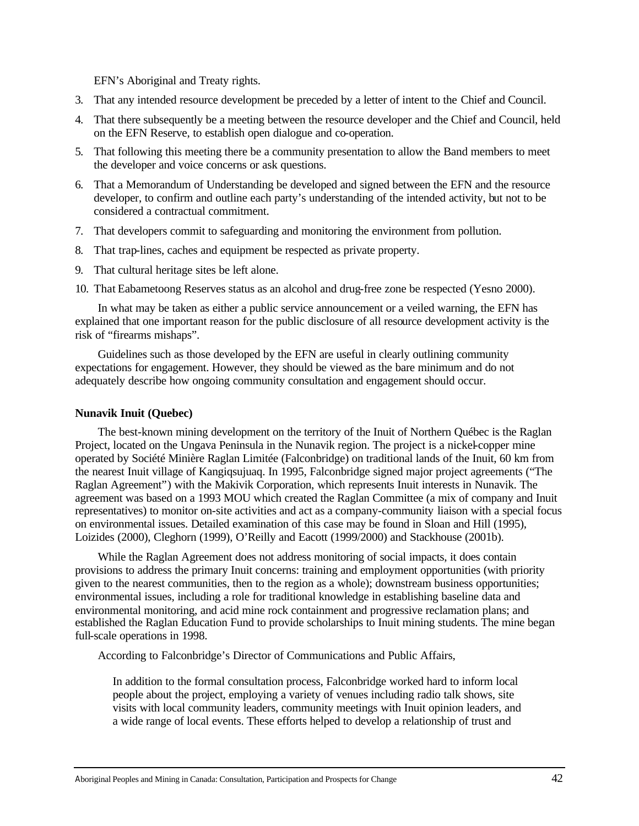EFN's Aboriginal and Treaty rights.

- 3. That any intended resource development be preceded by a letter of intent to the Chief and Council.
- 4. That there subsequently be a meeting between the resource developer and the Chief and Council, held on the EFN Reserve, to establish open dialogue and co-operation.
- 5. That following this meeting there be a community presentation to allow the Band members to meet the developer and voice concerns or ask questions.
- 6. That a Memorandum of Understanding be developed and signed between the EFN and the resource developer, to confirm and outline each party's understanding of the intended activity, but not to be considered a contractual commitment.
- 7. That developers commit to safeguarding and monitoring the environment from pollution.
- 8. That trap-lines, caches and equipment be respected as private property.
- 9. That cultural heritage sites be left alone.
- 10. That Eabametoong Reserves status as an alcohol and drug-free zone be respected (Yesno 2000).

In what may be taken as either a public service announcement or a veiled warning, the EFN has explained that one important reason for the public disclosure of all resource development activity is the risk of "firearms mishaps".

Guidelines such as those developed by the EFN are useful in clearly outlining community expectations for engagement. However, they should be viewed as the bare minimum and do not adequately describe how ongoing community consultation and engagement should occur.

### **Nunavik Inuit (Quebec)**

The best-known mining development on the territory of the Inuit of Northern Québec is the Raglan Project, located on the Ungava Peninsula in the Nunavik region. The project is a nickel-copper mine operated by Société Minière Raglan Limitée (Falconbridge) on traditional lands of the Inuit, 60 km from the nearest Inuit village of Kangiqsujuaq. In 1995, Falconbridge signed major project agreements ("The Raglan Agreement") with the Makivik Corporation, which represents Inuit interests in Nunavik. The agreement was based on a 1993 MOU which created the Raglan Committee (a mix of company and Inuit representatives) to monitor on-site activities and act as a company-community liaison with a special focus on environmental issues. Detailed examination of this case may be found in Sloan and Hill (1995), Loizides (2000), Cleghorn (1999), O'Reilly and Eacott (1999/2000) and Stackhouse (2001b).

While the Raglan Agreement does not address monitoring of social impacts, it does contain provisions to address the primary Inuit concerns: training and employment opportunities (with priority given to the nearest communities, then to the region as a whole); downstream business opportunities; environmental issues, including a role for traditional knowledge in establishing baseline data and environmental monitoring, and acid mine rock containment and progressive reclamation plans; and established the Raglan Education Fund to provide scholarships to Inuit mining students. The mine began full-scale operations in 1998.

According to Falconbridge's Director of Communications and Public Affairs,

In addition to the formal consultation process, Falconbridge worked hard to inform local people about the project, employing a variety of venues including radio talk shows, site visits with local community leaders, community meetings with Inuit opinion leaders, and a wide range of local events. These efforts helped to develop a relationship of trust and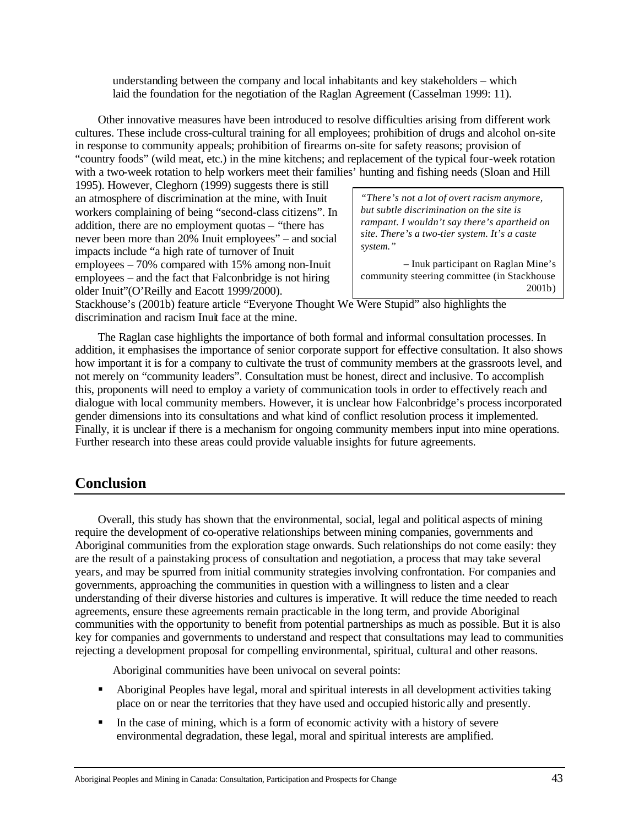understanding between the company and local inhabitants and key stakeholders – which laid the foundation for the negotiation of the Raglan Agreement (Casselman 1999: 11).

Other innovative measures have been introduced to resolve difficulties arising from different work cultures. These include cross-cultural training for all employees; prohibition of drugs and alcohol on-site in response to community appeals; prohibition of firearms on-site for safety reasons; provision of "country foods" (wild meat, etc.) in the mine kitchens; and replacement of the typical four-week rotation with a two-week rotation to help workers meet their families' hunting and fishing needs (Sloan and Hill

1995). However, Cleghorn (1999) suggests there is still an atmosphere of discrimination at the mine, with Inuit workers complaining of being "second-class citizens". In addition, there are no employment quotas – "there has never been more than 20% Inuit employees" – and social impacts include "a high rate of turnover of Inuit employees – 70% compared with 15% among non-Inuit employees – and the fact that Falconbridge is not hiring older Inuit"(O'Reilly and Eacott 1999/2000).

*"There's not a lot of overt racism anymore, but subtle discrimination on the site is rampant. I wouldn't say there's apartheid on site. There's a two-tier system. It's a caste system."*

– Inuk participant on Raglan Mine's community steering committee (in Stackhouse 2001b)

Stackhouse's (2001b) feature article "Everyone Thought We Were Stupid" also highlights the discrimination and racism Inuit face at the mine.

The Raglan case highlights the importance of both formal and informal consultation processes. In addition, it emphasises the importance of senior corporate support for effective consultation. It also shows how important it is for a company to cultivate the trust of community members at the grassroots level, and not merely on "community leaders". Consultation must be honest, direct and inclusive. To accomplish this, proponents will need to employ a variety of communication tools in order to effectively reach and dialogue with local community members. However, it is unclear how Falconbridge's process incorporated gender dimensions into its consultations and what kind of conflict resolution process it implemented. Finally, it is unclear if there is a mechanism for ongoing community members input into mine operations. Further research into these areas could provide valuable insights for future agreements.

# **Conclusion**

Overall, this study has shown that the environmental, social, legal and political aspects of mining require the development of co-operative relationships between mining companies, governments and Aboriginal communities from the exploration stage onwards. Such relationships do not come easily: they are the result of a painstaking process of consultation and negotiation, a process that may take several years, and may be spurred from initial community strategies involving confrontation. For companies and governments, approaching the communities in question with a willingness to listen and a clear understanding of their diverse histories and cultures is imperative. It will reduce the time needed to reach agreements, ensure these agreements remain practicable in the long term, and provide Aboriginal communities with the opportunity to benefit from potential partnerships as much as possible. But it is also key for companies and governments to understand and respect that consultations may lead to communities rejecting a development proposal for compelling environmental, spiritual, cultural and other reasons.

Aboriginal communities have been univocal on several points:

- Aboriginal Peoples have legal, moral and spiritual interests in all development activities taking place on or near the territories that they have used and occupied historic ally and presently.
- In the case of mining, which is a form of economic activity with a history of severe environmental degradation, these legal, moral and spiritual interests are amplified.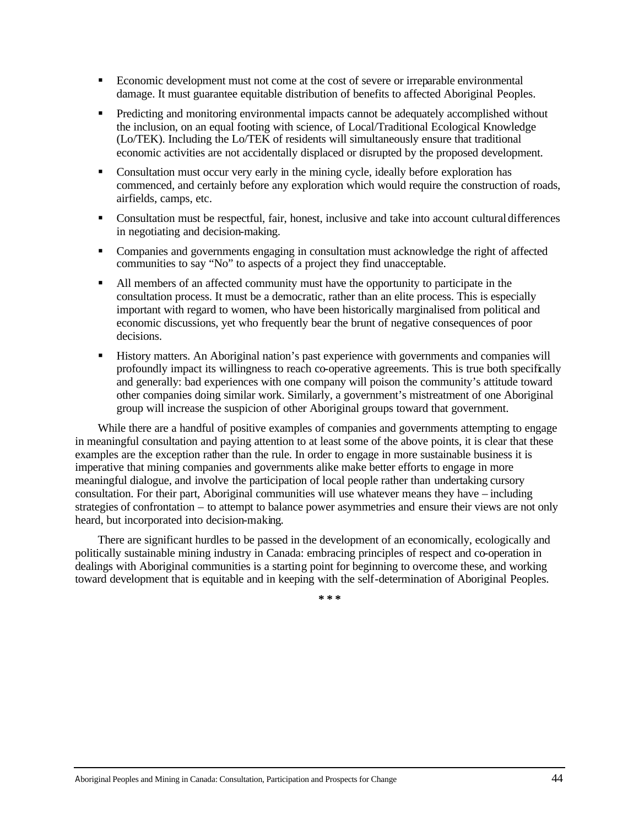- **Exercise Exercise Exercise 2** Economic development must not come at the cost of severe or irreparable environmental damage. It must guarantee equitable distribution of benefits to affected Aboriginal Peoples.
- **•** Predicting and monitoring environmental impacts cannot be adequately accomplished without the inclusion, on an equal footing with science, of Local/Traditional Ecological Knowledge (Lo/TEK). Including the Lo/TEK of residents will simultaneously ensure that traditional economic activities are not accidentally displaced or disrupted by the proposed development.
- Consultation must occur very early in the mining cycle, ideally before exploration has commenced, and certainly before any exploration which would require the construction of roads, airfields, camps, etc.
- Consultation must be respectful, fair, honest, inclusive and take into account cultural differences in negotiating and decision-making.
- Companies and governments engaging in consultation must acknowledge the right of affected communities to say "No" to aspects of a project they find unacceptable.
- If All members of an affected community must have the opportunity to participate in the consultation process. It must be a democratic, rather than an elite process. This is especially important with regard to women, who have been historically marginalised from political and economic discussions, yet who frequently bear the brunt of negative consequences of poor decisions.
- ß History matters. An Aboriginal nation's past experience with governments and companies will profoundly impact its willingness to reach co-operative agreements. This is true both specifically and generally: bad experiences with one company will poison the community's attitude toward other companies doing similar work. Similarly, a government's mistreatment of one Aboriginal group will increase the suspicion of other Aboriginal groups toward that government.

While there are a handful of positive examples of companies and governments attempting to engage in meaningful consultation and paying attention to at least some of the above points, it is clear that these examples are the exception rather than the rule. In order to engage in more sustainable business it is imperative that mining companies and governments alike make better efforts to engage in more meaningful dialogue, and involve the participation of local people rather than undertaking cursory consultation. For their part, Aboriginal communities will use whatever means they have – including strategies of confrontation – to attempt to balance power asymmetries and ensure their views are not only heard, but incorporated into decision-making.

There are significant hurdles to be passed in the development of an economically, ecologically and politically sustainable mining industry in Canada: embracing principles of respect and co-operation in dealings with Aboriginal communities is a starting point for beginning to overcome these, and working toward development that is equitable and in keeping with the self-determination of Aboriginal Peoples.

**\* \* \***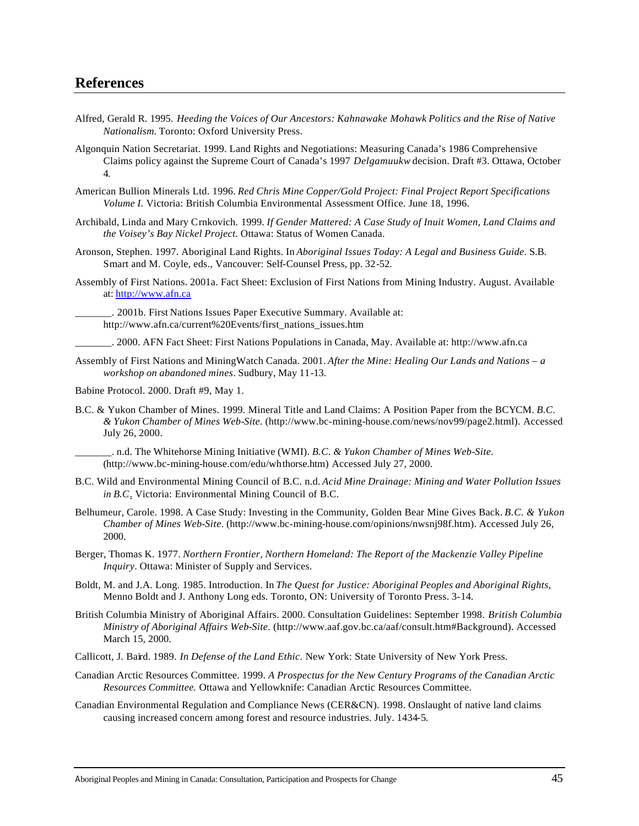- Alfred, Gerald R. 1995. *Heeding the Voices of Our Ancestors: Kahnawake Mohawk Politics and the Rise of Native Nationalism.* Toronto: Oxford University Press.
- Algonquin Nation Secretariat. 1999. Land Rights and Negotiations: Measuring Canada's 1986 Comprehensive Claims policy against the Supreme Court of Canada's 1997 *Delgamuukw* decision. Draft #3. Ottawa, October 4.
- American Bullion Minerals Ltd. 1996. *Red Chris Mine Copper/Gold Project: Final Project Report Specifications Volume I*. Victoria: British Columbia Environmental Assessment Office. June 18, 1996.
- Archibald, Linda and Mary Crnkovich. 1999. *If Gender Mattered: A Case Study of Inuit Women, Land Claims and the Voisey's Bay Nickel Project*. Ottawa: Status of Women Canada.
- Aronson, Stephen. 1997. Aboriginal Land Rights. In *Aboriginal Issues Today: A Legal and Business Guide*. S.B. Smart and M. Coyle, eds., Vancouver: Self-Counsel Press, pp. 32-52.
- Assembly of First Nations. 2001a. Fact Sheet: Exclusion of First Nations from Mining Industry. August. Available at: http://www.afn.ca
- \_\_\_\_\_\_\_. 2001b. First Nations Issues Paper Executive Summary. Available at: http://www.afn.ca/current%20Events/first\_nations\_issues.htm

\_\_\_\_\_\_\_. 2000. AFN Fact Sheet: First Nations Populations in Canada, May. Available at: http://www.afn.ca

Assembly of First Nations and MiningWatch Canada. 2001. *After the Mine: Healing Our Lands and Nations – a workshop on abandoned mines*. Sudbury, May 11-13.

Babine Protocol. 2000. Draft #9, May 1.

B.C. & Yukon Chamber of Mines. 1999. Mineral Title and Land Claims: A Position Paper from the BCYCM. *B.C. & Yukon Chamber of Mines Web-Site.* (http://www.bc-mining-house.com/news/nov99/page2.html). Accessed July 26, 2000.

\_\_\_\_\_\_\_. n.d. The Whitehorse Mining Initiative (WMI). *B.C. & Yukon Chamber of Mines Web-Site.* (http://www.bc-mining-house.com/edu/whthorse.htm) Accessed July 27, 2000.

- B.C. Wild and Environmental Mining Council of B.C. n.d. *Acid Mine Drainage: Mining and Water Pollution Issues in B.C*. Victoria: Environmental Mining Council of B.C.
- Belhumeur, Carole. 1998. A Case Study: Investing in the Community, Golden Bear Mine Gives Back. *B.C. & Yukon Chamber of Mines Web-Site*. (http://www.bc-mining-house.com/opinions/nwsnj98f.htm). Accessed July 26, 2000.
- Berger, Thomas K. 1977. *Northern Frontier, Northern Homeland: The Report of the Mackenzie Valley Pipeline Inquiry*. Ottawa: Minister of Supply and Services.
- Boldt, M. and J.A. Long. 1985. Introduction. In *The Quest for Justice: Aboriginal Peoples and Aboriginal Rights*, Menno Boldt and J. Anthony Long eds. Toronto, ON: University of Toronto Press. 3-14.
- British Columbia Ministry of Aboriginal Affairs. 2000. Consultation Guidelines: September 1998. *British Columbia Ministry of Aboriginal Affairs Web-Site.* (http://www.aaf.gov.bc.ca/aaf/consult.htm#Background). Accessed March 15, 2000.
- Callicott, J. Baird. 1989. *In Defense of the Land Ethic.* New York: State University of New York Press.
- Canadian Arctic Resources Committee. 1999. *A Prospectus for the New Century Programs of the Canadian Arctic Resources Committee.* Ottawa and Yellowknife: Canadian Arctic Resources Committee.
- Canadian Environmental Regulation and Compliance News (CER&CN). 1998. Onslaught of native land claims causing increased concern among forest and resource industries. July. 1434-5.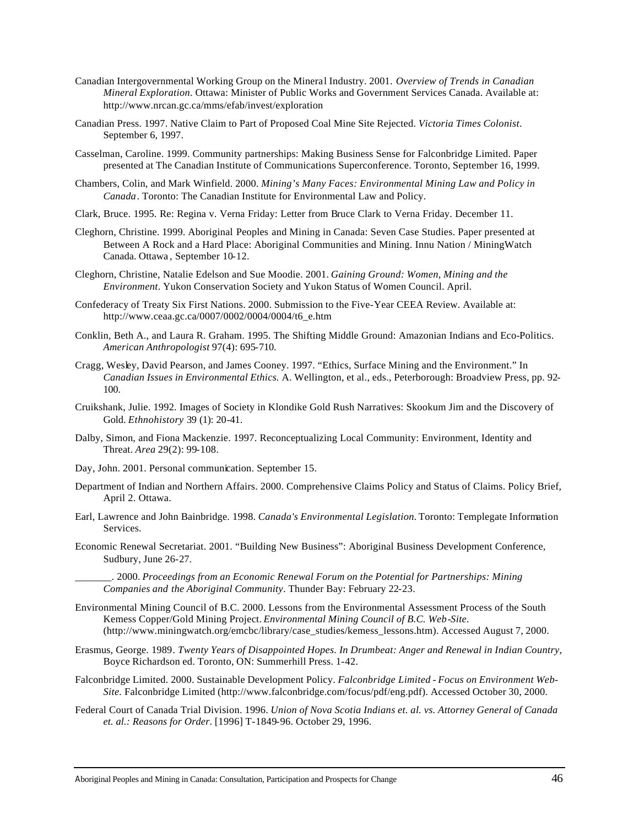- Canadian Intergovernmental Working Group on the Mineral Industry. 2001. *Overview of Trends in Canadian Mineral Exploration*. Ottawa: Minister of Public Works and Government Services Canada. Available at: http://www.nrcan.gc.ca/mms/efab/invest/exploration
- Canadian Press. 1997. Native Claim to Part of Proposed Coal Mine Site Rejected. *Victoria Times Colonist*. September 6, 1997.
- Casselman, Caroline. 1999. Community partnerships: Making Business Sense for Falconbridge Limited. Paper presented at The Canadian Institute of Communications Superconference. Toronto, September 16, 1999.
- Chambers, Colin, and Mark Winfield. 2000. *Mining's Many Faces: Environmental Mining Law and Policy in Canada*. Toronto: The Canadian Institute for Environmental Law and Policy.
- Clark, Bruce. 1995. Re: Regina v. Verna Friday: Letter from Bruce Clark to Verna Friday. December 11.
- Cleghorn, Christine. 1999. Aboriginal Peoples and Mining in Canada: Seven Case Studies. Paper presented at Between A Rock and a Hard Place: Aboriginal Communities and Mining. Innu Nation / MiningWatch Canada. Ottawa , September 10-12.
- Cleghorn, Christine, Natalie Edelson and Sue Moodie. 2001. *Gaining Ground: Women, Mining and the Environment*. Yukon Conservation Society and Yukon Status of Women Council. April.
- Confederacy of Treaty Six First Nations. 2000. Submission to the Five-Year CEEA Review. Available at: http://www.ceaa.gc.ca/0007/0002/0004/0004/t6\_e.htm
- Conklin, Beth A., and Laura R. Graham. 1995. The Shifting Middle Ground: Amazonian Indians and Eco-Politics. *American Anthropologist* 97(4): 695-710.
- Cragg, Wesley, David Pearson, and James Cooney. 1997. "Ethics, Surface Mining and the Environment." In *Canadian Issues in Environmental Ethics.* A. Wellington, et al., eds., Peterborough: Broadview Press, pp. 92- 100.
- Cruikshank, Julie. 1992. Images of Society in Klondike Gold Rush Narratives: Skookum Jim and the Discovery of Gold. *Ethnohistory* 39 (1): 20-41.
- Dalby, Simon, and Fiona Mackenzie. 1997. Reconceptualizing Local Community: Environment, Identity and Threat. *Area* 29(2): 99-108.
- Day, John. 2001. Personal communication. September 15.
- Department of Indian and Northern Affairs. 2000. Comprehensive Claims Policy and Status of Claims. Policy Brief, April 2. Ottawa.
- Earl, Lawrence and John Bainbridge. 1998. *Canada's Environmental Legislation.* Toronto: Templegate Information Services.
- Economic Renewal Secretariat. 2001. "Building New Business": Aboriginal Business Development Conference, Sudbury, June 26-27.
	- \_\_\_\_\_\_\_. 2000. *Proceedings from an Economic Renewal Forum on the Potential for Partnerships: Mining Companies and the Aboriginal Community*. Thunder Bay: February 22-23.
- Environmental Mining Council of B.C. 2000. Lessons from the Environmental Assessment Process of the South Kemess Copper/Gold Mining Project. *Environmental Mining Council of B.C. Web-Site.*  (http://www.miningwatch.org/emcbc/library/case\_studies/kemess\_lessons.htm). Accessed August 7, 2000.
- Erasmus, George. 1989*. Twenty Years of Disappointed Hopes. In Drumbeat: Anger and Renewal in Indian Country*, Boyce Richardson ed. Toronto, ON: Summerhill Press. 1-42.
- Falconbridge Limited. 2000. Sustainable Development Policy. *Falconbridge Limited Focus on Environment Web-Site.* Falconbridge Limited (http://www.falconbridge.com/focus/pdf/eng.pdf). Accessed October 30, 2000.
- Federal Court of Canada Trial Division. 1996. *Union of Nova Scotia Indians et. al. vs. Attorney General of Canada et. al.: Reasons for Order*. [1996] T-1849-96. October 29, 1996.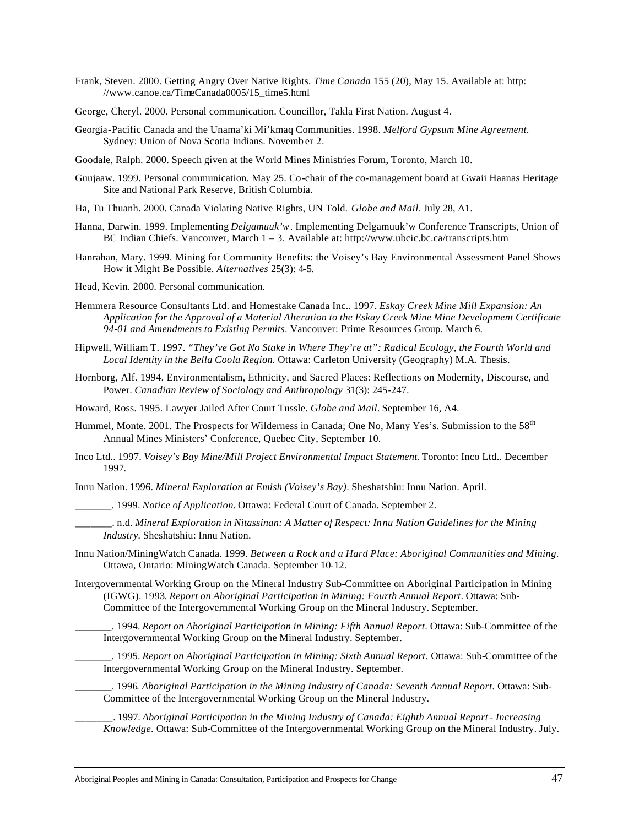- Frank, Steven. 2000. Getting Angry Over Native Rights. *Time Canada* 155 (20), May 15. Available at: http: //www.canoe.ca/TimeCanada0005/15\_time5.html
- George, Cheryl. 2000. Personal communication. Councillor, Takla First Nation. August 4.
- Georgia-Pacific Canada and the Unama'ki Mi'kmaq Communities. 1998. *Melford Gypsum Mine Agreement*. Sydney: Union of Nova Scotia Indians. Novemb er 2.
- Goodale, Ralph. 2000. Speech given at the World Mines Ministries Forum, Toronto, March 10.
- Guujaaw. 1999. Personal communication. May 25. Co-chair of the co-management board at Gwaii Haanas Heritage Site and National Park Reserve, British Columbia.
- Ha, Tu Thuanh. 2000. Canada Violating Native Rights, UN Told. *Globe and Mail*. July 28, A1.
- Hanna, Darwin. 1999. Implementing *Delgamuuk'w*. Implementing Delgamuuk'w Conference Transcripts, Union of BC Indian Chiefs. Vancouver, March 1 – 3. Available at: http://www.ubcic.bc.ca/transcripts.htm
- Hanrahan, Mary. 1999. Mining for Community Benefits: the Voisey's Bay Environmental Assessment Panel Shows How it Might Be Possible. *Alternatives* 25(3): 4-5.
- Head, Kevin. 2000. Personal communication.
- Hemmera Resource Consultants Ltd. and Homestake Canada Inc.. 1997. *Eskay Creek Mine Mill Expansion: An Application for the Approval of a Material Alteration to the Eskay Creek Mine Mine Development Certificate 94-01 and Amendments to Existing Permits*. Vancouver: Prime Resources Group. March 6.
- Hipwell, William T. 1997. *"They've Got No Stake in Where They're at": Radical Ecology, the Fourth World and Local Identity in the Bella Coola Region.* Ottawa: Carleton University (Geography) M.A. Thesis.
- Hornborg, Alf. 1994. Environmentalism, Ethnicity, and Sacred Places: Reflections on Modernity, Discourse, and Power. *Canadian Review of Sociology and Anthropology* 31(3): 245-247.
- Howard, Ross. 1995. Lawyer Jailed After Court Tussle. *Globe and Mail.* September 16, A4.
- Hummel, Monte. 2001. The Prospects for Wilderness in Canada; One No, Many Yes's. Submission to the 58<sup>th</sup> Annual Mines Ministers' Conference, Quebec City, September 10.
- Inco Ltd.. 1997. *Voisey's Bay Mine/Mill Project Environmental Impact Statement.* Toronto: Inco Ltd.. December 1997.

Innu Nation. 1996. *Mineral Exploration at Emish (Voisey's Bay)*. Sheshatshiu: Innu Nation. April.

- \_\_\_\_\_\_\_. 1999. *Notice of Application.* Ottawa: Federal Court of Canada. September 2.
- \_\_\_\_\_\_\_. n.d. *Mineral Exploration in Nitassinan: A Matter of Respect: Innu Nation Guidelines for the Mining Industry.* Sheshatshiu: Innu Nation.

Innu Nation/MiningWatch Canada. 1999. *Between a Rock and a Hard Place: Aboriginal Communities and Mining*. Ottawa, Ontario: MiningWatch Canada. September 10-12.

Intergovernmental Working Group on the Mineral Industry Sub-Committee on Aboriginal Participation in Mining (IGWG). 1993*. Report on Aboriginal Participation in Mining: Fourth Annual Report*. Ottawa: Sub-Committee of the Intergovernmental Working Group on the Mineral Industry. September.

\_\_\_\_\_\_\_. 1994. *Report on Aboriginal Participation in Mining: Fifth Annual Report*. Ottawa: Sub-Committee of the Intergovernmental Working Group on the Mineral Industry. September.

\_\_\_\_\_\_\_. 1995. *Report on Aboriginal Participation in Mining: Sixth Annual Report*. Ottawa: Sub-Committee of the Intergovernmental Working Group on the Mineral Industry. September.

\_\_\_\_\_\_\_. 1996*. Aboriginal Participation in the Mining Industry of Canada: Seventh Annual Report*. Ottawa: Sub-Committee of the Intergovernmental Working Group on the Mineral Industry.

\_\_\_\_\_\_\_. 1997. *Aboriginal Participation in the Mining Industry of Canada: Eighth Annual Report - Increasing Knowledge*. Ottawa: Sub-Committee of the Intergovernmental Working Group on the Mineral Industry. July.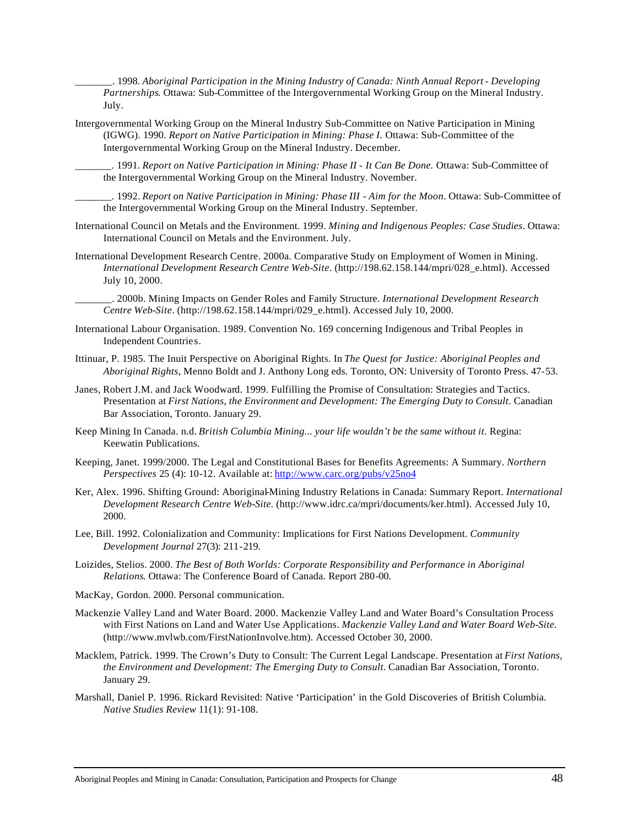\_\_\_\_\_\_\_. 1998. *Aboriginal Participation in the Mining Industry of Canada: Ninth Annual Report - Developing Partnerships*. Ottawa: Sub-Committee of the Intergovernmental Working Group on the Mineral Industry. July.

Intergovernmental Working Group on the Mineral Industry Sub-Committee on Native Participation in Mining (IGWG). 1990. *Report on Native Participation in Mining: Phase I.* Ottawa: Sub-Committee of the Intergovernmental Working Group on the Mineral Industry. December.

\_\_\_\_\_\_\_. 1991. *Report on Native Participation in Mining: Phase II - It Can Be Done.* Ottawa: Sub-Committee of the Intergovernmental Working Group on the Mineral Industry. November.

\_\_\_\_\_\_\_. 1992. *Report on Native Participation in Mining: Phase III - Aim for the Moon*. Ottawa: Sub-Committee of the Intergovernmental Working Group on the Mineral Industry. September.

- International Council on Metals and the Environment. 1999. *Mining and Indigenous Peoples: Case Studies*. Ottawa: International Council on Metals and the Environment. July.
- International Development Research Centre. 2000a. Comparative Study on Employment of Women in Mining. *International Development Research Centre Web-Site*. (http://198.62.158.144/mpri/028\_e.html). Accessed July 10, 2000.

\_\_\_\_\_\_\_. 2000b. Mining Impacts on Gender Roles and Family Structure. *International Development Research Centre Web-Site*. (http://198.62.158.144/mpri/029\_e.html). Accessed July 10, 2000.

- International Labour Organisation. 1989. Convention No. 169 concerning Indigenous and Tribal Peoples in Independent Countries.
- Ittinuar, P. 1985. The Inuit Perspective on Aboriginal Rights. In *The Quest for Justice: Aboriginal Peoples and Aboriginal Rights*, Menno Boldt and J. Anthony Long eds. Toronto, ON: University of Toronto Press. 47-53.
- Janes, Robert J.M. and Jack Woodward. 1999. Fulfilling the Promise of Consultation: Strategies and Tactics. Presentation at *First Nations, the Environment and Development: The Emerging Duty to Consult*. Canadian Bar Association, Toronto. January 29.
- Keep Mining In Canada. n.d. *British Columbia Mining... your life wouldn't be the same without it*. Regina: Keewatin Publications.
- Keeping, Janet. 1999/2000. The Legal and Constitutional Bases for Benefits Agreements: A Summary. *Northern Perspectives* 25 (4): 10-12. Available at: http://www.carc.org/pubs/v25no4
- Ker, Alex. 1996. Shifting Ground: Aboriginal-Mining Industry Relations in Canada: Summary Report. *International Development Research Centre Web-Site.* (http://www.idrc.ca/mpri/documents/ker.html). Accessed July 10, 2000.
- Lee, Bill. 1992. Colonialization and Community: Implications for First Nations Development. *Community Development Journal* 27(3): 211-219.
- Loizides, Stelios. 2000. *The Best of Both Worlds: Corporate Responsibility and Performance in Aboriginal Relations*. Ottawa: The Conference Board of Canada. Report 280-00.
- MacKay, Gordon. 2000. Personal communication.
- Mackenzie Valley Land and Water Board. 2000. Mackenzie Valley Land and Water Board's Consultation Process with First Nations on Land and Water Use Applications. *Mackenzie Valley Land and Water Board Web-Site.*  (http://www.mvlwb.com/FirstNationInvolve.htm). Accessed October 30, 2000.
- Macklem, Patrick. 1999. The Crown's Duty to Consult: The Current Legal Landscape. Presentation at *First Nations, the Environment and Development: The Emerging Duty to Consult*. Canadian Bar Association, Toronto. January 29.
- Marshall, Daniel P. 1996. Rickard Revisited: Native 'Participation' in the Gold Discoveries of British Columbia. *Native Studies Review* 11(1): 91-108.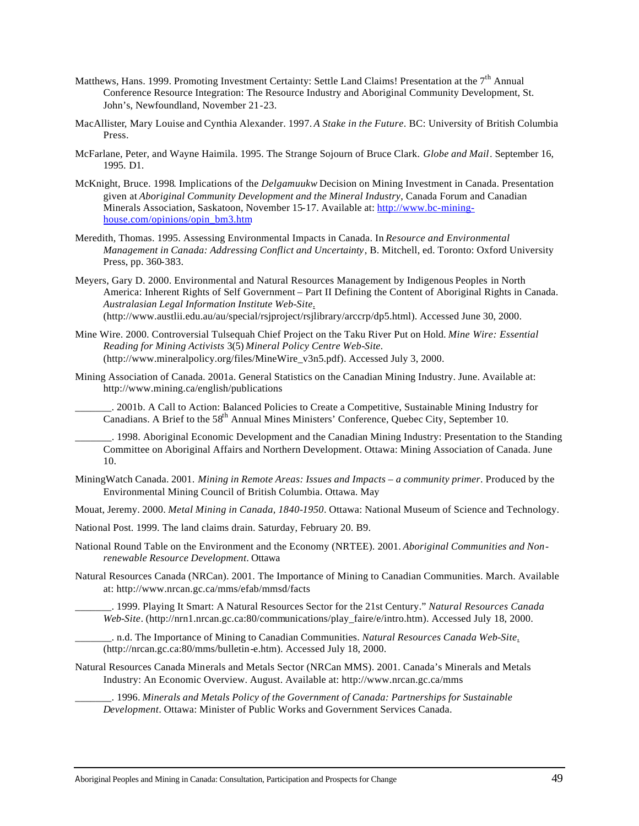- Matthews, Hans. 1999. Promoting Investment Certainty: Settle Land Claims! Presentation at the 7<sup>th</sup> Annual Conference Resource Integration: The Resource Industry and Aboriginal Community Development, St. John's, Newfoundland, November 21-23.
- MacAllister, Mary Louise and Cynthia Alexander. 1997. *A Stake in the Future*. BC: University of British Columbia Press.
- McFarlane, Peter, and Wayne Haimila. 1995. The Strange Sojourn of Bruce Clark. *Globe and Mail*. September 16, 1995. D1.
- McKnight, Bruce. 1998. Implications of the *Delgamuukw* Decision on Mining Investment in Canada. Presentation given at *Aboriginal Community Development and the Mineral Industry*, Canada Forum and Canadian Minerals Association, Saskatoon, November 15-17. Available at: http://www.bc-mininghouse.com/opinions/opin\_bm3.htm
- Meredith, Thomas. 1995. Assessing Environmental Impacts in Canada. In *Resource and Environmental Management in Canada: Addressing Conflict and Uncertainty*, B. Mitchell, ed. Toronto: Oxford University Press, pp. 360-383.
- Meyers, Gary D. 2000. Environmental and Natural Resources Management by Indigenous Peoples in North America: Inherent Rights of Self Government – Part II Defining the Content of Aboriginal Rights in Canada. *Australasian Legal Information Institute Web-Site.* (http://www.austlii.edu.au/au/special/rsjproject/rsjlibrary/arccrp/dp5.html). Accessed June 30, 2000.
- Mine Wire. 2000. Controversial Tulsequah Chief Project on the Taku River Put on Hold. *Mine Wire: Essential Reading for Mining Activists* 3(5) *Mineral Policy Centre Web-Site.* (http://www.mineralpolicy.org/files/MineWire\_v3n5.pdf). Accessed July 3, 2000.
- Mining Association of Canada. 2001a. General Statistics on the Canadian Mining Industry. June. Available at: http://www.mining.ca/english/publications

\_\_\_\_\_\_\_. 2001b. A Call to Action: Balanced Policies to Create a Competitive, Sustainable Mining Industry for Canadians. A Brief to the 58<sup>th</sup> Annual Mines Ministers' Conference, Quebec City, September 10.

\_\_\_\_\_\_\_. 1998. Aboriginal Economic Development and the Canadian Mining Industry: Presentation to the Standing Committee on Aboriginal Affairs and Northern Development. Ottawa: Mining Association of Canada. June 10.

- MiningWatch Canada. 2001. *Mining in Remote Areas: Issues and Impacts a community primer*. Produced by the Environmental Mining Council of British Columbia. Ottawa. May
- Mouat, Jeremy. 2000. *Metal Mining in Canada, 1840-1950*. Ottawa: National Museum of Science and Technology.
- National Post. 1999. The land claims drain. Saturday, February 20. B9.
- National Round Table on the Environment and the Economy (NRTEE). 2001. *Aboriginal Communities and Nonrenewable Resource Development*. Ottawa
- Natural Resources Canada (NRCan). 2001. The Importance of Mining to Canadian Communities. March. Available at: http://www.nrcan.gc.ca/mms/efab/mmsd/facts
	- \_\_\_\_\_\_\_. 1999. Playing It Smart: A Natural Resources Sector for the 21st Century." *Natural Resources Canada Web-Site*. (http://nrn1.nrcan.gc.ca:80/communications/play\_faire/e/intro.htm). Accessed July 18, 2000.
- \_\_\_\_\_\_\_. n.d. The Importance of Mining to Canadian Communities. *Natural Resources Canada Web-Site.* (http://nrcan.gc.ca:80/mms/bulletin-e.htm). Accessed July 18, 2000.
- Natural Resources Canada Minerals and Metals Sector (NRCan MMS). 2001. Canada's Minerals and Metals Industry: An Economic Overview. August. Available at: http://www.nrcan.gc.ca/mms

\_\_\_\_\_\_\_. 1996. *Minerals and Metals Policy of the Government of Canada: Partnerships for Sustainable Development*. Ottawa: Minister of Public Works and Government Services Canada.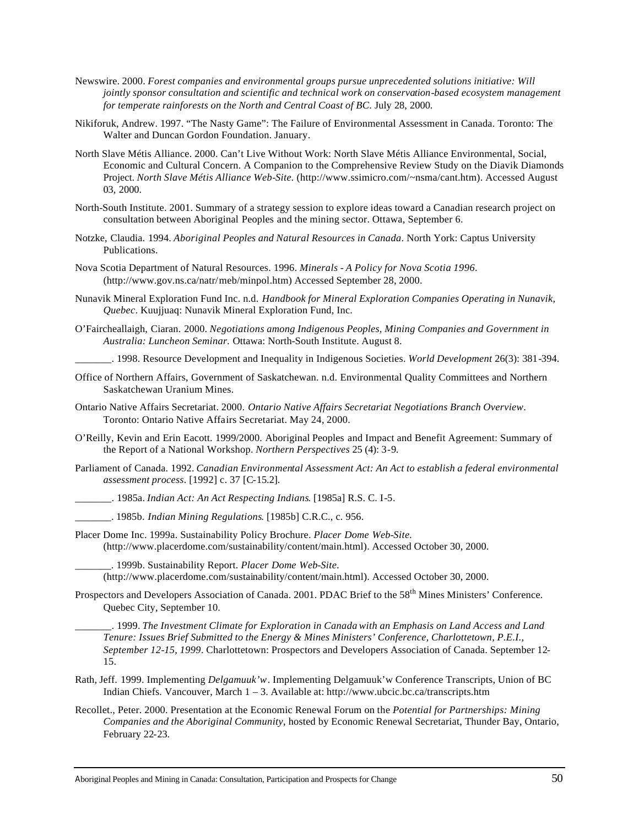- Newswire. 2000. *Forest companies and environmental groups pursue unprecedented solutions initiative: Will jointly sponsor consultation and scientific and technical work on conservation-based ecosystem management for temperate rainforests on the North and Central Coast of BC*. July 28, 2000.
- Nikiforuk, Andrew. 1997. "The Nasty Game": The Failure of Environmental Assessment in Canada. Toronto: The Walter and Duncan Gordon Foundation. January.
- North Slave Métis Alliance. 2000. Can't Live Without Work: North Slave Métis Alliance Environmental, Social, Economic and Cultural Concern. A Companion to the Comprehensive Review Study on the Diavik Diamonds Project. *North Slave Métis Alliance Web-Site.* (http://www.ssimicro.com/~nsma/cant.htm). Accessed August 03, 2000.
- North-South Institute. 2001. Summary of a strategy session to explore ideas toward a Canadian research project on consultation between Aboriginal Peoples and the mining sector. Ottawa, September 6.
- Notzke, Claudia. 1994. *Aboriginal Peoples and Natural Resources in Canada*. North York: Captus University Publications.
- Nova Scotia Department of Natural Resources. 1996. *Minerals A Policy for Nova Scotia 1996*. (http://www.gov.ns.ca/natr/meb/minpol.htm) Accessed September 28, 2000.
- Nunavik Mineral Exploration Fund Inc. n.d. *Handbook for Mineral Exploration Companies Operating in Nunavik, Quebec*. Kuujjuaq: Nunavik Mineral Exploration Fund, Inc.
- O'Faircheallaigh, Ciaran. 2000. *Negotiations among Indigenous Peoples, Mining Companies and Government in Australia: Luncheon Seminar.* Ottawa: North-South Institute. August 8.

\_\_\_\_\_\_\_. 1998. Resource Development and Inequality in Indigenous Societies. *World Development* 26(3): 381-394.

- Office of Northern Affairs, Government of Saskatchewan. n.d. Environmental Quality Committees and Northern Saskatchewan Uranium Mines.
- Ontario Native Affairs Secretariat. 2000. *Ontario Native Affairs Secretariat Negotiations Branch Overview*. Toronto: Ontario Native Affairs Secretariat. May 24, 2000.
- O'Reilly, Kevin and Erin Eacott. 1999/2000. Aboriginal Peoples and Impact and Benefit Agreement: Summary of the Report of a National Workshop. *Northern Perspectives* 25 (4): 3-9.
- Parliament of Canada. 1992. *Canadian Environmental Assessment Act: An Act to establish a federal environmental assessment process*. [1992] c. 37 [C-15.2].

\_\_\_\_\_\_\_. 1985a. *Indian Act: An Act Respecting Indians*. [1985a] R.S. C. I-5.

- \_\_\_\_\_\_\_. 1985b. *Indian Mining Regulations*. [1985b] C.R.C., c. 956.
- Placer Dome Inc. 1999a. Sustainability Policy Brochure. *Placer Dome Web-Site.* (http://www.placerdome.com/sustainability/content/main.html). Accessed October 30, 2000.

\_\_\_\_\_\_\_. 1999b. Sustainability Report. *Placer Dome Web-Site.* (http://www.placerdome.com/sustainability/content/main.html). Accessed October 30, 2000.

Prospectors and Developers Association of Canada. 2001. PDAC Brief to the 58<sup>th</sup> Mines Ministers' Conference. Quebec City, September 10.

\_\_\_\_\_\_\_. 1999. *The Investment Climate for Exploration in Canada with an Emphasis on Land Access and Land Tenure: Issues Brief Submitted to the Energy & Mines Ministers' Conference, Charlottetown, P.E.I., September 12-15, 1999*. Charlottetown: Prospectors and Developers Association of Canada. September 12- 15.

- Rath, Jeff. 1999. Implementing *Delgamuuk'w*. Implementing Delgamuuk'w Conference Transcripts, Union of BC Indian Chiefs. Vancouver, March 1 – 3. Available at: http://www.ubcic.bc.ca/transcripts.htm
- Recollet., Peter. 2000. Presentation at the Economic Renewal Forum on the *Potential for Partnerships: Mining Companies and the Aboriginal Community*, hosted by Economic Renewal Secretariat, Thunder Bay, Ontario, February 22-23.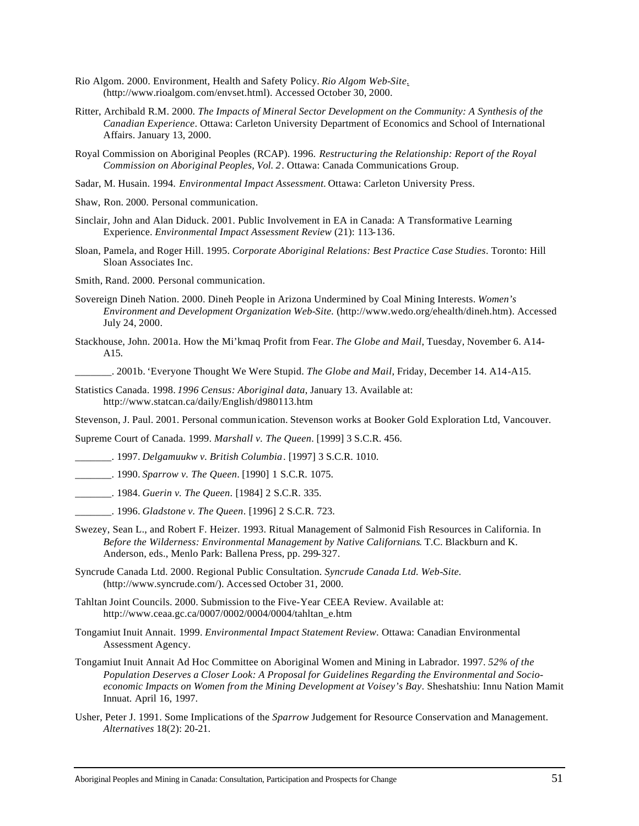- Rio Algom. 2000. Environment, Health and Safety Policy. *Rio Algom Web-Site.* (http://www.rioalgom.com/envset.html). Accessed October 30, 2000.
- Ritter, Archibald R.M. 2000. *The Impacts of Mineral Sector Development on the Community: A Synthesis of the Canadian Experience*. Ottawa: Carleton University Department of Economics and School of International Affairs. January 13, 2000.
- Royal Commission on Aboriginal Peoples (RCAP). 1996. *Restructuring the Relationship: Report of the Royal Commission on Aboriginal Peoples, Vol. 2*. Ottawa: Canada Communications Group.
- Sadar, M. Husain. 1994. *Environmental Impact Assessment.* Ottawa: Carleton University Press.
- Shaw, Ron. 2000. Personal communication.
- Sinclair, John and Alan Diduck. 2001. Public Involvement in EA in Canada: A Transformative Learning Experience. *Environmental Impact Assessment Review* (21): 113-136.
- Sloan, Pamela, and Roger Hill. 1995. *Corporate Aboriginal Relations: Best Practice Case Studies*. Toronto: Hill Sloan Associates Inc.

Smith, Rand. 2000. Personal communication.

- Sovereign Dineh Nation. 2000. Dineh People in Arizona Undermined by Coal Mining Interests. *Women's Environment and Development Organization Web-Site.* (http://www.wedo.org/ehealth/dineh.htm). Accessed July 24, 2000.
- Stackhouse, John. 2001a. How the Mi'kmaq Profit from Fear. *The Globe and Mail*, Tuesday, November 6. A14- A15.
	- \_\_\_\_\_\_\_. 2001b. 'Everyone Thought We Were Stupid. *The Globe and Mail*, Friday, December 14. A14-A15.
- Statistics Canada. 1998. *1996 Census: Aboriginal data*, January 13. Available at: http://www.statcan.ca/daily/English/d980113.htm

Stevenson, J. Paul. 2001. Personal communication. Stevenson works at Booker Gold Exploration Ltd, Vancouver.

Supreme Court of Canada. 1999. *Marshall v. The Queen*. [1999] 3 S.C.R. 456.

- \_\_\_\_\_\_\_. 1997. *Delgamuukw v. British Columbia*. [1997] 3 S.C.R. 1010.
- \_\_\_\_\_\_\_. 1990. *Sparrow v. The Queen*. [1990] 1 S.C.R. 1075.
- \_\_\_\_\_\_\_. 1984. *Guerin v. The Queen*. [1984] 2 S.C.R. 335.
- \_\_\_\_\_\_\_. 1996. *Gladstone v. The Queen*. [1996] 2 S.C.R. 723.
- Swezey, Sean L., and Robert F. Heizer. 1993. Ritual Management of Salmonid Fish Resources in California. In *Before the Wilderness: Environmental Management by Native Californians*. T.C. Blackburn and K. Anderson, eds., Menlo Park: Ballena Press, pp. 299-327.
- Syncrude Canada Ltd. 2000. Regional Public Consultation. *Syncrude Canada Ltd. Web-Site.* (http://www.syncrude.com/). Accessed October 31, 2000.
- Tahltan Joint Councils. 2000. Submission to the Five-Year CEEA Review. Available at: http://www.ceaa.gc.ca/0007/0002/0004/0004/tahltan\_e.htm
- Tongamiut Inuit Annait. 1999. *Environmental Impact Statement Review*. Ottawa: Canadian Environmental Assessment Agency.
- Tongamiut Inuit Annait Ad Hoc Committee on Aboriginal Women and Mining in Labrador. 1997. *52% of the Population Deserves a Closer Look: A Proposal for Guidelines Regarding the Environmental and Socioeconomic Impacts on Women from the Mining Development at Voisey's Bay*. Sheshatshiu: Innu Nation Mamit Innuat. April 16, 1997.
- Usher, Peter J. 1991. Some Implications of the *Sparrow* Judgement for Resource Conservation and Management. *Alternatives* 18(2): 20-21.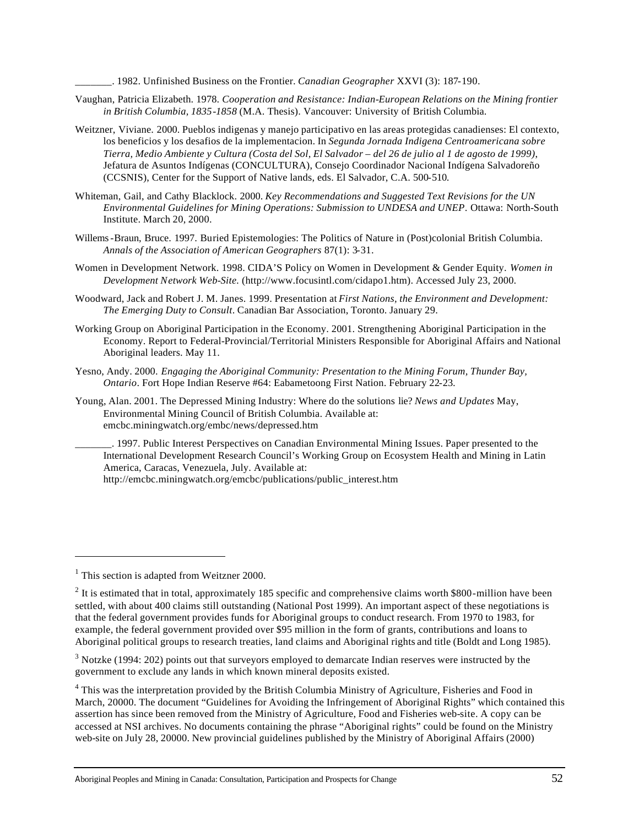\_\_\_\_\_\_\_. 1982. Unfinished Business on the Frontier. *Canadian Geographer* XXVI (3): 187-190.

- Vaughan, Patricia Elizabeth. 1978. *Cooperation and Resistance: Indian-European Relations on the Mining frontier in British Columbia, 1835-1858* (M.A. Thesis). Vancouver: University of British Columbia.
- Weitzner, Viviane. 2000. Pueblos indigenas y manejo participativo en las areas protegidas canadienses: El contexto, los beneficios y los desafios de la implementacion. In *Segunda Jornada Indigena Centroamericana sobre Tierra, Medio Ambiente y Cultura (Costa del Sol, El Salvador – del 26 de julio al 1 de agosto de 1999)*, Jefatura de Asuntos Indígenas (CONCULTURA), Consejo Coordinador Nacional Indígena Salvadoreño (CCSNIS), Center for the Support of Native lands, eds. El Salvador, C.A. 500-510.
- Whiteman, Gail, and Cathy Blacklock. 2000. *Key Recommendations and Suggested Text Revisions for the UN Environmental Guidelines for Mining Operations: Submission to UNDESA and UNEP*. Ottawa: North-South Institute. March 20, 2000.
- Willems-Braun, Bruce. 1997. Buried Epistemologies: The Politics of Nature in (Post)colonial British Columbia. *Annals of the Association of American Geographers* 87(1): 3-31.
- Women in Development Network. 1998. CIDA'S Policy on Women in Development & Gender Equity. *Women in Development Network Web-Site.* (http://www.focusintl.com/cidapo1.htm). Accessed July 23, 2000.
- Woodward, Jack and Robert J. M. Janes. 1999. Presentation at *First Nations, the Environment and Development: The Emerging Duty to Consult*. Canadian Bar Association, Toronto. January 29.
- Working Group on Aboriginal Participation in the Economy. 2001. Strengthening Aboriginal Participation in the Economy. Report to Federal-Provincial/Territorial Ministers Responsible for Aboriginal Affairs and National Aboriginal leaders. May 11.
- Yesno, Andy. 2000. *Engaging the Aboriginal Community: Presentation to the Mining Forum, Thunder Bay, Ontario*. Fort Hope Indian Reserve #64: Eabametoong First Nation. February 22-23.
- Young, Alan. 2001. The Depressed Mining Industry: Where do the solutions lie? *News and Updates* May, Environmental Mining Council of British Columbia. Available at: emcbc.miningwatch.org/embc/news/depressed.htm
	- \_\_\_\_\_\_\_. 1997. Public Interest Perspectives on Canadian Environmental Mining Issues. Paper presented to the International Development Research Council's Working Group on Ecosystem Health and Mining in Latin America, Caracas, Venezuela, July. Available at:

l

http://emcbc.miningwatch.org/emcbc/publications/public\_interest.htm

<sup>&</sup>lt;sup>1</sup> This section is adapted from Weitzner 2000.

 $2$  It is estimated that in total, approximately 185 specific and comprehensive claims worth \$800-million have been settled, with about 400 claims still outstanding (National Post 1999). An important aspect of these negotiations is that the federal government provides funds for Aboriginal groups to conduct research. From 1970 to 1983, for example, the federal government provided over \$95 million in the form of grants, contributions and loans to Aboriginal political groups to research treaties, land claims and Aboriginal rights and title (Boldt and Long 1985).

 $3$  Notzke (1994: 202) points out that surveyors employed to demarcate Indian reserves were instructed by the government to exclude any lands in which known mineral deposits existed.

<sup>&</sup>lt;sup>4</sup> This was the interpretation provided by the British Columbia Ministry of Agriculture, Fisheries and Food in March, 20000. The document "Guidelines for Avoiding the Infringement of Aboriginal Rights" which contained this assertion has since been removed from the Ministry of Agriculture, Food and Fisheries web-site. A copy can be accessed at NSI archives. No documents containing the phrase "Aboriginal rights" could be found on the Ministry web-site on July 28, 20000. New provincial guidelines published by the Ministry of Aboriginal Affairs (2000)